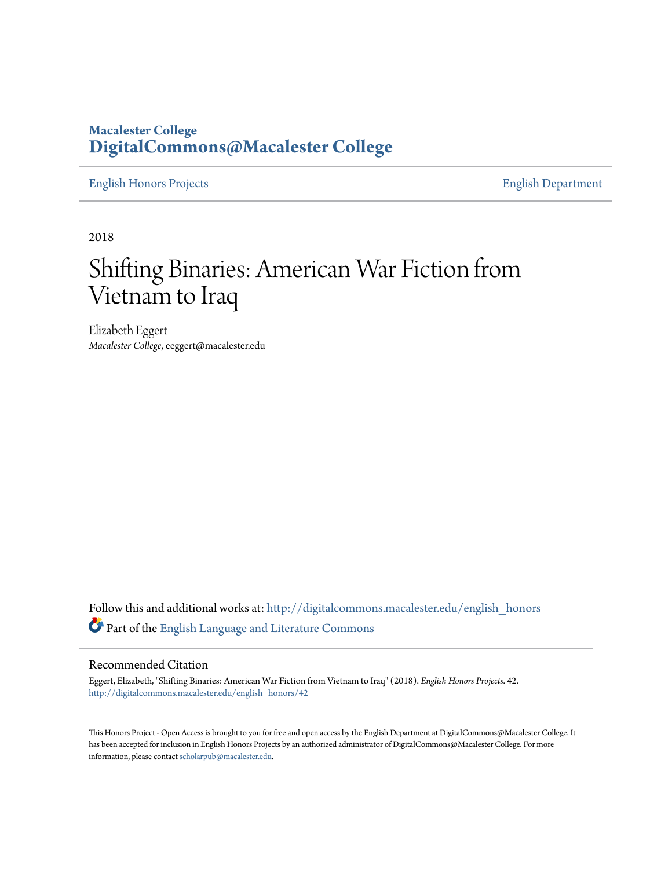# **Macalester College [DigitalCommons@Macalester College](http://digitalcommons.macalester.edu?utm_source=digitalcommons.macalester.edu%2Fenglish_honors%2F42&utm_medium=PDF&utm_campaign=PDFCoverPages)**

[English Honors Projects](http://digitalcommons.macalester.edu/english_honors?utm_source=digitalcommons.macalester.edu%2Fenglish_honors%2F42&utm_medium=PDF&utm_campaign=PDFCoverPages) [English Department](http://digitalcommons.macalester.edu/english?utm_source=digitalcommons.macalester.edu%2Fenglish_honors%2F42&utm_medium=PDF&utm_campaign=PDFCoverPages)

2018

# Shifting Binaries: American War Fiction from Vietnam to Iraq

Elizabeth Eggert *Macalester College*, eeggert@macalester.edu

Follow this and additional works at: [http://digitalcommons.macalester.edu/english\\_honors](http://digitalcommons.macalester.edu/english_honors?utm_source=digitalcommons.macalester.edu%2Fenglish_honors%2F42&utm_medium=PDF&utm_campaign=PDFCoverPages) Part of the [English Language and Literature Commons](http://network.bepress.com/hgg/discipline/455?utm_source=digitalcommons.macalester.edu%2Fenglish_honors%2F42&utm_medium=PDF&utm_campaign=PDFCoverPages)

#### Recommended Citation

Eggert, Elizabeth, "Shifting Binaries: American War Fiction from Vietnam to Iraq" (2018). *English Honors Projects*. 42. [http://digitalcommons.macalester.edu/english\\_honors/42](http://digitalcommons.macalester.edu/english_honors/42?utm_source=digitalcommons.macalester.edu%2Fenglish_honors%2F42&utm_medium=PDF&utm_campaign=PDFCoverPages)

This Honors Project - Open Access is brought to you for free and open access by the English Department at DigitalCommons@Macalester College. It has been accepted for inclusion in English Honors Projects by an authorized administrator of DigitalCommons@Macalester College. For more information, please contact [scholarpub@macalester.edu.](mailto:scholarpub@macalester.edu)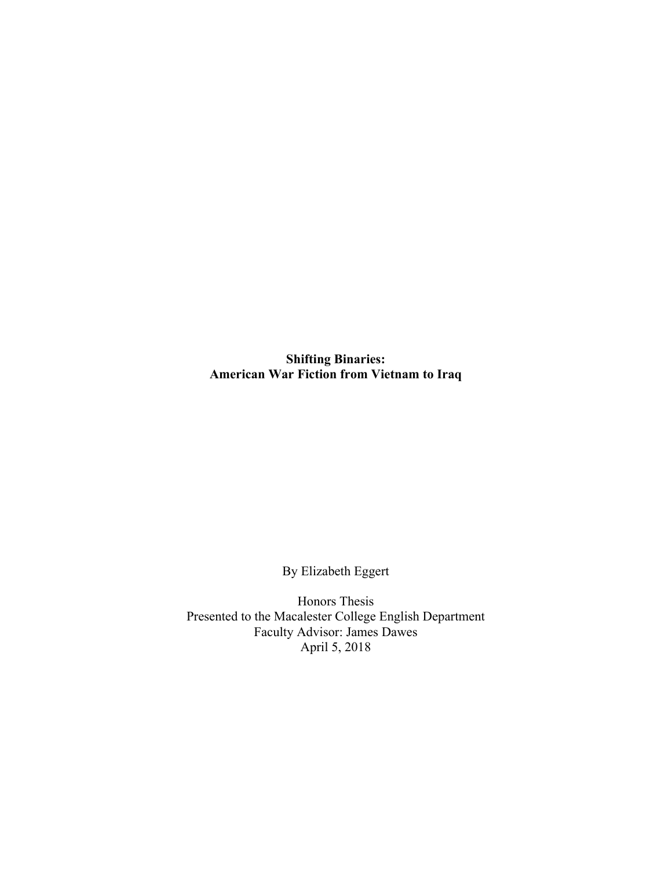**Shifting Binaries: American War Fiction from Vietnam to Iraq**

By Elizabeth Eggert

Honors Thesis Presented to the Macalester College English Department Faculty Advisor: James Dawes April 5, 2018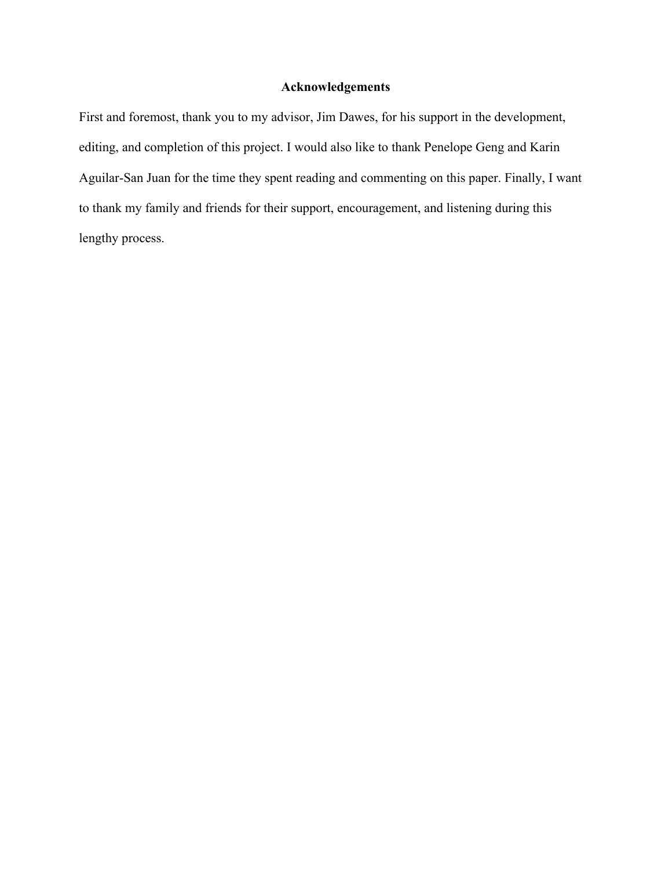## **Acknowledgements**

First and foremost, thank you to my advisor, Jim Dawes, for his support in the development, editing, and completion of this project. I would also like to thank Penelope Geng and Karin Aguilar-San Juan for the time they spent reading and commenting on this paper. Finally, I want to thank my family and friends for their support, encouragement, and listening during this lengthy process.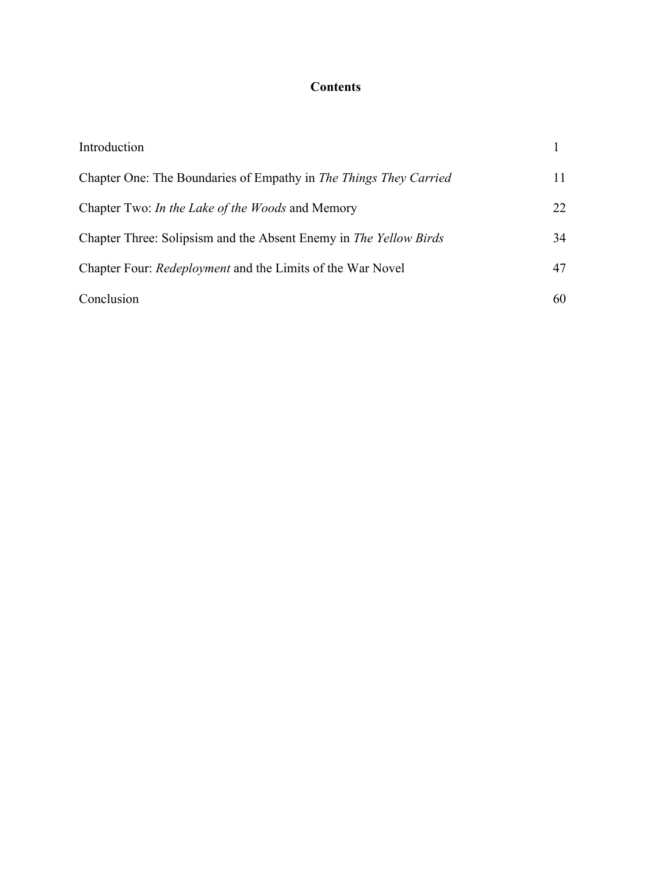# **Contents**

| Introduction                                                      |     |
|-------------------------------------------------------------------|-----|
| Chapter One: The Boundaries of Empathy in The Things They Carried | 11  |
| Chapter Two: <i>In the Lake of the Woods</i> and Memory           | 22. |
| Chapter Three: Solipsism and the Absent Enemy in The Yellow Birds | 34  |
| Chapter Four: <i>Redeployment</i> and the Limits of the War Novel | 47  |
| Conclusion                                                        | 60  |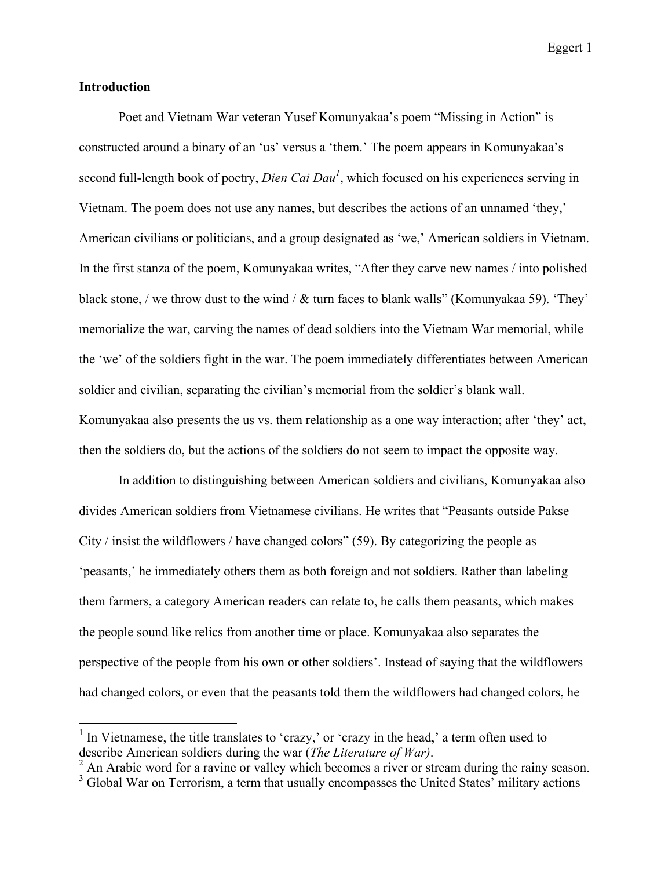### **Introduction**

Poet and Vietnam War veteran Yusef Komunyakaa's poem "Missing in Action" is constructed around a binary of an 'us' versus a 'them.' The poem appears in Komunyakaa's second full-length book of poetry, *Dien Cai Dau<sup>1</sup>* , which focused on his experiences serving in Vietnam. The poem does not use any names, but describes the actions of an unnamed 'they,' American civilians or politicians, and a group designated as 'we,' American soldiers in Vietnam. In the first stanza of the poem, Komunyakaa writes, "After they carve new names / into polished black stone, / we throw dust to the wind / & turn faces to blank walls" (Komunyakaa 59). 'They' memorialize the war, carving the names of dead soldiers into the Vietnam War memorial, while the 'we' of the soldiers fight in the war. The poem immediately differentiates between American soldier and civilian, separating the civilian's memorial from the soldier's blank wall. Komunyakaa also presents the us vs. them relationship as a one way interaction; after 'they' act, then the soldiers do, but the actions of the soldiers do not seem to impact the opposite way.

In addition to distinguishing between American soldiers and civilians, Komunyakaa also divides American soldiers from Vietnamese civilians. He writes that "Peasants outside Pakse City / insist the wildflowers / have changed colors" (59). By categorizing the people as 'peasants,' he immediately others them as both foreign and not soldiers. Rather than labeling them farmers, a category American readers can relate to, he calls them peasants, which makes the people sound like relics from another time or place. Komunyakaa also separates the perspective of the people from his own or other soldiers'. Instead of saying that the wildflowers had changed colors, or even that the peasants told them the wildflowers had changed colors, he

 $<sup>1</sup>$  In Vietnamese, the title translates to 'crazy,' or 'crazy in the head,' a term often used to</sup> describe American soldiers during the war (*The Literature of War*).<br><sup>2</sup> An Arabic word for a ravine or valley which becomes a river or stream during the rainy season.

 $3$  Global War on Terrorism, a term that usually encompasses the United States' military actions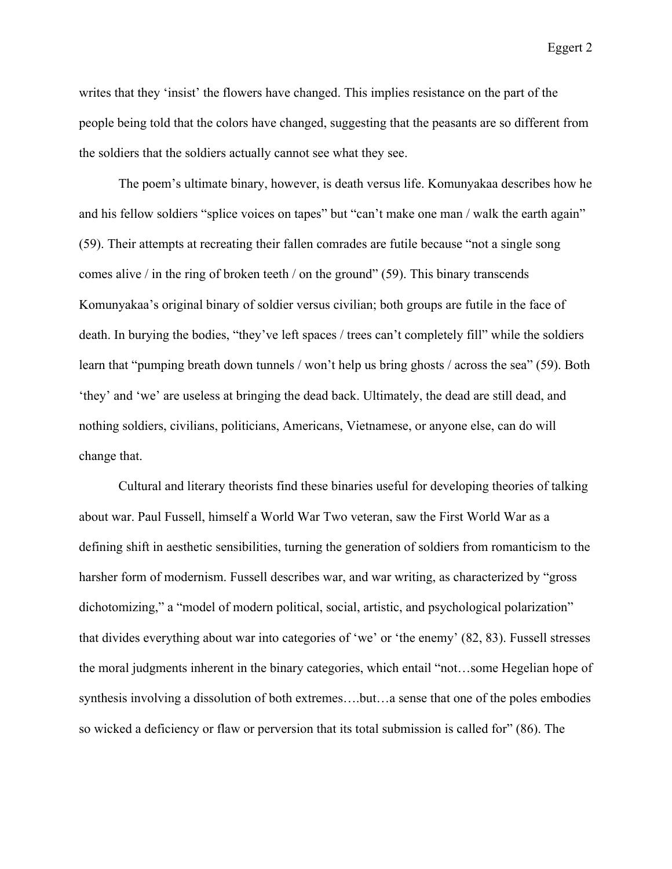writes that they 'insist' the flowers have changed. This implies resistance on the part of the people being told that the colors have changed, suggesting that the peasants are so different from the soldiers that the soldiers actually cannot see what they see.

The poem's ultimate binary, however, is death versus life. Komunyakaa describes how he and his fellow soldiers "splice voices on tapes" but "can't make one man / walk the earth again" (59). Their attempts at recreating their fallen comrades are futile because "not a single song comes alive / in the ring of broken teeth / on the ground" (59). This binary transcends Komunyakaa's original binary of soldier versus civilian; both groups are futile in the face of death. In burying the bodies, "they've left spaces / trees can't completely fill" while the soldiers learn that "pumping breath down tunnels / won't help us bring ghosts / across the sea" (59). Both 'they' and 'we' are useless at bringing the dead back. Ultimately, the dead are still dead, and nothing soldiers, civilians, politicians, Americans, Vietnamese, or anyone else, can do will change that.

Cultural and literary theorists find these binaries useful for developing theories of talking about war. Paul Fussell, himself a World War Two veteran, saw the First World War as a defining shift in aesthetic sensibilities, turning the generation of soldiers from romanticism to the harsher form of modernism. Fussell describes war, and war writing, as characterized by "gross dichotomizing," a "model of modern political, social, artistic, and psychological polarization" that divides everything about war into categories of 'we' or 'the enemy' (82, 83). Fussell stresses the moral judgments inherent in the binary categories, which entail "not…some Hegelian hope of synthesis involving a dissolution of both extremes….but…a sense that one of the poles embodies so wicked a deficiency or flaw or perversion that its total submission is called for" (86). The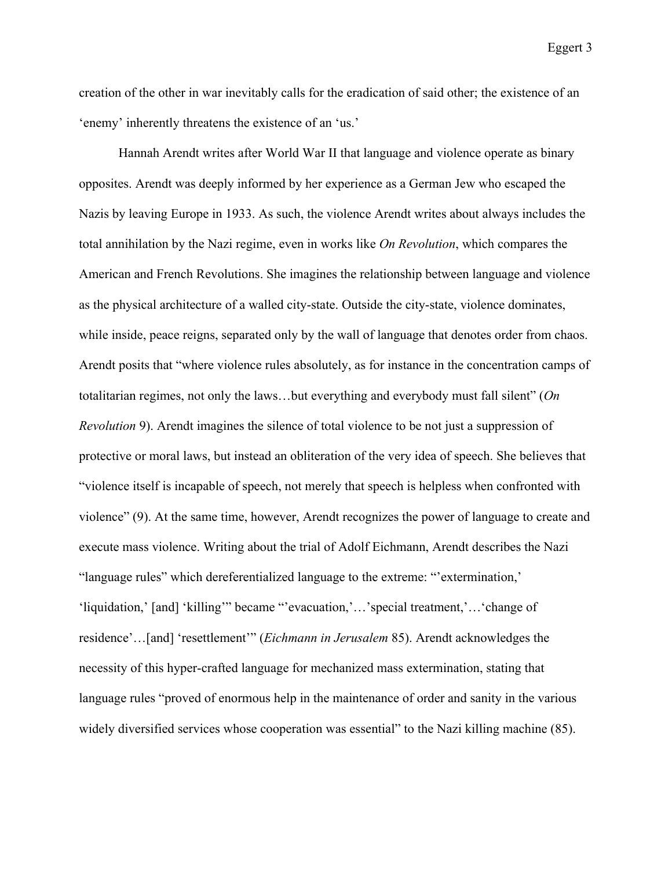creation of the other in war inevitably calls for the eradication of said other; the existence of an 'enemy' inherently threatens the existence of an 'us.'

Hannah Arendt writes after World War II that language and violence operate as binary opposites. Arendt was deeply informed by her experience as a German Jew who escaped the Nazis by leaving Europe in 1933. As such, the violence Arendt writes about always includes the total annihilation by the Nazi regime, even in works like *On Revolution*, which compares the American and French Revolutions. She imagines the relationship between language and violence as the physical architecture of a walled city-state. Outside the city-state, violence dominates, while inside, peace reigns, separated only by the wall of language that denotes order from chaos. Arendt posits that "where violence rules absolutely, as for instance in the concentration camps of totalitarian regimes, not only the laws…but everything and everybody must fall silent" (*On Revolution* 9). Arendt imagines the silence of total violence to be not just a suppression of protective or moral laws, but instead an obliteration of the very idea of speech. She believes that "violence itself is incapable of speech, not merely that speech is helpless when confronted with violence" (9). At the same time, however, Arendt recognizes the power of language to create and execute mass violence. Writing about the trial of Adolf Eichmann, Arendt describes the Nazi "language rules" which dereferentialized language to the extreme: "'extermination,' 'liquidation,' [and] 'killing'" became "'evacuation,'…'special treatment,'…'change of residence'…[and] 'resettlement'" (*Eichmann in Jerusalem* 85). Arendt acknowledges the necessity of this hyper-crafted language for mechanized mass extermination, stating that language rules "proved of enormous help in the maintenance of order and sanity in the various widely diversified services whose cooperation was essential" to the Nazi killing machine (85).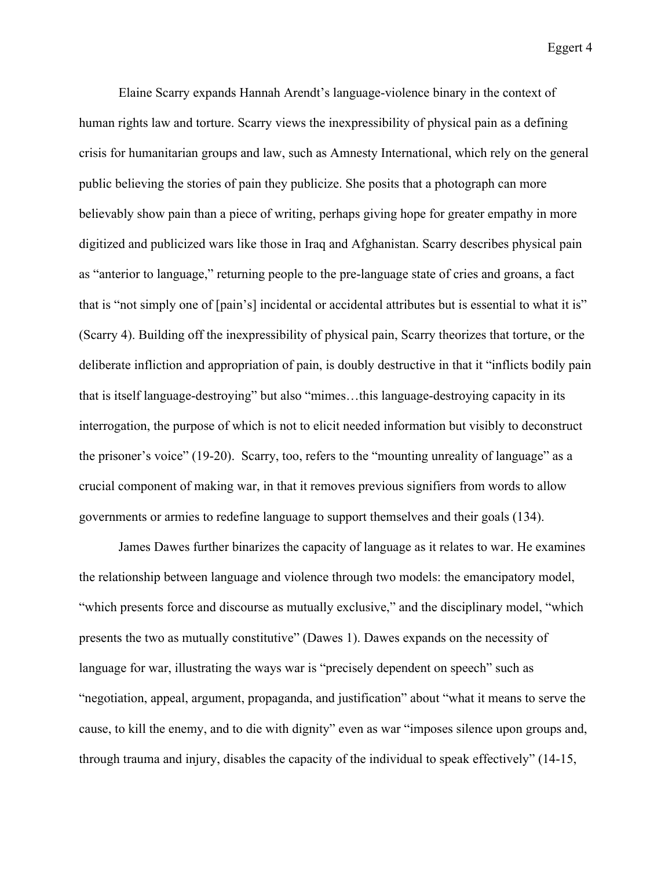Elaine Scarry expands Hannah Arendt's language-violence binary in the context of human rights law and torture. Scarry views the inexpressibility of physical pain as a defining crisis for humanitarian groups and law, such as Amnesty International, which rely on the general public believing the stories of pain they publicize. She posits that a photograph can more believably show pain than a piece of writing, perhaps giving hope for greater empathy in more digitized and publicized wars like those in Iraq and Afghanistan. Scarry describes physical pain as "anterior to language," returning people to the pre-language state of cries and groans, a fact that is "not simply one of [pain's] incidental or accidental attributes but is essential to what it is" (Scarry 4). Building off the inexpressibility of physical pain, Scarry theorizes that torture, or the deliberate infliction and appropriation of pain, is doubly destructive in that it "inflicts bodily pain that is itself language-destroying" but also "mimes…this language-destroying capacity in its interrogation, the purpose of which is not to elicit needed information but visibly to deconstruct the prisoner's voice" (19-20). Scarry, too, refers to the "mounting unreality of language" as a crucial component of making war, in that it removes previous signifiers from words to allow governments or armies to redefine language to support themselves and their goals (134).

James Dawes further binarizes the capacity of language as it relates to war. He examines the relationship between language and violence through two models: the emancipatory model, "which presents force and discourse as mutually exclusive," and the disciplinary model, "which presents the two as mutually constitutive" (Dawes 1). Dawes expands on the necessity of language for war, illustrating the ways war is "precisely dependent on speech" such as "negotiation, appeal, argument, propaganda, and justification" about "what it means to serve the cause, to kill the enemy, and to die with dignity" even as war "imposes silence upon groups and, through trauma and injury, disables the capacity of the individual to speak effectively" (14-15,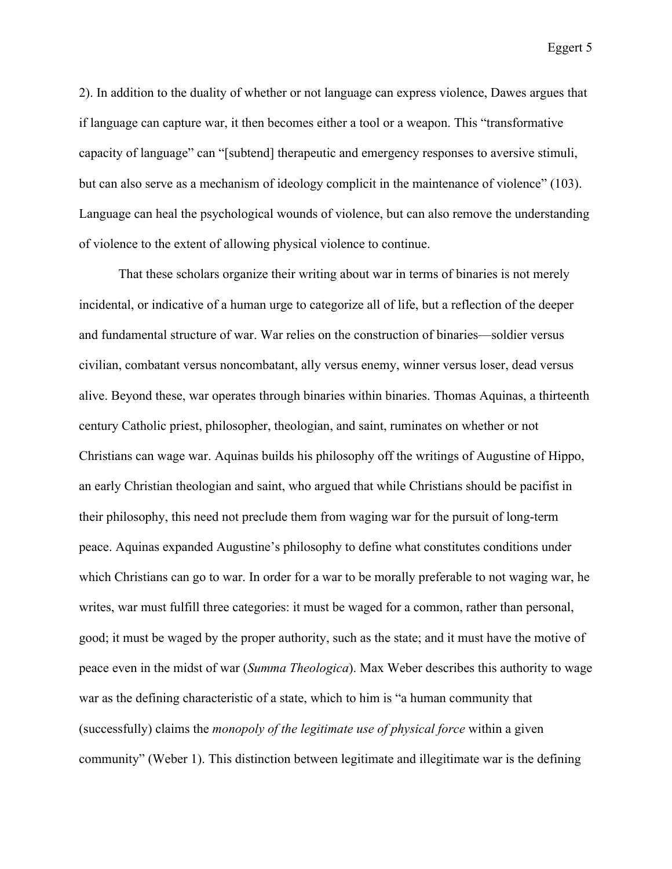2). In addition to the duality of whether or not language can express violence, Dawes argues that if language can capture war, it then becomes either a tool or a weapon. This "transformative capacity of language" can "[subtend] therapeutic and emergency responses to aversive stimuli, but can also serve as a mechanism of ideology complicit in the maintenance of violence" (103). Language can heal the psychological wounds of violence, but can also remove the understanding of violence to the extent of allowing physical violence to continue.

That these scholars organize their writing about war in terms of binaries is not merely incidental, or indicative of a human urge to categorize all of life, but a reflection of the deeper and fundamental structure of war. War relies on the construction of binaries—soldier versus civilian, combatant versus noncombatant, ally versus enemy, winner versus loser, dead versus alive. Beyond these, war operates through binaries within binaries. Thomas Aquinas, a thirteenth century Catholic priest, philosopher, theologian, and saint, ruminates on whether or not Christians can wage war. Aquinas builds his philosophy off the writings of Augustine of Hippo, an early Christian theologian and saint, who argued that while Christians should be pacifist in their philosophy, this need not preclude them from waging war for the pursuit of long-term peace. Aquinas expanded Augustine's philosophy to define what constitutes conditions under which Christians can go to war. In order for a war to be morally preferable to not waging war, he writes, war must fulfill three categories: it must be waged for a common, rather than personal, good; it must be waged by the proper authority, such as the state; and it must have the motive of peace even in the midst of war (*Summa Theologica*). Max Weber describes this authority to wage war as the defining characteristic of a state, which to him is "a human community that (successfully) claims the *monopoly of the legitimate use of physical force* within a given community" (Weber 1). This distinction between legitimate and illegitimate war is the defining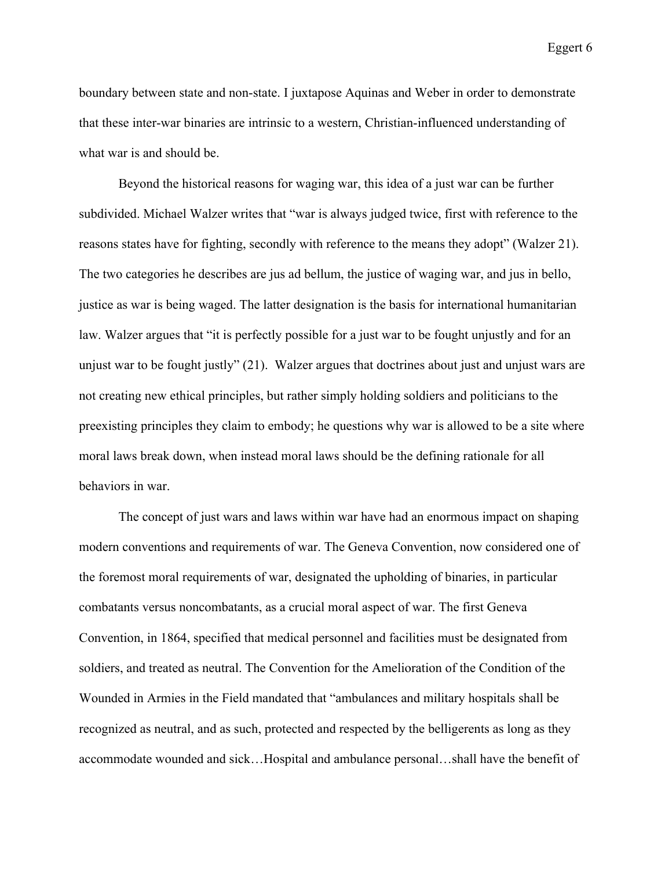boundary between state and non-state. I juxtapose Aquinas and Weber in order to demonstrate that these inter-war binaries are intrinsic to a western, Christian-influenced understanding of what war is and should be.

Beyond the historical reasons for waging war, this idea of a just war can be further subdivided. Michael Walzer writes that "war is always judged twice, first with reference to the reasons states have for fighting, secondly with reference to the means they adopt" (Walzer 21). The two categories he describes are jus ad bellum, the justice of waging war, and jus in bello, justice as war is being waged. The latter designation is the basis for international humanitarian law. Walzer argues that "it is perfectly possible for a just war to be fought unjustly and for an unjust war to be fought justly" (21). Walzer argues that doctrines about just and unjust wars are not creating new ethical principles, but rather simply holding soldiers and politicians to the preexisting principles they claim to embody; he questions why war is allowed to be a site where moral laws break down, when instead moral laws should be the defining rationale for all behaviors in war.

The concept of just wars and laws within war have had an enormous impact on shaping modern conventions and requirements of war. The Geneva Convention, now considered one of the foremost moral requirements of war, designated the upholding of binaries, in particular combatants versus noncombatants, as a crucial moral aspect of war. The first Geneva Convention, in 1864, specified that medical personnel and facilities must be designated from soldiers, and treated as neutral. The Convention for the Amelioration of the Condition of the Wounded in Armies in the Field mandated that "ambulances and military hospitals shall be recognized as neutral, and as such, protected and respected by the belligerents as long as they accommodate wounded and sick…Hospital and ambulance personal…shall have the benefit of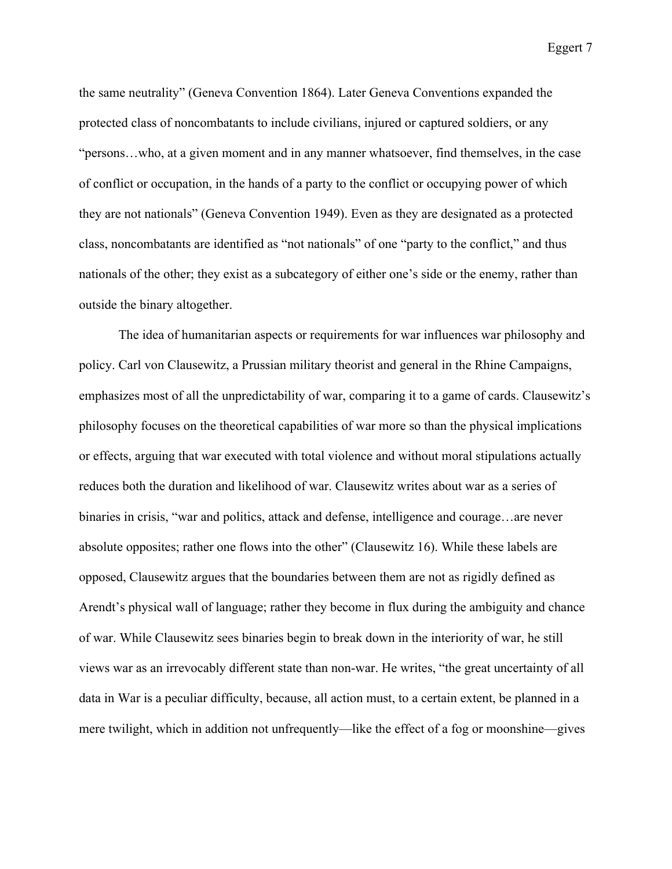the same neutrality" (Geneva Convention 1864). Later Geneva Conventions expanded the protected class of noncombatants to include civilians, injured or captured soldiers, or any "persons…who, at a given moment and in any manner whatsoever, find themselves, in the case of conflict or occupation, in the hands of a party to the conflict or occupying power of which they are not nationals" (Geneva Convention 1949). Even as they are designated as a protected class, noncombatants are identified as "not nationals" of one "party to the conflict," and thus nationals of the other; they exist as a subcategory of either one's side or the enemy, rather than outside the binary altogether.

The idea of humanitarian aspects or requirements for war influences war philosophy and policy. Carl von Clausewitz, a Prussian military theorist and general in the Rhine Campaigns, emphasizes most of all the unpredictability of war, comparing it to a game of cards. Clausewitz's philosophy focuses on the theoretical capabilities of war more so than the physical implications or effects, arguing that war executed with total violence and without moral stipulations actually reduces both the duration and likelihood of war. Clausewitz writes about war as a series of binaries in crisis, "war and politics, attack and defense, intelligence and courage…are never absolute opposites; rather one flows into the other" (Clausewitz 16). While these labels are opposed, Clausewitz argues that the boundaries between them are not as rigidly defined as Arendt's physical wall of language; rather they become in flux during the ambiguity and chance of war. While Clausewitz sees binaries begin to break down in the interiority of war, he still views war as an irrevocably different state than non-war. He writes, "the great uncertainty of all data in War is a peculiar difficulty, because, all action must, to a certain extent, be planned in a mere twilight, which in addition not unfrequently—like the effect of a fog or moonshine—gives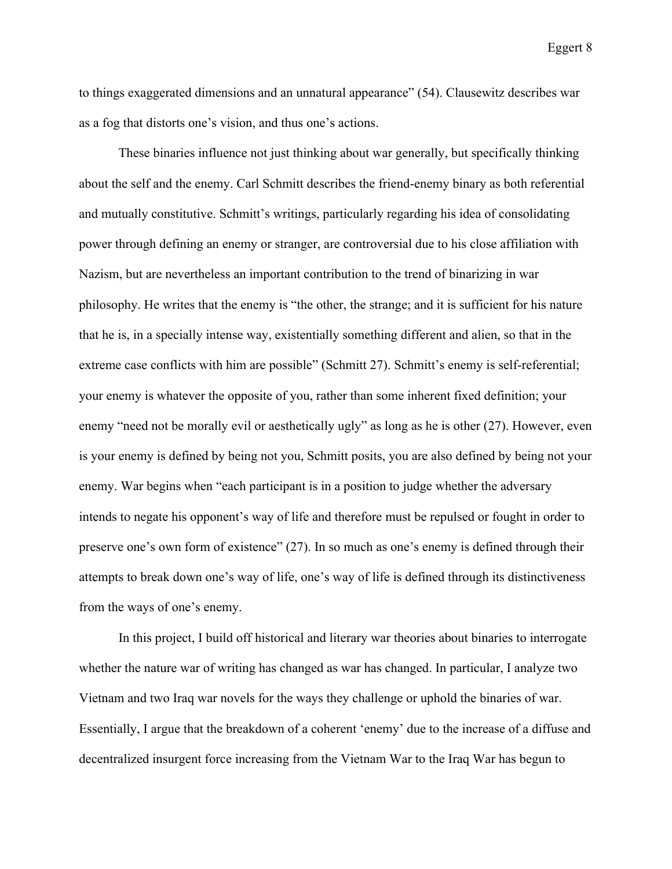to things exaggerated dimensions and an unnatural appearance" (54). Clausewitz describes war as a fog that distorts one's vision, and thus one's actions.

These binaries influence not just thinking about war generally, but specifically thinking about the self and the enemy. Carl Schmitt describes the friend-enemy binary as both referential and mutually constitutive. Schmitt's writings, particularly regarding his idea of consolidating power through defining an enemy or stranger, are controversial due to his close affiliation with Nazism, but are nevertheless an important contribution to the trend of binarizing in war philosophy. He writes that the enemy is "the other, the strange; and it is sufficient for his nature that he is, in a specially intense way, existentially something different and alien, so that in the extreme case conflicts with him are possible" (Schmitt 27). Schmitt's enemy is self-referential; your enemy is whatever the opposite of you, rather than some inherent fixed definition; your enemy "need not be morally evil or aesthetically ugly" as long as he is other (27). However, even is your enemy is defined by being not you, Schmitt posits, you are also defined by being not your enemy. War begins when "each participant is in a position to judge whether the adversary intends to negate his opponent's way of life and therefore must be repulsed or fought in order to preserve one's own form of existence" (27). In so much as one's enemy is defined through their attempts to break down one's way of life, one's way of life is defined through its distinctiveness from the ways of one's enemy.

In this project, I build off historical and literary war theories about binaries to interrogate whether the nature war of writing has changed as war has changed. In particular, I analyze two Vietnam and two Iraq war novels for the ways they challenge or uphold the binaries of war. Essentially, I argue that the breakdown of a coherent 'enemy' due to the increase of a diffuse and decentralized insurgent force increasing from the Vietnam War to the Iraq War has begun to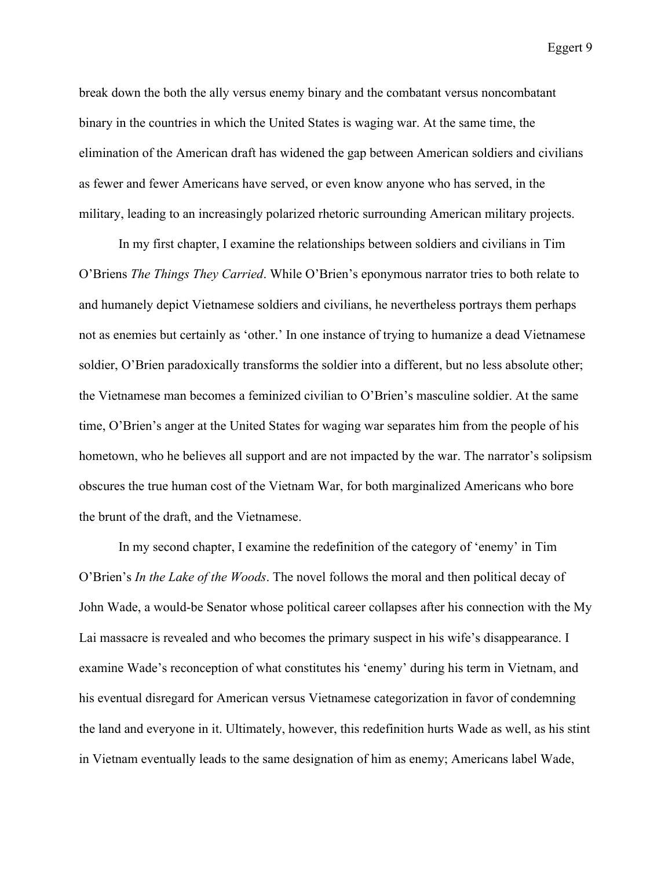break down the both the ally versus enemy binary and the combatant versus noncombatant binary in the countries in which the United States is waging war. At the same time, the elimination of the American draft has widened the gap between American soldiers and civilians as fewer and fewer Americans have served, or even know anyone who has served, in the military, leading to an increasingly polarized rhetoric surrounding American military projects.

In my first chapter, I examine the relationships between soldiers and civilians in Tim O'Briens *The Things They Carried*. While O'Brien's eponymous narrator tries to both relate to and humanely depict Vietnamese soldiers and civilians, he nevertheless portrays them perhaps not as enemies but certainly as 'other.' In one instance of trying to humanize a dead Vietnamese soldier, O'Brien paradoxically transforms the soldier into a different, but no less absolute other; the Vietnamese man becomes a feminized civilian to O'Brien's masculine soldier. At the same time, O'Brien's anger at the United States for waging war separates him from the people of his hometown, who he believes all support and are not impacted by the war. The narrator's solipsism obscures the true human cost of the Vietnam War, for both marginalized Americans who bore the brunt of the draft, and the Vietnamese.

In my second chapter, I examine the redefinition of the category of 'enemy' in Tim O'Brien's *In the Lake of the Woods*. The novel follows the moral and then political decay of John Wade, a would-be Senator whose political career collapses after his connection with the My Lai massacre is revealed and who becomes the primary suspect in his wife's disappearance. I examine Wade's reconception of what constitutes his 'enemy' during his term in Vietnam, and his eventual disregard for American versus Vietnamese categorization in favor of condemning the land and everyone in it. Ultimately, however, this redefinition hurts Wade as well, as his stint in Vietnam eventually leads to the same designation of him as enemy; Americans label Wade,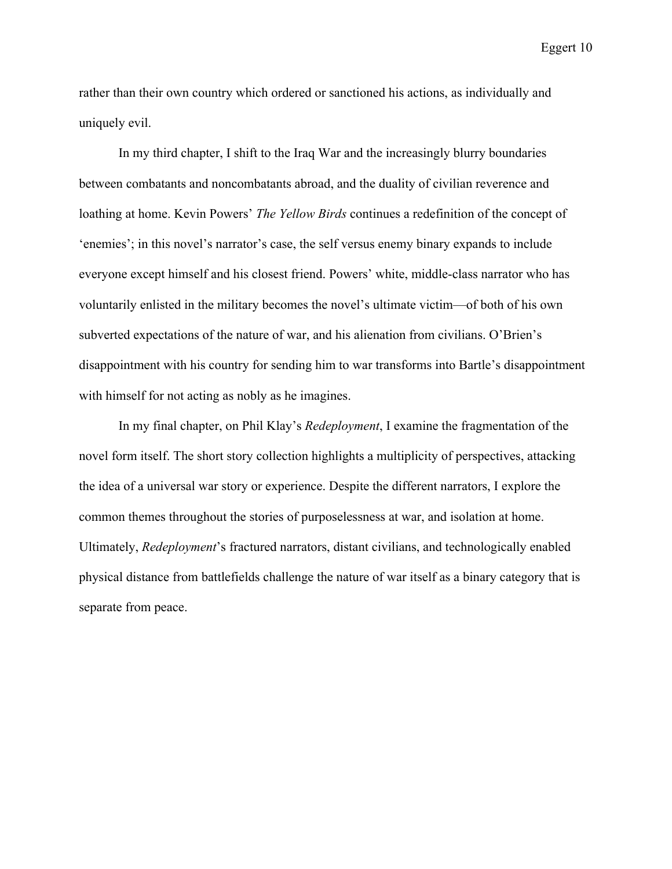rather than their own country which ordered or sanctioned his actions, as individually and uniquely evil.

In my third chapter, I shift to the Iraq War and the increasingly blurry boundaries between combatants and noncombatants abroad, and the duality of civilian reverence and loathing at home. Kevin Powers' *The Yellow Birds* continues a redefinition of the concept of 'enemies'; in this novel's narrator's case, the self versus enemy binary expands to include everyone except himself and his closest friend. Powers' white, middle-class narrator who has voluntarily enlisted in the military becomes the novel's ultimate victim—of both of his own subverted expectations of the nature of war, and his alienation from civilians. O'Brien's disappointment with his country for sending him to war transforms into Bartle's disappointment with himself for not acting as nobly as he imagines.

In my final chapter, on Phil Klay's *Redeployment*, I examine the fragmentation of the novel form itself. The short story collection highlights a multiplicity of perspectives, attacking the idea of a universal war story or experience. Despite the different narrators, I explore the common themes throughout the stories of purposelessness at war, and isolation at home. Ultimately, *Redeployment*'s fractured narrators, distant civilians, and technologically enabled physical distance from battlefields challenge the nature of war itself as a binary category that is separate from peace.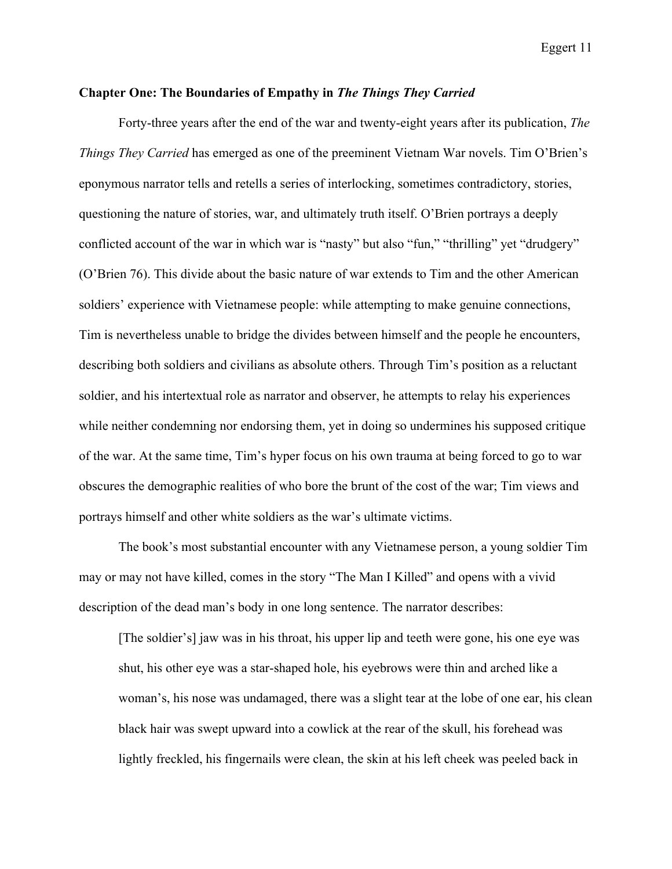## **Chapter One: The Boundaries of Empathy in** *The Things They Carried*

Forty-three years after the end of the war and twenty-eight years after its publication, *The Things They Carried* has emerged as one of the preeminent Vietnam War novels. Tim O'Brien's eponymous narrator tells and retells a series of interlocking, sometimes contradictory, stories, questioning the nature of stories, war, and ultimately truth itself. O'Brien portrays a deeply conflicted account of the war in which war is "nasty" but also "fun," "thrilling" yet "drudgery" (O'Brien 76). This divide about the basic nature of war extends to Tim and the other American soldiers' experience with Vietnamese people: while attempting to make genuine connections, Tim is nevertheless unable to bridge the divides between himself and the people he encounters, describing both soldiers and civilians as absolute others. Through Tim's position as a reluctant soldier, and his intertextual role as narrator and observer, he attempts to relay his experiences while neither condemning nor endorsing them, yet in doing so undermines his supposed critique of the war. At the same time, Tim's hyper focus on his own trauma at being forced to go to war obscures the demographic realities of who bore the brunt of the cost of the war; Tim views and portrays himself and other white soldiers as the war's ultimate victims.

The book's most substantial encounter with any Vietnamese person, a young soldier Tim may or may not have killed, comes in the story "The Man I Killed" and opens with a vivid description of the dead man's body in one long sentence. The narrator describes:

[The soldier's] jaw was in his throat, his upper lip and teeth were gone, his one eye was shut, his other eye was a star-shaped hole, his eyebrows were thin and arched like a woman's, his nose was undamaged, there was a slight tear at the lobe of one ear, his clean black hair was swept upward into a cowlick at the rear of the skull, his forehead was lightly freckled, his fingernails were clean, the skin at his left cheek was peeled back in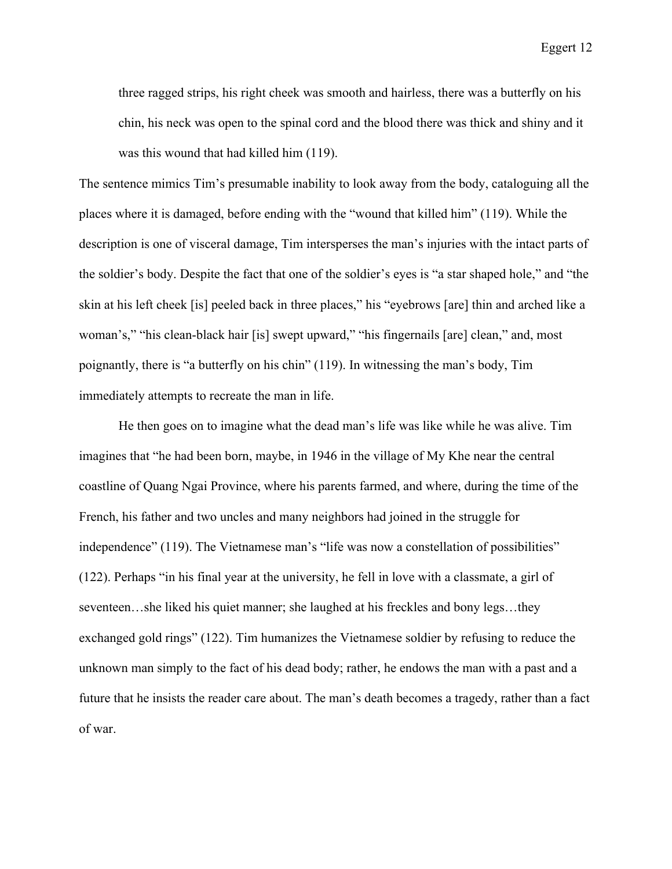three ragged strips, his right cheek was smooth and hairless, there was a butterfly on his chin, his neck was open to the spinal cord and the blood there was thick and shiny and it was this wound that had killed him (119).

The sentence mimics Tim's presumable inability to look away from the body, cataloguing all the places where it is damaged, before ending with the "wound that killed him" (119). While the description is one of visceral damage, Tim intersperses the man's injuries with the intact parts of the soldier's body. Despite the fact that one of the soldier's eyes is "a star shaped hole," and "the skin at his left cheek [is] peeled back in three places," his "eyebrows [are] thin and arched like a woman's," "his clean-black hair [is] swept upward," "his fingernails [are] clean," and, most poignantly, there is "a butterfly on his chin" (119). In witnessing the man's body, Tim immediately attempts to recreate the man in life.

He then goes on to imagine what the dead man's life was like while he was alive. Tim imagines that "he had been born, maybe, in 1946 in the village of My Khe near the central coastline of Quang Ngai Province, where his parents farmed, and where, during the time of the French, his father and two uncles and many neighbors had joined in the struggle for independence" (119). The Vietnamese man's "life was now a constellation of possibilities" (122). Perhaps "in his final year at the university, he fell in love with a classmate, a girl of seventeen...she liked his quiet manner; she laughed at his freckles and bony legs...they exchanged gold rings" (122). Tim humanizes the Vietnamese soldier by refusing to reduce the unknown man simply to the fact of his dead body; rather, he endows the man with a past and a future that he insists the reader care about. The man's death becomes a tragedy, rather than a fact of war.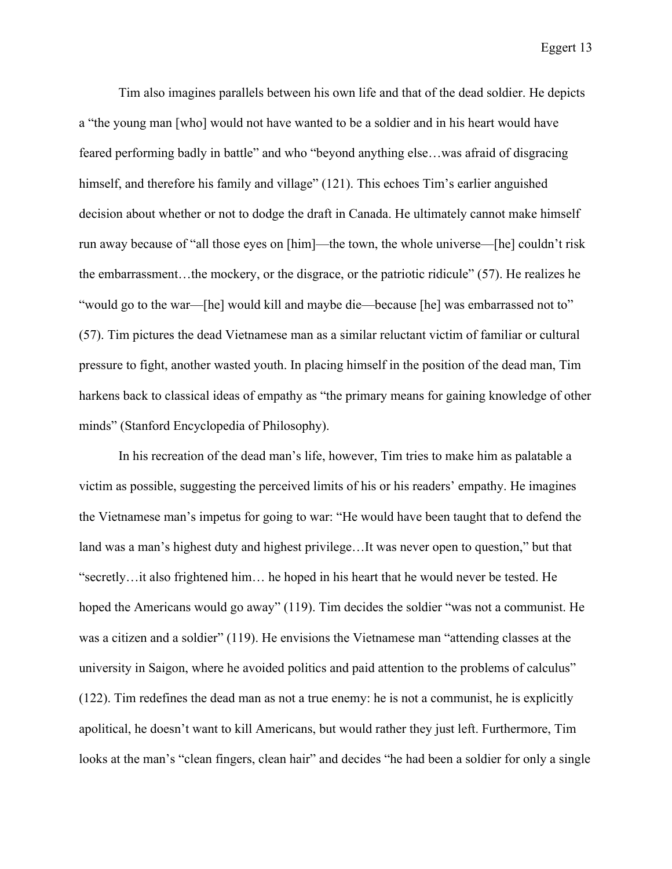Tim also imagines parallels between his own life and that of the dead soldier. He depicts a "the young man [who] would not have wanted to be a soldier and in his heart would have feared performing badly in battle" and who "beyond anything else…was afraid of disgracing himself, and therefore his family and village" (121). This echoes Tim's earlier anguished decision about whether or not to dodge the draft in Canada. He ultimately cannot make himself run away because of "all those eyes on [him]—the town, the whole universe—[he] couldn't risk the embarrassment…the mockery, or the disgrace, or the patriotic ridicule" (57). He realizes he "would go to the war—[he] would kill and maybe die—because [he] was embarrassed not to" (57). Tim pictures the dead Vietnamese man as a similar reluctant victim of familiar or cultural pressure to fight, another wasted youth. In placing himself in the position of the dead man, Tim harkens back to classical ideas of empathy as "the primary means for gaining knowledge of other minds" (Stanford Encyclopedia of Philosophy).

In his recreation of the dead man's life, however, Tim tries to make him as palatable a victim as possible, suggesting the perceived limits of his or his readers' empathy. He imagines the Vietnamese man's impetus for going to war: "He would have been taught that to defend the land was a man's highest duty and highest privilege…It was never open to question," but that "secretly…it also frightened him… he hoped in his heart that he would never be tested. He hoped the Americans would go away" (119). Tim decides the soldier "was not a communist. He was a citizen and a soldier" (119). He envisions the Vietnamese man "attending classes at the university in Saigon, where he avoided politics and paid attention to the problems of calculus" (122). Tim redefines the dead man as not a true enemy: he is not a communist, he is explicitly apolitical, he doesn't want to kill Americans, but would rather they just left. Furthermore, Tim looks at the man's "clean fingers, clean hair" and decides "he had been a soldier for only a single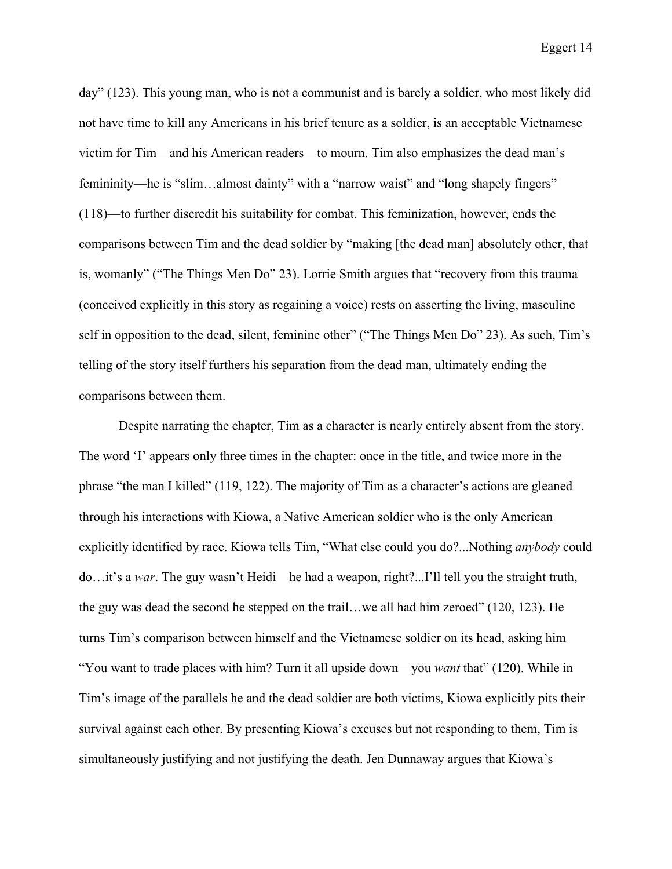day" (123). This young man, who is not a communist and is barely a soldier, who most likely did not have time to kill any Americans in his brief tenure as a soldier, is an acceptable Vietnamese victim for Tim—and his American readers—to mourn. Tim also emphasizes the dead man's femininity—he is "slim…almost dainty" with a "narrow waist" and "long shapely fingers" (118)—to further discredit his suitability for combat. This feminization, however, ends the comparisons between Tim and the dead soldier by "making [the dead man] absolutely other, that is, womanly" ("The Things Men Do" 23). Lorrie Smith argues that "recovery from this trauma (conceived explicitly in this story as regaining a voice) rests on asserting the living, masculine self in opposition to the dead, silent, feminine other" ("The Things Men Do" 23). As such, Tim's telling of the story itself furthers his separation from the dead man, ultimately ending the comparisons between them.

Despite narrating the chapter, Tim as a character is nearly entirely absent from the story. The word 'I' appears only three times in the chapter: once in the title, and twice more in the phrase "the man I killed" (119, 122). The majority of Tim as a character's actions are gleaned through his interactions with Kiowa, a Native American soldier who is the only American explicitly identified by race. Kiowa tells Tim, "What else could you do?...Nothing *anybody* could do…it's a *war*. The guy wasn't Heidi—he had a weapon, right?...I'll tell you the straight truth, the guy was dead the second he stepped on the trail…we all had him zeroed" (120, 123). He turns Tim's comparison between himself and the Vietnamese soldier on its head, asking him "You want to trade places with him? Turn it all upside down—you *want* that" (120). While in Tim's image of the parallels he and the dead soldier are both victims, Kiowa explicitly pits their survival against each other. By presenting Kiowa's excuses but not responding to them, Tim is simultaneously justifying and not justifying the death. Jen Dunnaway argues that Kiowa's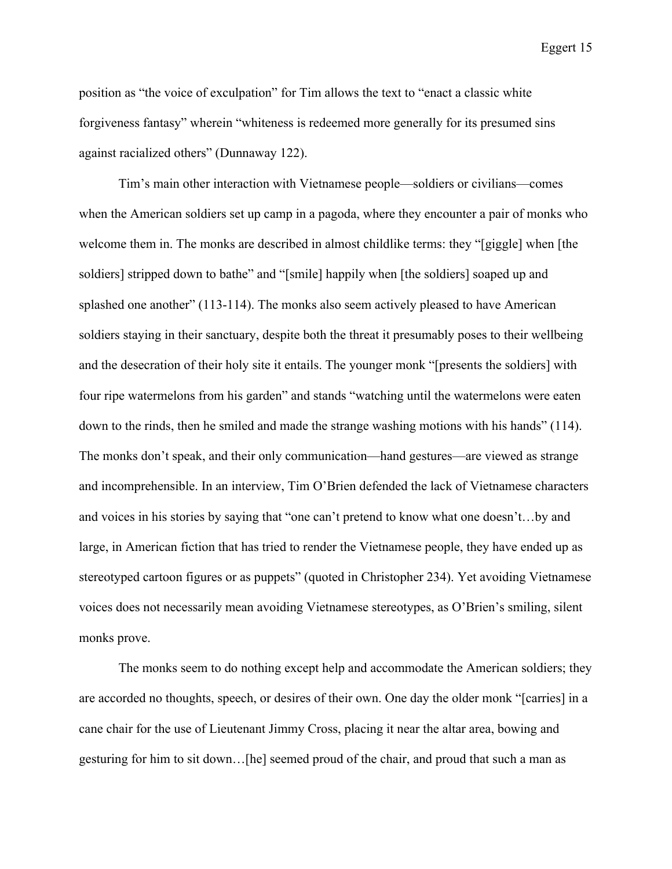position as "the voice of exculpation" for Tim allows the text to "enact a classic white forgiveness fantasy" wherein "whiteness is redeemed more generally for its presumed sins against racialized others" (Dunnaway 122).

Tim's main other interaction with Vietnamese people—soldiers or civilians—comes when the American soldiers set up camp in a pagoda, where they encounter a pair of monks who welcome them in. The monks are described in almost childlike terms: they "[giggle] when [the soldiers] stripped down to bathe" and "[smile] happily when [the soldiers] soaped up and splashed one another" (113-114). The monks also seem actively pleased to have American soldiers staying in their sanctuary, despite both the threat it presumably poses to their wellbeing and the desecration of their holy site it entails. The younger monk "[presents the soldiers] with four ripe watermelons from his garden" and stands "watching until the watermelons were eaten down to the rinds, then he smiled and made the strange washing motions with his hands" (114). The monks don't speak, and their only communication—hand gestures—are viewed as strange and incomprehensible. In an interview, Tim O'Brien defended the lack of Vietnamese characters and voices in his stories by saying that "one can't pretend to know what one doesn't…by and large, in American fiction that has tried to render the Vietnamese people, they have ended up as stereotyped cartoon figures or as puppets" (quoted in Christopher 234). Yet avoiding Vietnamese voices does not necessarily mean avoiding Vietnamese stereotypes, as O'Brien's smiling, silent monks prove.

The monks seem to do nothing except help and accommodate the American soldiers; they are accorded no thoughts, speech, or desires of their own. One day the older monk "[carries] in a cane chair for the use of Lieutenant Jimmy Cross, placing it near the altar area, bowing and gesturing for him to sit down…[he] seemed proud of the chair, and proud that such a man as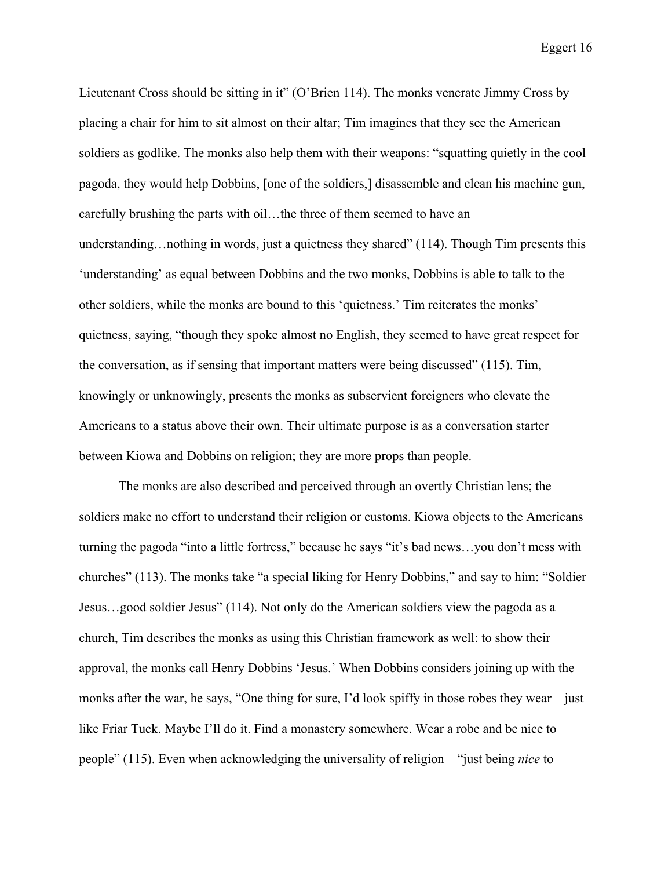Lieutenant Cross should be sitting in it" (O'Brien 114). The monks venerate Jimmy Cross by placing a chair for him to sit almost on their altar; Tim imagines that they see the American soldiers as godlike. The monks also help them with their weapons: "squatting quietly in the cool pagoda, they would help Dobbins, [one of the soldiers,] disassemble and clean his machine gun, carefully brushing the parts with oil…the three of them seemed to have an understanding…nothing in words, just a quietness they shared" (114). Though Tim presents this 'understanding' as equal between Dobbins and the two monks, Dobbins is able to talk to the other soldiers, while the monks are bound to this 'quietness.' Tim reiterates the monks' quietness, saying, "though they spoke almost no English, they seemed to have great respect for the conversation, as if sensing that important matters were being discussed" (115). Tim, knowingly or unknowingly, presents the monks as subservient foreigners who elevate the Americans to a status above their own. Their ultimate purpose is as a conversation starter between Kiowa and Dobbins on religion; they are more props than people.

The monks are also described and perceived through an overtly Christian lens; the soldiers make no effort to understand their religion or customs. Kiowa objects to the Americans turning the pagoda "into a little fortress," because he says "it's bad news…you don't mess with churches" (113). The monks take "a special liking for Henry Dobbins," and say to him: "Soldier Jesus…good soldier Jesus" (114). Not only do the American soldiers view the pagoda as a church, Tim describes the monks as using this Christian framework as well: to show their approval, the monks call Henry Dobbins 'Jesus.' When Dobbins considers joining up with the monks after the war, he says, "One thing for sure, I'd look spiffy in those robes they wear—just like Friar Tuck. Maybe I'll do it. Find a monastery somewhere. Wear a robe and be nice to people" (115). Even when acknowledging the universality of religion—"just being *nice* to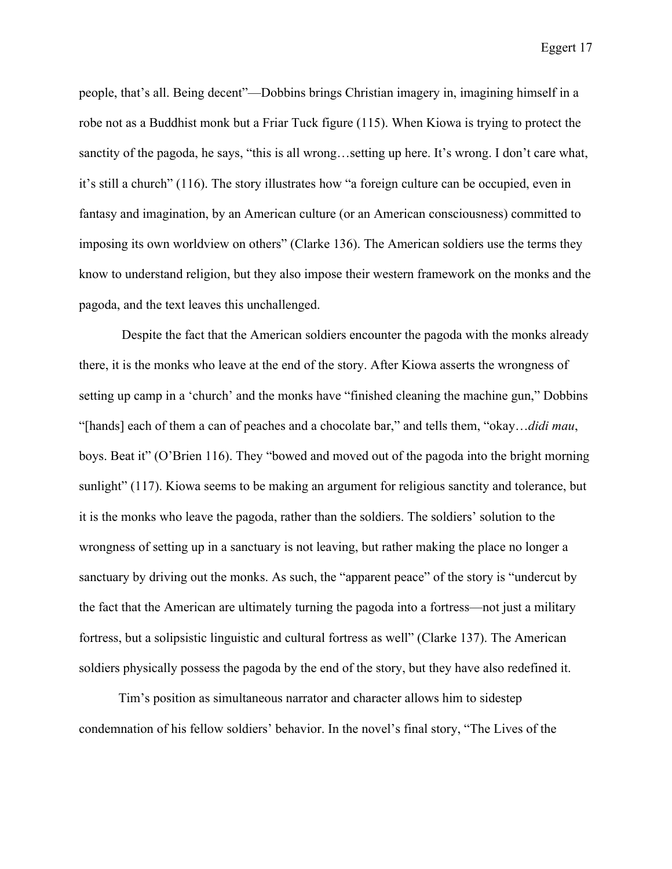people, that's all. Being decent"—Dobbins brings Christian imagery in, imagining himself in a robe not as a Buddhist monk but a Friar Tuck figure (115). When Kiowa is trying to protect the sanctity of the pagoda, he says, "this is all wrong…setting up here. It's wrong. I don't care what, it's still a church" (116). The story illustrates how "a foreign culture can be occupied, even in fantasy and imagination, by an American culture (or an American consciousness) committed to imposing its own worldview on others" (Clarke 136). The American soldiers use the terms they know to understand religion, but they also impose their western framework on the monks and the pagoda, and the text leaves this unchallenged.

Despite the fact that the American soldiers encounter the pagoda with the monks already there, it is the monks who leave at the end of the story. After Kiowa asserts the wrongness of setting up camp in a 'church' and the monks have "finished cleaning the machine gun," Dobbins "[hands] each of them a can of peaches and a chocolate bar," and tells them, "okay…*didi mau*, boys. Beat it" (O'Brien 116). They "bowed and moved out of the pagoda into the bright morning sunlight" (117). Kiowa seems to be making an argument for religious sanctity and tolerance, but it is the monks who leave the pagoda, rather than the soldiers. The soldiers' solution to the wrongness of setting up in a sanctuary is not leaving, but rather making the place no longer a sanctuary by driving out the monks. As such, the "apparent peace" of the story is "undercut by the fact that the American are ultimately turning the pagoda into a fortress—not just a military fortress, but a solipsistic linguistic and cultural fortress as well" (Clarke 137). The American soldiers physically possess the pagoda by the end of the story, but they have also redefined it.

Tim's position as simultaneous narrator and character allows him to sidestep condemnation of his fellow soldiers' behavior. In the novel's final story, "The Lives of the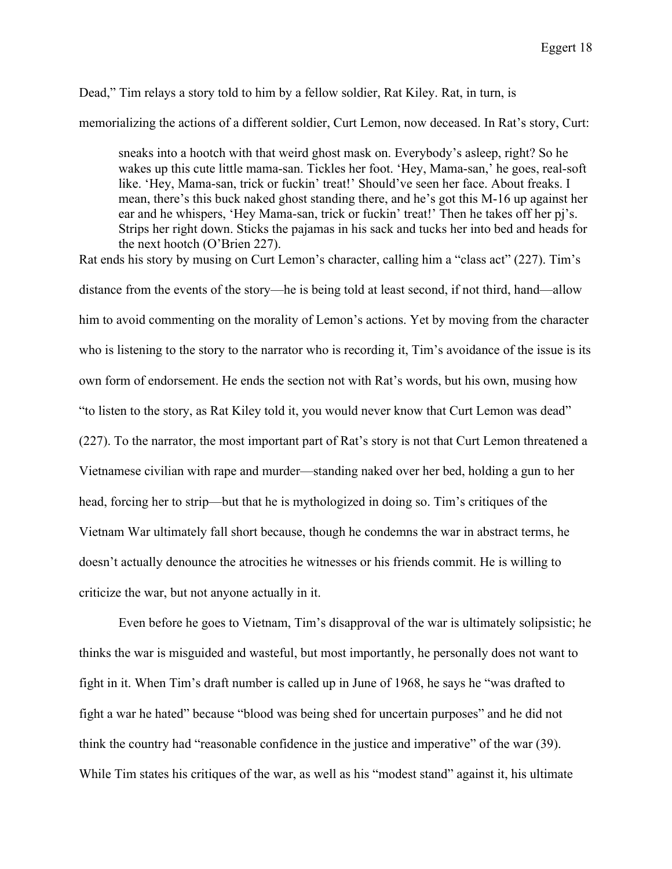## Dead," Tim relays a story told to him by a fellow soldier, Rat Kiley. Rat, in turn, is

memorializing the actions of a different soldier, Curt Lemon, now deceased. In Rat's story, Curt:

sneaks into a hootch with that weird ghost mask on. Everybody's asleep, right? So he wakes up this cute little mama-san. Tickles her foot. 'Hey, Mama-san,' he goes, real-soft like. 'Hey, Mama-san, trick or fuckin' treat!' Should've seen her face. About freaks. I mean, there's this buck naked ghost standing there, and he's got this M-16 up against her ear and he whispers, 'Hey Mama-san, trick or fuckin' treat!' Then he takes off her pj's. Strips her right down. Sticks the pajamas in his sack and tucks her into bed and heads for the next hootch (O'Brien 227).

Rat ends his story by musing on Curt Lemon's character, calling him a "class act" (227). Tim's distance from the events of the story—he is being told at least second, if not third, hand—allow him to avoid commenting on the morality of Lemon's actions. Yet by moving from the character who is listening to the story to the narrator who is recording it, Tim's avoidance of the issue is its own form of endorsement. He ends the section not with Rat's words, but his own, musing how "to listen to the story, as Rat Kiley told it, you would never know that Curt Lemon was dead" (227). To the narrator, the most important part of Rat's story is not that Curt Lemon threatened a Vietnamese civilian with rape and murder—standing naked over her bed, holding a gun to her head, forcing her to strip—but that he is mythologized in doing so. Tim's critiques of the Vietnam War ultimately fall short because, though he condemns the war in abstract terms, he doesn't actually denounce the atrocities he witnesses or his friends commit. He is willing to criticize the war, but not anyone actually in it.

Even before he goes to Vietnam, Tim's disapproval of the war is ultimately solipsistic; he thinks the war is misguided and wasteful, but most importantly, he personally does not want to fight in it. When Tim's draft number is called up in June of 1968, he says he "was drafted to fight a war he hated" because "blood was being shed for uncertain purposes" and he did not think the country had "reasonable confidence in the justice and imperative" of the war (39). While Tim states his critiques of the war, as well as his "modest stand" against it, his ultimate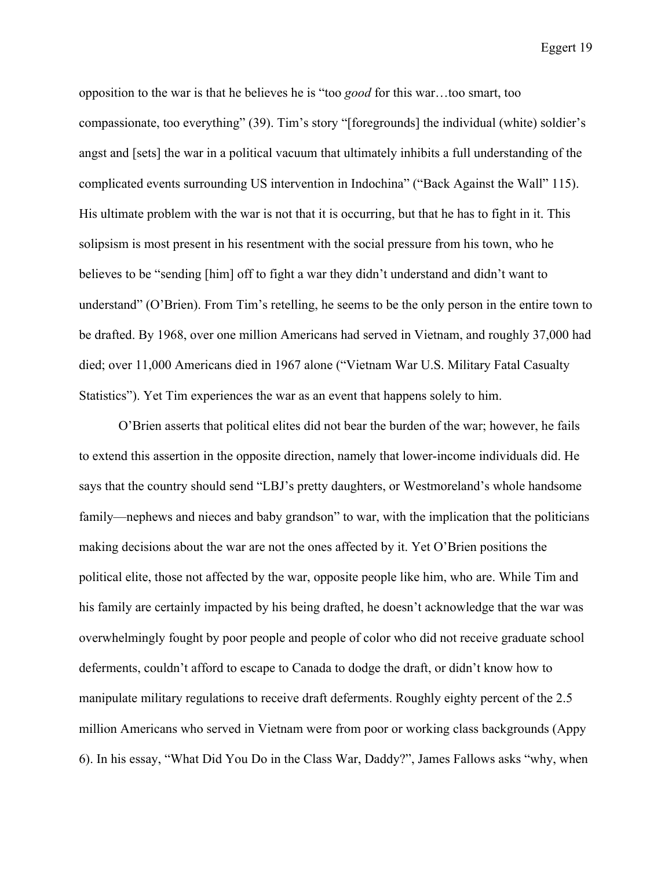opposition to the war is that he believes he is "too *good* for this war…too smart, too compassionate, too everything" (39). Tim's story "[foregrounds] the individual (white) soldier's angst and [sets] the war in a political vacuum that ultimately inhibits a full understanding of the complicated events surrounding US intervention in Indochina" ("Back Against the Wall" 115). His ultimate problem with the war is not that it is occurring, but that he has to fight in it. This solipsism is most present in his resentment with the social pressure from his town, who he believes to be "sending [him] off to fight a war they didn't understand and didn't want to understand" (O'Brien). From Tim's retelling, he seems to be the only person in the entire town to be drafted. By 1968, over one million Americans had served in Vietnam, and roughly 37,000 had died; over 11,000 Americans died in 1967 alone ("Vietnam War U.S. Military Fatal Casualty Statistics"). Yet Tim experiences the war as an event that happens solely to him.

O'Brien asserts that political elites did not bear the burden of the war; however, he fails to extend this assertion in the opposite direction, namely that lower-income individuals did. He says that the country should send "LBJ's pretty daughters, or Westmoreland's whole handsome family—nephews and nieces and baby grandson" to war, with the implication that the politicians making decisions about the war are not the ones affected by it. Yet O'Brien positions the political elite, those not affected by the war, opposite people like him, who are. While Tim and his family are certainly impacted by his being drafted, he doesn't acknowledge that the war was overwhelmingly fought by poor people and people of color who did not receive graduate school deferments, couldn't afford to escape to Canada to dodge the draft, or didn't know how to manipulate military regulations to receive draft deferments. Roughly eighty percent of the 2.5 million Americans who served in Vietnam were from poor or working class backgrounds (Appy 6). In his essay, "What Did You Do in the Class War, Daddy?", James Fallows asks "why, when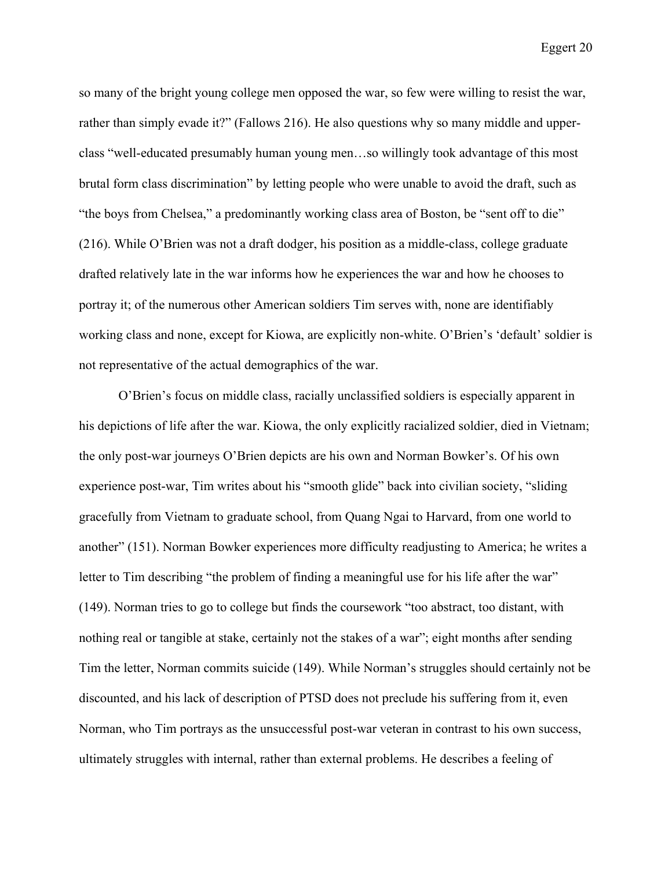so many of the bright young college men opposed the war, so few were willing to resist the war, rather than simply evade it?" (Fallows 216). He also questions why so many middle and upperclass "well-educated presumably human young men…so willingly took advantage of this most brutal form class discrimination" by letting people who were unable to avoid the draft, such as "the boys from Chelsea," a predominantly working class area of Boston, be "sent off to die" (216). While O'Brien was not a draft dodger, his position as a middle-class, college graduate drafted relatively late in the war informs how he experiences the war and how he chooses to portray it; of the numerous other American soldiers Tim serves with, none are identifiably working class and none, except for Kiowa, are explicitly non-white. O'Brien's 'default' soldier is not representative of the actual demographics of the war.

O'Brien's focus on middle class, racially unclassified soldiers is especially apparent in his depictions of life after the war. Kiowa, the only explicitly racialized soldier, died in Vietnam; the only post-war journeys O'Brien depicts are his own and Norman Bowker's. Of his own experience post-war, Tim writes about his "smooth glide" back into civilian society, "sliding gracefully from Vietnam to graduate school, from Quang Ngai to Harvard, from one world to another" (151). Norman Bowker experiences more difficulty readjusting to America; he writes a letter to Tim describing "the problem of finding a meaningful use for his life after the war" (149). Norman tries to go to college but finds the coursework "too abstract, too distant, with nothing real or tangible at stake, certainly not the stakes of a war"; eight months after sending Tim the letter, Norman commits suicide (149). While Norman's struggles should certainly not be discounted, and his lack of description of PTSD does not preclude his suffering from it, even Norman, who Tim portrays as the unsuccessful post-war veteran in contrast to his own success, ultimately struggles with internal, rather than external problems. He describes a feeling of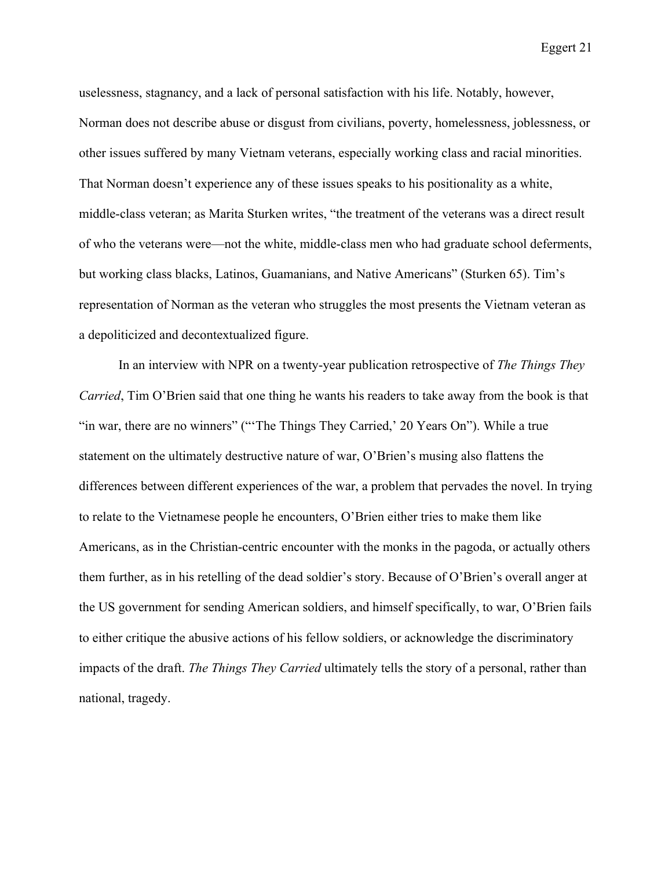uselessness, stagnancy, and a lack of personal satisfaction with his life. Notably, however, Norman does not describe abuse or disgust from civilians, poverty, homelessness, joblessness, or other issues suffered by many Vietnam veterans, especially working class and racial minorities. That Norman doesn't experience any of these issues speaks to his positionality as a white, middle-class veteran; as Marita Sturken writes, "the treatment of the veterans was a direct result of who the veterans were—not the white, middle-class men who had graduate school deferments, but working class blacks, Latinos, Guamanians, and Native Americans" (Sturken 65). Tim's representation of Norman as the veteran who struggles the most presents the Vietnam veteran as a depoliticized and decontextualized figure.

In an interview with NPR on a twenty-year publication retrospective of *The Things They Carried*, Tim O'Brien said that one thing he wants his readers to take away from the book is that "in war, there are no winners" ("The Things They Carried,' 20 Years On"). While a true statement on the ultimately destructive nature of war, O'Brien's musing also flattens the differences between different experiences of the war, a problem that pervades the novel. In trying to relate to the Vietnamese people he encounters, O'Brien either tries to make them like Americans, as in the Christian-centric encounter with the monks in the pagoda, or actually others them further, as in his retelling of the dead soldier's story. Because of O'Brien's overall anger at the US government for sending American soldiers, and himself specifically, to war, O'Brien fails to either critique the abusive actions of his fellow soldiers, or acknowledge the discriminatory impacts of the draft. *The Things They Carried* ultimately tells the story of a personal, rather than national, tragedy.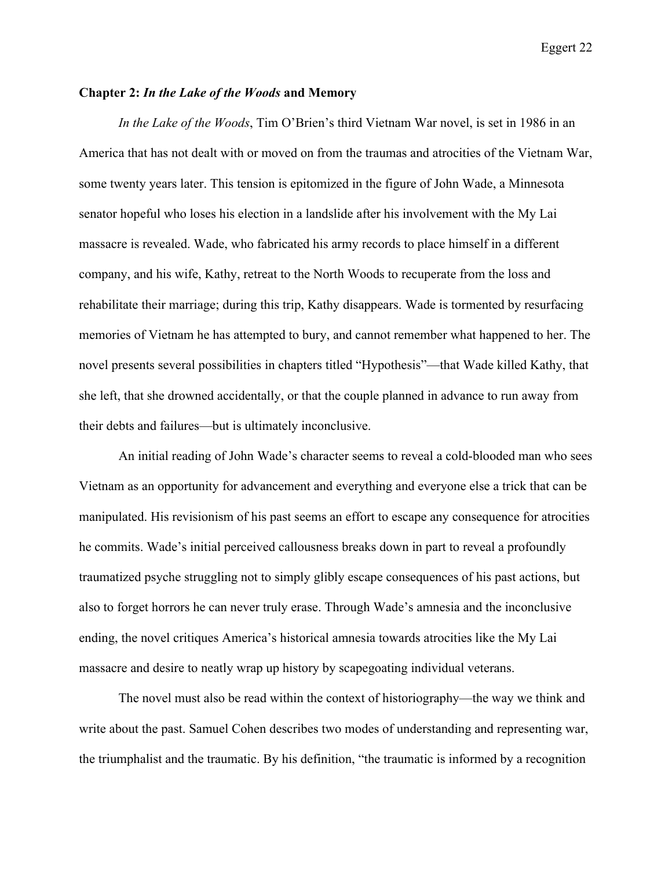#### **Chapter 2:** *In the Lake of the Woods* **and Memory**

*In the Lake of the Woods*, Tim O'Brien's third Vietnam War novel, is set in 1986 in an America that has not dealt with or moved on from the traumas and atrocities of the Vietnam War, some twenty years later. This tension is epitomized in the figure of John Wade, a Minnesota senator hopeful who loses his election in a landslide after his involvement with the My Lai massacre is revealed. Wade, who fabricated his army records to place himself in a different company, and his wife, Kathy, retreat to the North Woods to recuperate from the loss and rehabilitate their marriage; during this trip, Kathy disappears. Wade is tormented by resurfacing memories of Vietnam he has attempted to bury, and cannot remember what happened to her. The novel presents several possibilities in chapters titled "Hypothesis"—that Wade killed Kathy, that she left, that she drowned accidentally, or that the couple planned in advance to run away from their debts and failures—but is ultimately inconclusive.

An initial reading of John Wade's character seems to reveal a cold-blooded man who sees Vietnam as an opportunity for advancement and everything and everyone else a trick that can be manipulated. His revisionism of his past seems an effort to escape any consequence for atrocities he commits. Wade's initial perceived callousness breaks down in part to reveal a profoundly traumatized psyche struggling not to simply glibly escape consequences of his past actions, but also to forget horrors he can never truly erase. Through Wade's amnesia and the inconclusive ending, the novel critiques America's historical amnesia towards atrocities like the My Lai massacre and desire to neatly wrap up history by scapegoating individual veterans.

The novel must also be read within the context of historiography—the way we think and write about the past. Samuel Cohen describes two modes of understanding and representing war, the triumphalist and the traumatic. By his definition, "the traumatic is informed by a recognition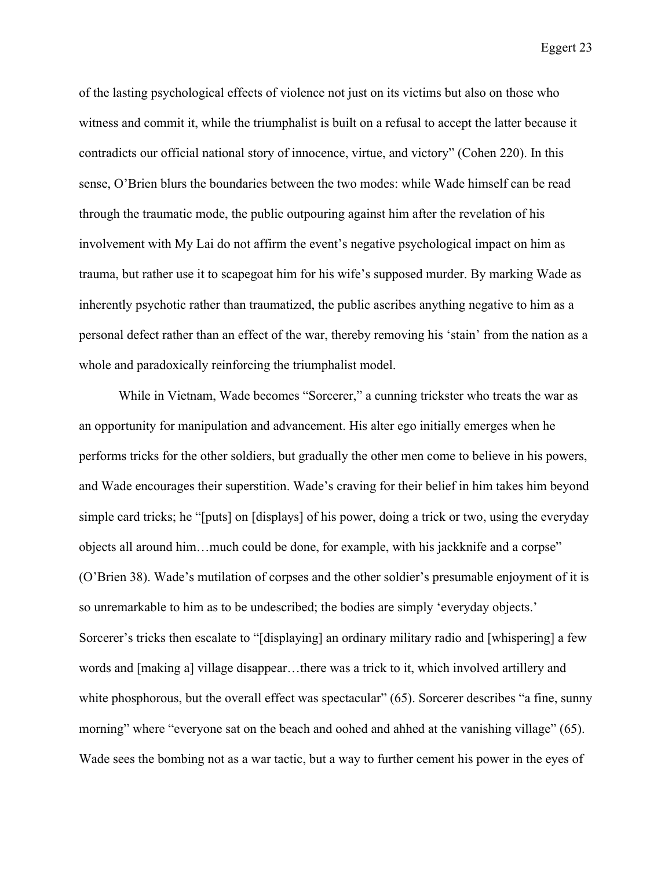of the lasting psychological effects of violence not just on its victims but also on those who witness and commit it, while the triumphalist is built on a refusal to accept the latter because it contradicts our official national story of innocence, virtue, and victory" (Cohen 220). In this sense, O'Brien blurs the boundaries between the two modes: while Wade himself can be read through the traumatic mode, the public outpouring against him after the revelation of his involvement with My Lai do not affirm the event's negative psychological impact on him as trauma, but rather use it to scapegoat him for his wife's supposed murder. By marking Wade as inherently psychotic rather than traumatized, the public ascribes anything negative to him as a personal defect rather than an effect of the war, thereby removing his 'stain' from the nation as a whole and paradoxically reinforcing the triumphalist model.

While in Vietnam, Wade becomes "Sorcerer," a cunning trickster who treats the war as an opportunity for manipulation and advancement. His alter ego initially emerges when he performs tricks for the other soldiers, but gradually the other men come to believe in his powers, and Wade encourages their superstition. Wade's craving for their belief in him takes him beyond simple card tricks; he "[puts] on [displays] of his power, doing a trick or two, using the everyday objects all around him…much could be done, for example, with his jackknife and a corpse" (O'Brien 38). Wade's mutilation of corpses and the other soldier's presumable enjoyment of it is so unremarkable to him as to be undescribed; the bodies are simply 'everyday objects.' Sorcerer's tricks then escalate to "[displaying] an ordinary military radio and [whispering] a few words and [making a] village disappear…there was a trick to it, which involved artillery and white phosphorous, but the overall effect was spectacular" (65). Sorcerer describes "a fine, sunny morning" where "everyone sat on the beach and oohed and ahhed at the vanishing village" (65). Wade sees the bombing not as a war tactic, but a way to further cement his power in the eyes of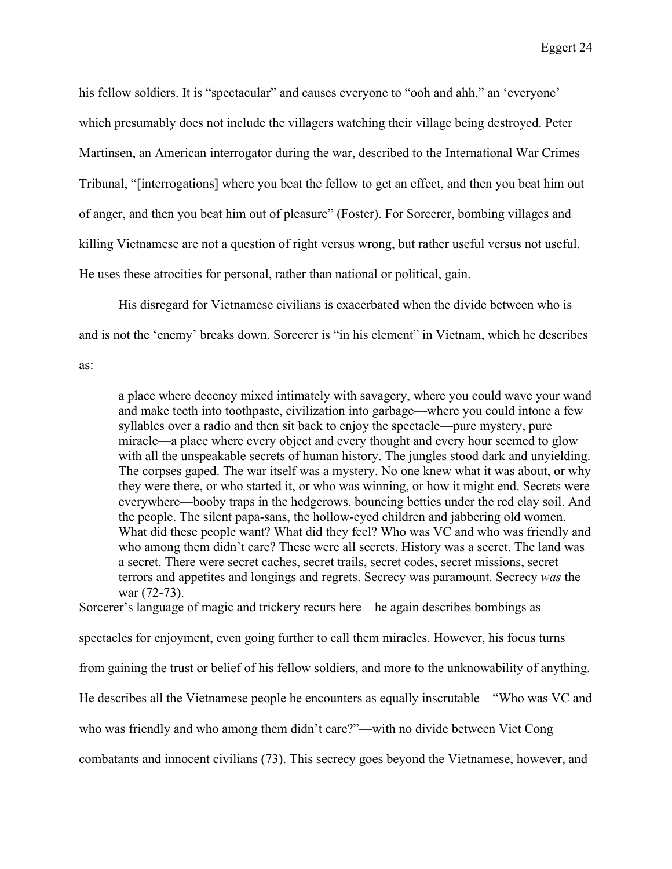his fellow soldiers. It is "spectacular" and causes everyone to "ooh and ahh," an 'everyone' which presumably does not include the villagers watching their village being destroyed. Peter Martinsen, an American interrogator during the war, described to the International War Crimes Tribunal, "[interrogations] where you beat the fellow to get an effect, and then you beat him out of anger, and then you beat him out of pleasure" (Foster). For Sorcerer, bombing villages and killing Vietnamese are not a question of right versus wrong, but rather useful versus not useful. He uses these atrocities for personal, rather than national or political, gain.

His disregard for Vietnamese civilians is exacerbated when the divide between who is and is not the 'enemy' breaks down. Sorcerer is "in his element" in Vietnam, which he describes

as:

a place where decency mixed intimately with savagery, where you could wave your wand and make teeth into toothpaste, civilization into garbage—where you could intone a few syllables over a radio and then sit back to enjoy the spectacle—pure mystery, pure miracle—a place where every object and every thought and every hour seemed to glow with all the unspeakable secrets of human history. The jungles stood dark and unyielding. The corpses gaped. The war itself was a mystery. No one knew what it was about, or why they were there, or who started it, or who was winning, or how it might end. Secrets were everywhere—booby traps in the hedgerows, bouncing betties under the red clay soil. And the people. The silent papa-sans, the hollow-eyed children and jabbering old women. What did these people want? What did they feel? Who was VC and who was friendly and who among them didn't care? These were all secrets. History was a secret. The land was a secret. There were secret caches, secret trails, secret codes, secret missions, secret terrors and appetites and longings and regrets. Secrecy was paramount. Secrecy *was* the war (72-73).

Sorcerer's language of magic and trickery recurs here—he again describes bombings as

spectacles for enjoyment, even going further to call them miracles. However, his focus turns

from gaining the trust or belief of his fellow soldiers, and more to the unknowability of anything.

He describes all the Vietnamese people he encounters as equally inscrutable—"Who was VC and

who was friendly and who among them didn't care?"—with no divide between Viet Cong

combatants and innocent civilians (73). This secrecy goes beyond the Vietnamese, however, and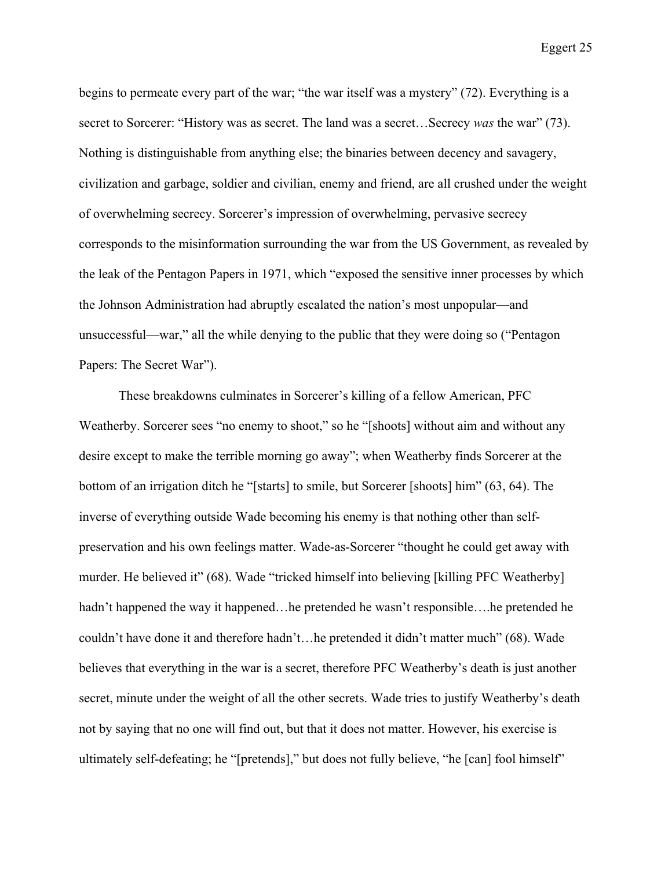begins to permeate every part of the war; "the war itself was a mystery" (72). Everything is a secret to Sorcerer: "History was as secret. The land was a secret…Secrecy *was* the war" (73). Nothing is distinguishable from anything else; the binaries between decency and savagery, civilization and garbage, soldier and civilian, enemy and friend, are all crushed under the weight of overwhelming secrecy. Sorcerer's impression of overwhelming, pervasive secrecy corresponds to the misinformation surrounding the war from the US Government, as revealed by the leak of the Pentagon Papers in 1971, which "exposed the sensitive inner processes by which the Johnson Administration had abruptly escalated the nation's most unpopular—and unsuccessful—war," all the while denying to the public that they were doing so ("Pentagon Papers: The Secret War").

These breakdowns culminates in Sorcerer's killing of a fellow American, PFC Weatherby. Sorcerer sees "no enemy to shoot," so he "[shoots] without aim and without any desire except to make the terrible morning go away"; when Weatherby finds Sorcerer at the bottom of an irrigation ditch he "[starts] to smile, but Sorcerer [shoots] him" (63, 64). The inverse of everything outside Wade becoming his enemy is that nothing other than selfpreservation and his own feelings matter. Wade-as-Sorcerer "thought he could get away with murder. He believed it" (68). Wade "tricked himself into believing [killing PFC Weatherby] hadn't happened the way it happened…he pretended he wasn't responsible….he pretended he couldn't have done it and therefore hadn't…he pretended it didn't matter much" (68). Wade believes that everything in the war is a secret, therefore PFC Weatherby's death is just another secret, minute under the weight of all the other secrets. Wade tries to justify Weatherby's death not by saying that no one will find out, but that it does not matter. However, his exercise is ultimately self-defeating; he "[pretends]," but does not fully believe, "he [can] fool himself"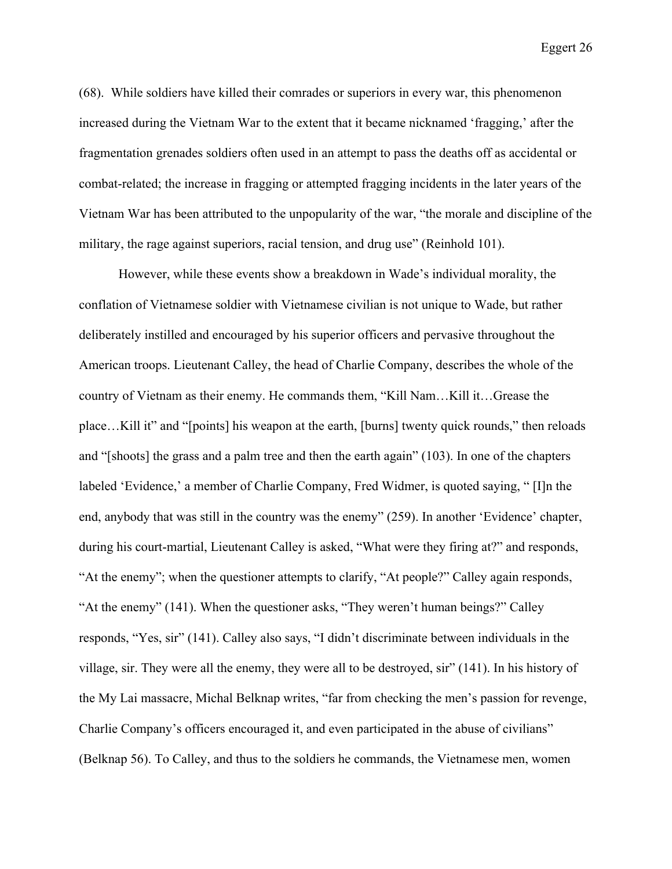(68). While soldiers have killed their comrades or superiors in every war, this phenomenon increased during the Vietnam War to the extent that it became nicknamed 'fragging,' after the fragmentation grenades soldiers often used in an attempt to pass the deaths off as accidental or combat-related; the increase in fragging or attempted fragging incidents in the later years of the Vietnam War has been attributed to the unpopularity of the war, "the morale and discipline of the military, the rage against superiors, racial tension, and drug use" (Reinhold 101).

However, while these events show a breakdown in Wade's individual morality, the conflation of Vietnamese soldier with Vietnamese civilian is not unique to Wade, but rather deliberately instilled and encouraged by his superior officers and pervasive throughout the American troops. Lieutenant Calley, the head of Charlie Company, describes the whole of the country of Vietnam as their enemy. He commands them, "Kill Nam…Kill it…Grease the place…Kill it" and "[points] his weapon at the earth, [burns] twenty quick rounds," then reloads and "[shoots] the grass and a palm tree and then the earth again" (103). In one of the chapters labeled 'Evidence,' a member of Charlie Company, Fred Widmer, is quoted saying, " [I]n the end, anybody that was still in the country was the enemy" (259). In another 'Evidence' chapter, during his court-martial, Lieutenant Calley is asked, "What were they firing at?" and responds, "At the enemy"; when the questioner attempts to clarify, "At people?" Calley again responds, "At the enemy" (141). When the questioner asks, "They weren't human beings?" Calley responds, "Yes, sir" (141). Calley also says, "I didn't discriminate between individuals in the village, sir. They were all the enemy, they were all to be destroyed, sir" (141). In his history of the My Lai massacre, Michal Belknap writes, "far from checking the men's passion for revenge, Charlie Company's officers encouraged it, and even participated in the abuse of civilians" (Belknap 56). To Calley, and thus to the soldiers he commands, the Vietnamese men, women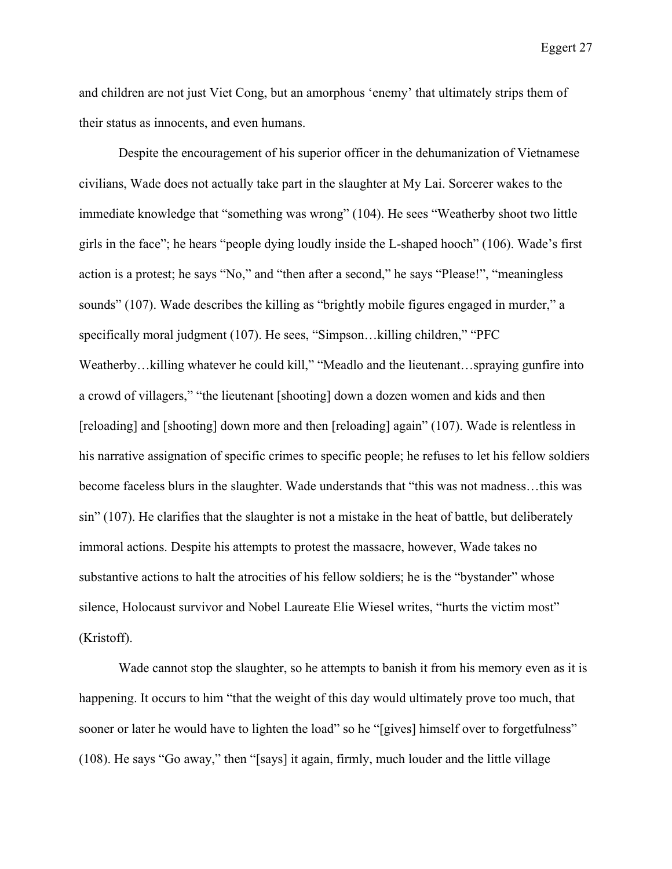and children are not just Viet Cong, but an amorphous 'enemy' that ultimately strips them of their status as innocents, and even humans.

Despite the encouragement of his superior officer in the dehumanization of Vietnamese civilians, Wade does not actually take part in the slaughter at My Lai. Sorcerer wakes to the immediate knowledge that "something was wrong" (104). He sees "Weatherby shoot two little girls in the face"; he hears "people dying loudly inside the L-shaped hooch" (106). Wade's first action is a protest; he says "No," and "then after a second," he says "Please!", "meaningless sounds" (107). Wade describes the killing as "brightly mobile figures engaged in murder," a specifically moral judgment (107). He sees, "Simpson...killing children," "PFC Weatherby...killing whatever he could kill," "Meadlo and the lieutenant...spraying gunfire into a crowd of villagers," "the lieutenant [shooting] down a dozen women and kids and then [reloading] and [shooting] down more and then [reloading] again" (107). Wade is relentless in his narrative assignation of specific crimes to specific people; he refuses to let his fellow soldiers become faceless blurs in the slaughter. Wade understands that "this was not madness…this was sin" (107). He clarifies that the slaughter is not a mistake in the heat of battle, but deliberately immoral actions. Despite his attempts to protest the massacre, however, Wade takes no substantive actions to halt the atrocities of his fellow soldiers; he is the "bystander" whose silence, Holocaust survivor and Nobel Laureate Elie Wiesel writes, "hurts the victim most" (Kristoff).

Wade cannot stop the slaughter, so he attempts to banish it from his memory even as it is happening. It occurs to him "that the weight of this day would ultimately prove too much, that sooner or later he would have to lighten the load" so he "[gives] himself over to forgetfulness" (108). He says "Go away," then "[says] it again, firmly, much louder and the little village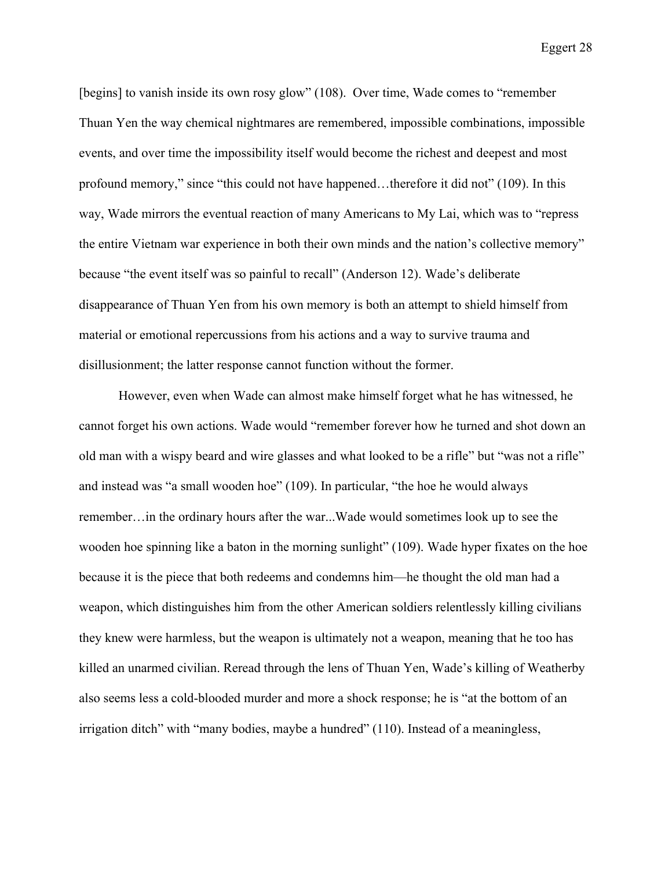[begins] to vanish inside its own rosy glow" (108). Over time, Wade comes to "remember Thuan Yen the way chemical nightmares are remembered, impossible combinations, impossible events, and over time the impossibility itself would become the richest and deepest and most profound memory," since "this could not have happened…therefore it did not" (109). In this way, Wade mirrors the eventual reaction of many Americans to My Lai, which was to "repress the entire Vietnam war experience in both their own minds and the nation's collective memory" because "the event itself was so painful to recall" (Anderson 12). Wade's deliberate disappearance of Thuan Yen from his own memory is both an attempt to shield himself from material or emotional repercussions from his actions and a way to survive trauma and disillusionment; the latter response cannot function without the former.

However, even when Wade can almost make himself forget what he has witnessed, he cannot forget his own actions. Wade would "remember forever how he turned and shot down an old man with a wispy beard and wire glasses and what looked to be a rifle" but "was not a rifle" and instead was "a small wooden hoe" (109). In particular, "the hoe he would always remember…in the ordinary hours after the war...Wade would sometimes look up to see the wooden hoe spinning like a baton in the morning sunlight" (109). Wade hyper fixates on the hoe because it is the piece that both redeems and condemns him—he thought the old man had a weapon, which distinguishes him from the other American soldiers relentlessly killing civilians they knew were harmless, but the weapon is ultimately not a weapon, meaning that he too has killed an unarmed civilian. Reread through the lens of Thuan Yen, Wade's killing of Weatherby also seems less a cold-blooded murder and more a shock response; he is "at the bottom of an irrigation ditch" with "many bodies, maybe a hundred" (110). Instead of a meaningless,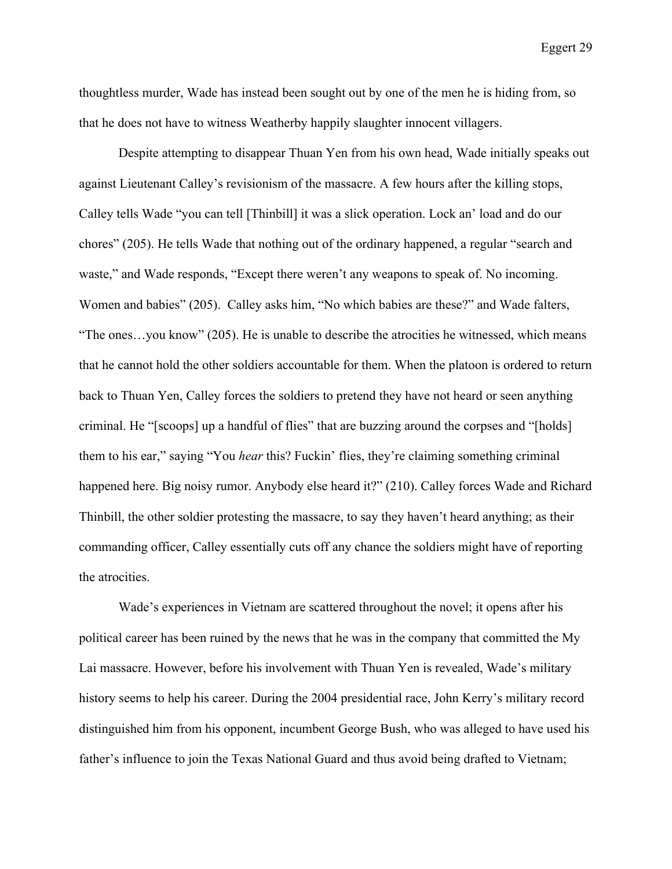thoughtless murder, Wade has instead been sought out by one of the men he is hiding from, so that he does not have to witness Weatherby happily slaughter innocent villagers.

Despite attempting to disappear Thuan Yen from his own head, Wade initially speaks out against Lieutenant Calley's revisionism of the massacre. A few hours after the killing stops, Calley tells Wade "you can tell [Thinbill] it was a slick operation. Lock an' load and do our chores" (205). He tells Wade that nothing out of the ordinary happened, a regular "search and waste," and Wade responds, "Except there weren't any weapons to speak of. No incoming. Women and babies" (205). Calley asks him, "No which babies are these?" and Wade falters, "The ones…you know" (205). He is unable to describe the atrocities he witnessed, which means that he cannot hold the other soldiers accountable for them. When the platoon is ordered to return back to Thuan Yen, Calley forces the soldiers to pretend they have not heard or seen anything criminal. He "[scoops] up a handful of flies" that are buzzing around the corpses and "[holds] them to his ear," saying "You *hear* this? Fuckin' flies, they're claiming something criminal happened here. Big noisy rumor. Anybody else heard it?" (210). Calley forces Wade and Richard Thinbill, the other soldier protesting the massacre, to say they haven't heard anything; as their commanding officer, Calley essentially cuts off any chance the soldiers might have of reporting the atrocities.

Wade's experiences in Vietnam are scattered throughout the novel; it opens after his political career has been ruined by the news that he was in the company that committed the My Lai massacre. However, before his involvement with Thuan Yen is revealed, Wade's military history seems to help his career. During the 2004 presidential race, John Kerry's military record distinguished him from his opponent, incumbent George Bush, who was alleged to have used his father's influence to join the Texas National Guard and thus avoid being drafted to Vietnam;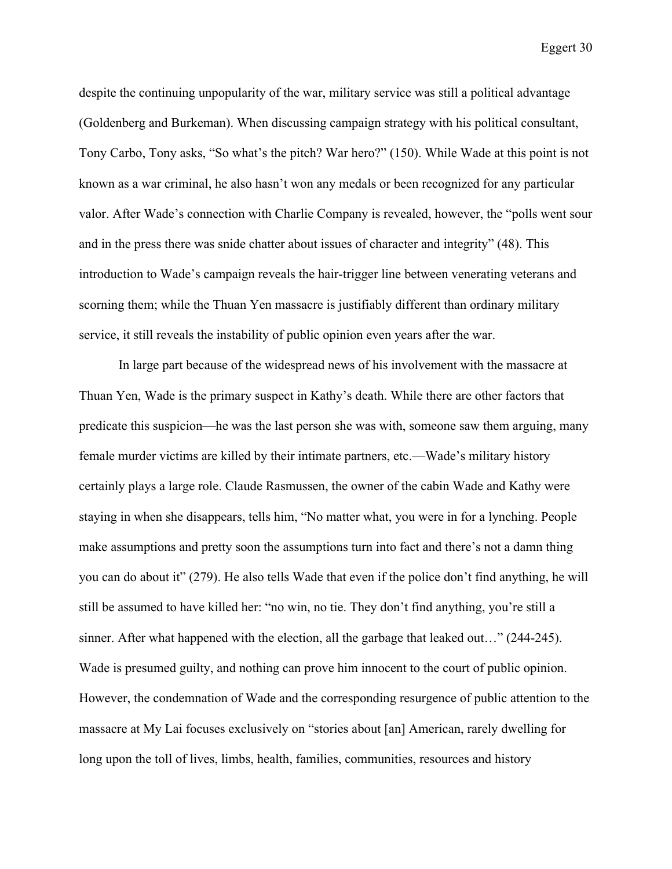despite the continuing unpopularity of the war, military service was still a political advantage (Goldenberg and Burkeman). When discussing campaign strategy with his political consultant, Tony Carbo, Tony asks, "So what's the pitch? War hero?" (150). While Wade at this point is not known as a war criminal, he also hasn't won any medals or been recognized for any particular valor. After Wade's connection with Charlie Company is revealed, however, the "polls went sour and in the press there was snide chatter about issues of character and integrity" (48). This introduction to Wade's campaign reveals the hair-trigger line between venerating veterans and scorning them; while the Thuan Yen massacre is justifiably different than ordinary military service, it still reveals the instability of public opinion even years after the war.

In large part because of the widespread news of his involvement with the massacre at Thuan Yen, Wade is the primary suspect in Kathy's death. While there are other factors that predicate this suspicion—he was the last person she was with, someone saw them arguing, many female murder victims are killed by their intimate partners, etc.—Wade's military history certainly plays a large role. Claude Rasmussen, the owner of the cabin Wade and Kathy were staying in when she disappears, tells him, "No matter what, you were in for a lynching. People make assumptions and pretty soon the assumptions turn into fact and there's not a damn thing you can do about it" (279). He also tells Wade that even if the police don't find anything, he will still be assumed to have killed her: "no win, no tie. They don't find anything, you're still a sinner. After what happened with the election, all the garbage that leaked out…" (244-245). Wade is presumed guilty, and nothing can prove him innocent to the court of public opinion. However, the condemnation of Wade and the corresponding resurgence of public attention to the massacre at My Lai focuses exclusively on "stories about [an] American, rarely dwelling for long upon the toll of lives, limbs, health, families, communities, resources and history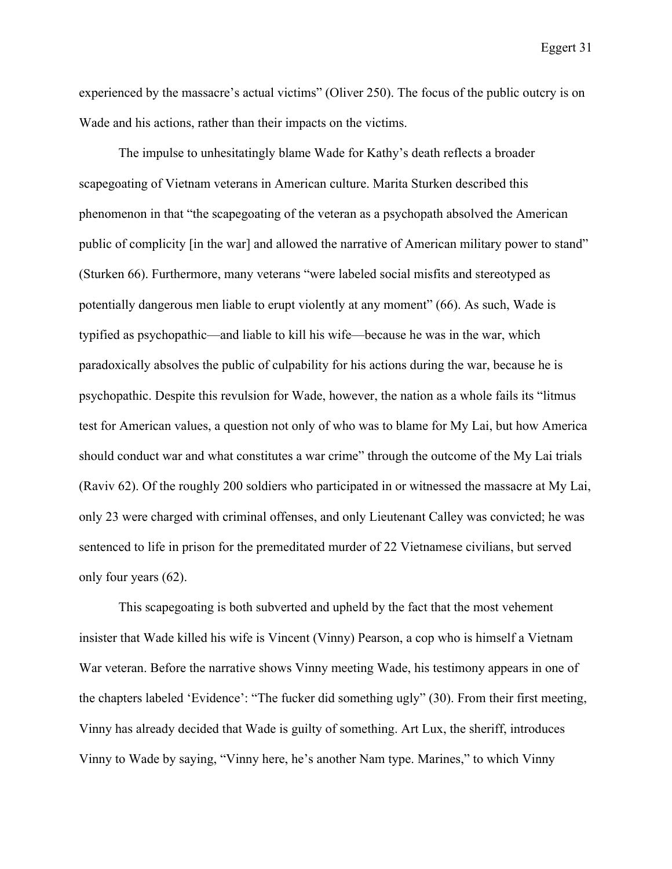experienced by the massacre's actual victims" (Oliver 250). The focus of the public outcry is on Wade and his actions, rather than their impacts on the victims.

The impulse to unhesitatingly blame Wade for Kathy's death reflects a broader scapegoating of Vietnam veterans in American culture. Marita Sturken described this phenomenon in that "the scapegoating of the veteran as a psychopath absolved the American public of complicity [in the war] and allowed the narrative of American military power to stand" (Sturken 66). Furthermore, many veterans "were labeled social misfits and stereotyped as potentially dangerous men liable to erupt violently at any moment" (66). As such, Wade is typified as psychopathic—and liable to kill his wife—because he was in the war, which paradoxically absolves the public of culpability for his actions during the war, because he is psychopathic. Despite this revulsion for Wade, however, the nation as a whole fails its "litmus test for American values, a question not only of who was to blame for My Lai, but how America should conduct war and what constitutes a war crime" through the outcome of the My Lai trials (Raviv 62). Of the roughly 200 soldiers who participated in or witnessed the massacre at My Lai, only 23 were charged with criminal offenses, and only Lieutenant Calley was convicted; he was sentenced to life in prison for the premeditated murder of 22 Vietnamese civilians, but served only four years (62).

This scapegoating is both subverted and upheld by the fact that the most vehement insister that Wade killed his wife is Vincent (Vinny) Pearson, a cop who is himself a Vietnam War veteran. Before the narrative shows Vinny meeting Wade, his testimony appears in one of the chapters labeled 'Evidence': "The fucker did something ugly" (30). From their first meeting, Vinny has already decided that Wade is guilty of something. Art Lux, the sheriff, introduces Vinny to Wade by saying, "Vinny here, he's another Nam type. Marines," to which Vinny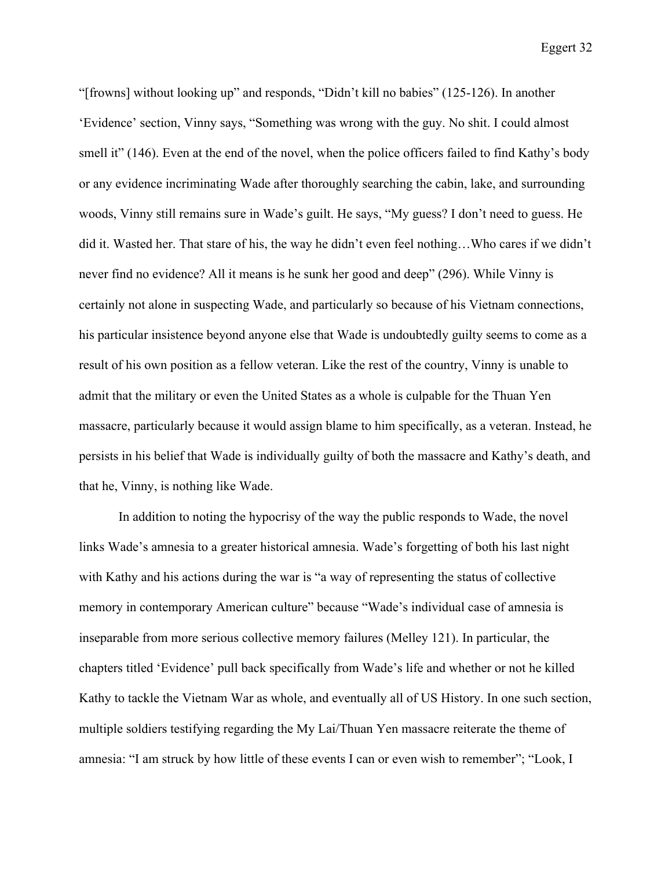"[frowns] without looking up" and responds, "Didn't kill no babies" (125-126). In another 'Evidence' section, Vinny says, "Something was wrong with the guy. No shit. I could almost smell it" (146). Even at the end of the novel, when the police officers failed to find Kathy's body or any evidence incriminating Wade after thoroughly searching the cabin, lake, and surrounding woods, Vinny still remains sure in Wade's guilt. He says, "My guess? I don't need to guess. He did it. Wasted her. That stare of his, the way he didn't even feel nothing…Who cares if we didn't never find no evidence? All it means is he sunk her good and deep" (296). While Vinny is certainly not alone in suspecting Wade, and particularly so because of his Vietnam connections, his particular insistence beyond anyone else that Wade is undoubtedly guilty seems to come as a result of his own position as a fellow veteran. Like the rest of the country, Vinny is unable to admit that the military or even the United States as a whole is culpable for the Thuan Yen massacre, particularly because it would assign blame to him specifically, as a veteran. Instead, he persists in his belief that Wade is individually guilty of both the massacre and Kathy's death, and that he, Vinny, is nothing like Wade.

In addition to noting the hypocrisy of the way the public responds to Wade, the novel links Wade's amnesia to a greater historical amnesia. Wade's forgetting of both his last night with Kathy and his actions during the war is "a way of representing the status of collective memory in contemporary American culture" because "Wade's individual case of amnesia is inseparable from more serious collective memory failures (Melley 121). In particular, the chapters titled 'Evidence' pull back specifically from Wade's life and whether or not he killed Kathy to tackle the Vietnam War as whole, and eventually all of US History. In one such section, multiple soldiers testifying regarding the My Lai/Thuan Yen massacre reiterate the theme of amnesia: "I am struck by how little of these events I can or even wish to remember"; "Look, I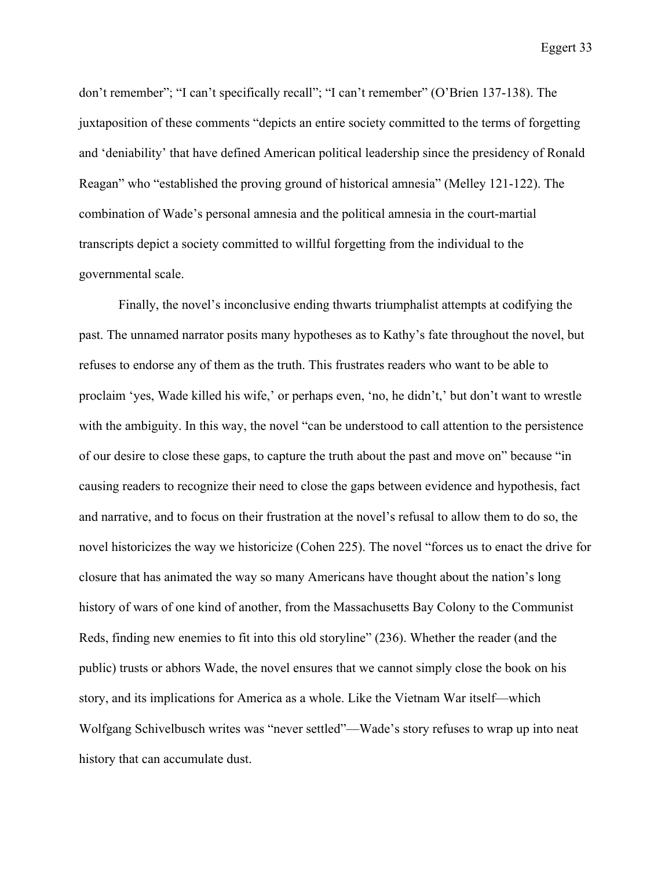don't remember"; "I can't specifically recall"; "I can't remember" (O'Brien 137-138). The juxtaposition of these comments "depicts an entire society committed to the terms of forgetting and 'deniability' that have defined American political leadership since the presidency of Ronald Reagan" who "established the proving ground of historical amnesia" (Melley 121-122). The combination of Wade's personal amnesia and the political amnesia in the court-martial transcripts depict a society committed to willful forgetting from the individual to the governmental scale.

Finally, the novel's inconclusive ending thwarts triumphalist attempts at codifying the past. The unnamed narrator posits many hypotheses as to Kathy's fate throughout the novel, but refuses to endorse any of them as the truth. This frustrates readers who want to be able to proclaim 'yes, Wade killed his wife,' or perhaps even, 'no, he didn't,' but don't want to wrestle with the ambiguity. In this way, the novel "can be understood to call attention to the persistence of our desire to close these gaps, to capture the truth about the past and move on" because "in causing readers to recognize their need to close the gaps between evidence and hypothesis, fact and narrative, and to focus on their frustration at the novel's refusal to allow them to do so, the novel historicizes the way we historicize (Cohen 225). The novel "forces us to enact the drive for closure that has animated the way so many Americans have thought about the nation's long history of wars of one kind of another, from the Massachusetts Bay Colony to the Communist Reds, finding new enemies to fit into this old storyline" (236). Whether the reader (and the public) trusts or abhors Wade, the novel ensures that we cannot simply close the book on his story, and its implications for America as a whole. Like the Vietnam War itself—which Wolfgang Schivelbusch writes was "never settled"—Wade's story refuses to wrap up into neat history that can accumulate dust.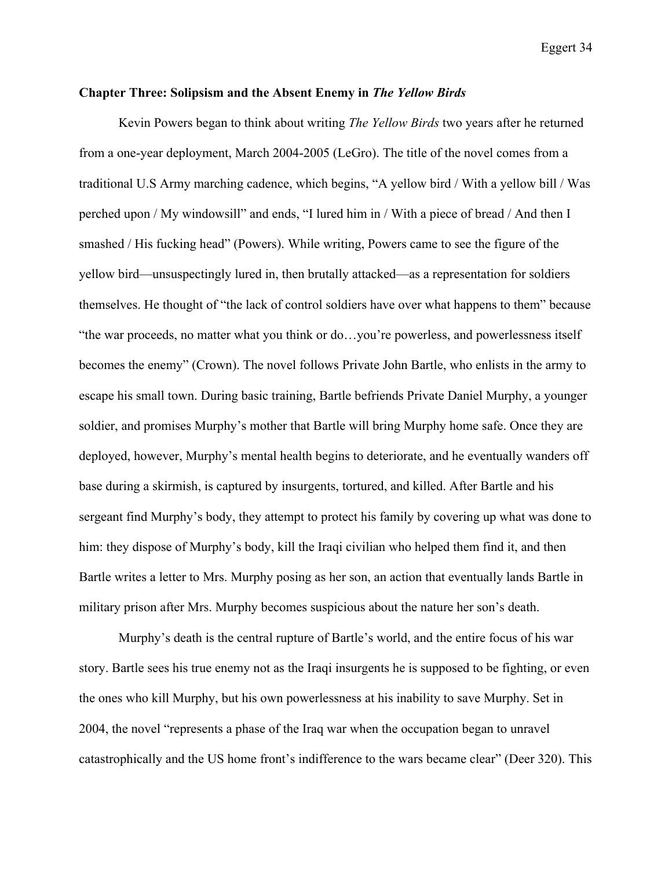## **Chapter Three: Solipsism and the Absent Enemy in** *The Yellow Birds*

Kevin Powers began to think about writing *The Yellow Birds* two years after he returned from a one-year deployment, March 2004-2005 (LeGro). The title of the novel comes from a traditional U.S Army marching cadence, which begins, "A yellow bird / With a yellow bill / Was perched upon / My windowsill" and ends, "I lured him in / With a piece of bread / And then I smashed / His fucking head" (Powers). While writing, Powers came to see the figure of the yellow bird—unsuspectingly lured in, then brutally attacked—as a representation for soldiers themselves. He thought of "the lack of control soldiers have over what happens to them" because "the war proceeds, no matter what you think or do…you're powerless, and powerlessness itself becomes the enemy" (Crown). The novel follows Private John Bartle, who enlists in the army to escape his small town. During basic training, Bartle befriends Private Daniel Murphy, a younger soldier, and promises Murphy's mother that Bartle will bring Murphy home safe. Once they are deployed, however, Murphy's mental health begins to deteriorate, and he eventually wanders off base during a skirmish, is captured by insurgents, tortured, and killed. After Bartle and his sergeant find Murphy's body, they attempt to protect his family by covering up what was done to him: they dispose of Murphy's body, kill the Iraqi civilian who helped them find it, and then Bartle writes a letter to Mrs. Murphy posing as her son, an action that eventually lands Bartle in military prison after Mrs. Murphy becomes suspicious about the nature her son's death.

Murphy's death is the central rupture of Bartle's world, and the entire focus of his war story. Bartle sees his true enemy not as the Iraqi insurgents he is supposed to be fighting, or even the ones who kill Murphy, but his own powerlessness at his inability to save Murphy. Set in 2004, the novel "represents a phase of the Iraq war when the occupation began to unravel catastrophically and the US home front's indifference to the wars became clear" (Deer 320). This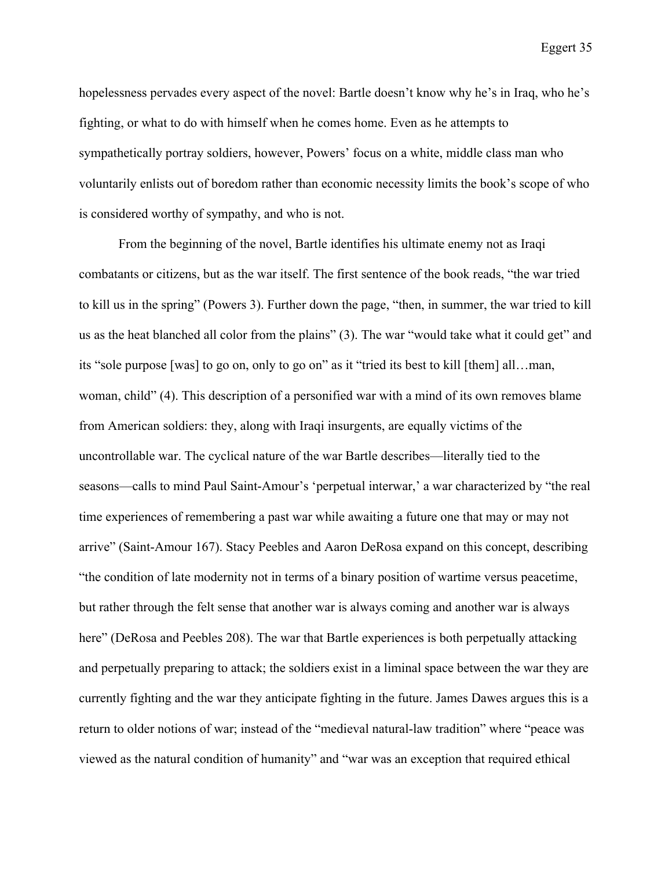hopelessness pervades every aspect of the novel: Bartle doesn't know why he's in Iraq, who he's fighting, or what to do with himself when he comes home. Even as he attempts to sympathetically portray soldiers, however, Powers' focus on a white, middle class man who voluntarily enlists out of boredom rather than economic necessity limits the book's scope of who is considered worthy of sympathy, and who is not.

From the beginning of the novel, Bartle identifies his ultimate enemy not as Iraqi combatants or citizens, but as the war itself. The first sentence of the book reads, "the war tried to kill us in the spring" (Powers 3). Further down the page, "then, in summer, the war tried to kill us as the heat blanched all color from the plains" (3). The war "would take what it could get" and its "sole purpose [was] to go on, only to go on" as it "tried its best to kill [them] all…man, woman, child" (4). This description of a personified war with a mind of its own removes blame from American soldiers: they, along with Iraqi insurgents, are equally victims of the uncontrollable war. The cyclical nature of the war Bartle describes—literally tied to the seasons—calls to mind Paul Saint-Amour's 'perpetual interwar,' a war characterized by "the real time experiences of remembering a past war while awaiting a future one that may or may not arrive" (Saint-Amour 167). Stacy Peebles and Aaron DeRosa expand on this concept, describing "the condition of late modernity not in terms of a binary position of wartime versus peacetime, but rather through the felt sense that another war is always coming and another war is always here" (DeRosa and Peebles 208). The war that Bartle experiences is both perpetually attacking and perpetually preparing to attack; the soldiers exist in a liminal space between the war they are currently fighting and the war they anticipate fighting in the future. James Dawes argues this is a return to older notions of war; instead of the "medieval natural-law tradition" where "peace was viewed as the natural condition of humanity" and "war was an exception that required ethical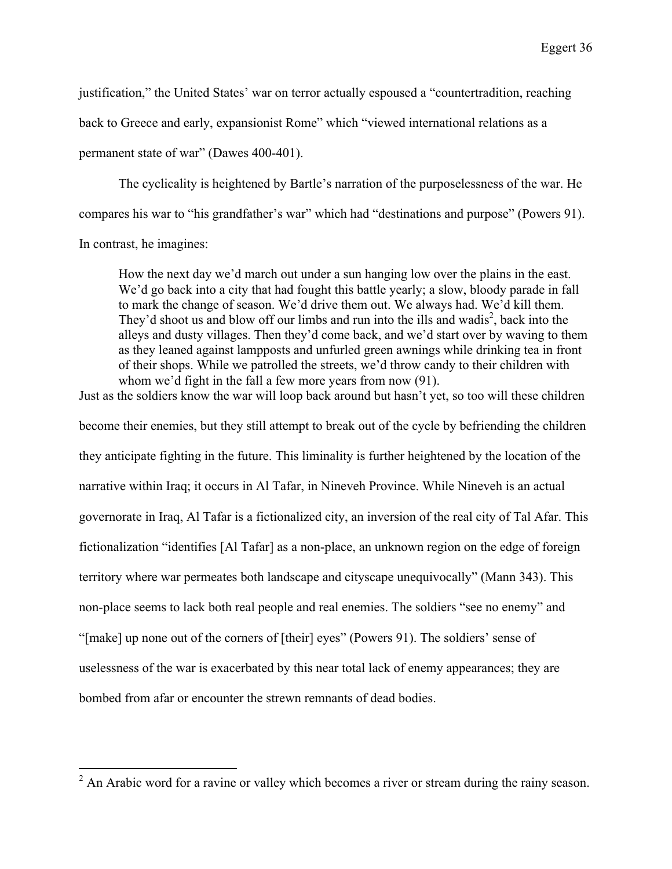justification," the United States' war on terror actually espoused a "countertradition, reaching

back to Greece and early, expansionist Rome" which "viewed international relations as a

permanent state of war" (Dawes 400-401).

The cyclicality is heightened by Bartle's narration of the purposelessness of the war. He compares his war to "his grandfather's war" which had "destinations and purpose" (Powers 91). In contrast, he imagines:

How the next day we'd march out under a sun hanging low over the plains in the east. We'd go back into a city that had fought this battle yearly; a slow, bloody parade in fall to mark the change of season. We'd drive them out. We always had. We'd kill them. They'd shoot us and blow off our limbs and run into the ills and wadis<sup>2</sup>, back into the alleys and dusty villages. Then they'd come back, and we'd start over by waving to them as they leaned against lampposts and unfurled green awnings while drinking tea in front of their shops. While we patrolled the streets, we'd throw candy to their children with whom we'd fight in the fall a few more years from now (91).

Just as the soldiers know the war will loop back around but hasn't yet, so too will these children become their enemies, but they still attempt to break out of the cycle by befriending the children they anticipate fighting in the future. This liminality is further heightened by the location of the narrative within Iraq; it occurs in Al Tafar, in Nineveh Province. While Nineveh is an actual governorate in Iraq, Al Tafar is a fictionalized city, an inversion of the real city of Tal Afar. This fictionalization "identifies [Al Tafar] as a non-place, an unknown region on the edge of foreign territory where war permeates both landscape and cityscape unequivocally" (Mann 343). This non-place seems to lack both real people and real enemies. The soldiers "see no enemy" and "[make] up none out of the corners of [their] eyes" (Powers 91). The soldiers' sense of uselessness of the war is exacerbated by this near total lack of enemy appearances; they are bombed from afar or encounter the strewn remnants of dead bodies.

 $2 \text{ An Arabic word for a ravine or valley which becomes a river or stream during the rainy season.}$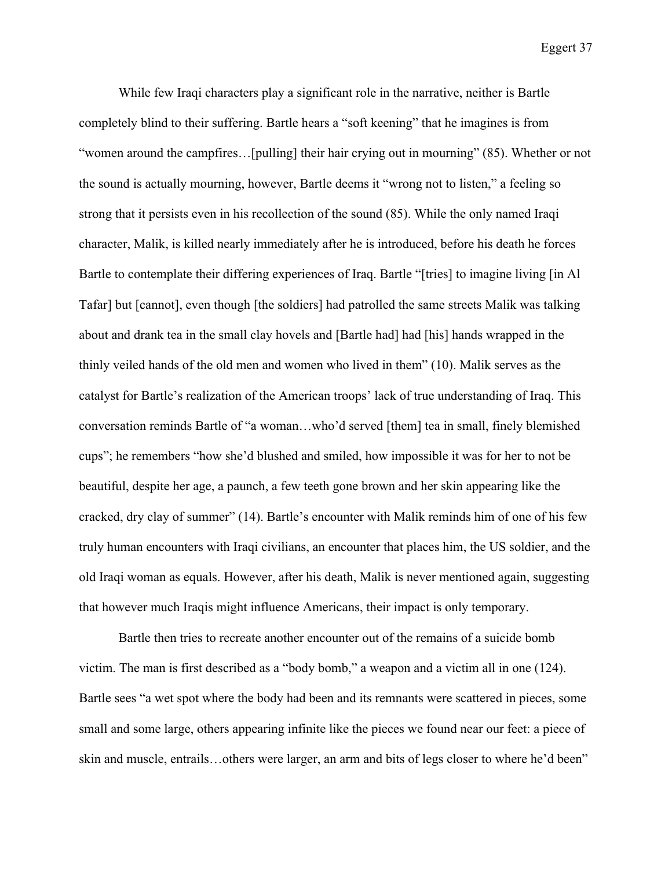While few Iraqi characters play a significant role in the narrative, neither is Bartle completely blind to their suffering. Bartle hears a "soft keening" that he imagines is from "women around the campfires…[pulling] their hair crying out in mourning" (85). Whether or not the sound is actually mourning, however, Bartle deems it "wrong not to listen," a feeling so strong that it persists even in his recollection of the sound (85). While the only named Iraqi character, Malik, is killed nearly immediately after he is introduced, before his death he forces Bartle to contemplate their differing experiences of Iraq. Bartle "[tries] to imagine living [in Al Tafar] but [cannot], even though [the soldiers] had patrolled the same streets Malik was talking about and drank tea in the small clay hovels and [Bartle had] had [his] hands wrapped in the thinly veiled hands of the old men and women who lived in them" (10). Malik serves as the catalyst for Bartle's realization of the American troops' lack of true understanding of Iraq. This conversation reminds Bartle of "a woman…who'd served [them] tea in small, finely blemished cups"; he remembers "how she'd blushed and smiled, how impossible it was for her to not be beautiful, despite her age, a paunch, a few teeth gone brown and her skin appearing like the cracked, dry clay of summer" (14). Bartle's encounter with Malik reminds him of one of his few truly human encounters with Iraqi civilians, an encounter that places him, the US soldier, and the old Iraqi woman as equals. However, after his death, Malik is never mentioned again, suggesting that however much Iraqis might influence Americans, their impact is only temporary.

Bartle then tries to recreate another encounter out of the remains of a suicide bomb victim. The man is first described as a "body bomb," a weapon and a victim all in one (124). Bartle sees "a wet spot where the body had been and its remnants were scattered in pieces, some small and some large, others appearing infinite like the pieces we found near our feet: a piece of skin and muscle, entrails…others were larger, an arm and bits of legs closer to where he'd been"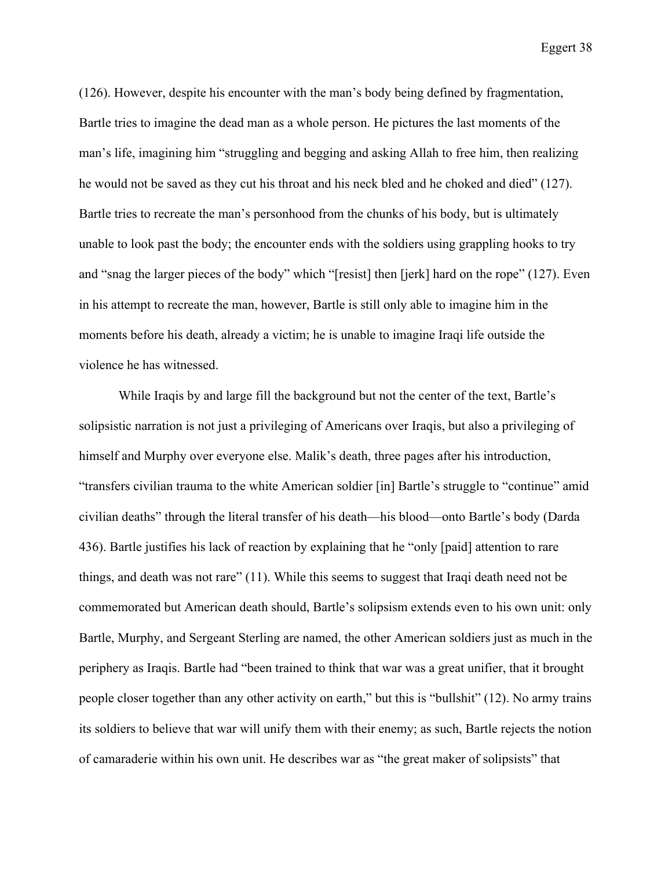(126). However, despite his encounter with the man's body being defined by fragmentation, Bartle tries to imagine the dead man as a whole person. He pictures the last moments of the man's life, imagining him "struggling and begging and asking Allah to free him, then realizing he would not be saved as they cut his throat and his neck bled and he choked and died" (127). Bartle tries to recreate the man's personhood from the chunks of his body, but is ultimately unable to look past the body; the encounter ends with the soldiers using grappling hooks to try and "snag the larger pieces of the body" which "[resist] then [jerk] hard on the rope" (127). Even in his attempt to recreate the man, however, Bartle is still only able to imagine him in the moments before his death, already a victim; he is unable to imagine Iraqi life outside the violence he has witnessed.

While Iraqis by and large fill the background but not the center of the text, Bartle's solipsistic narration is not just a privileging of Americans over Iraqis, but also a privileging of himself and Murphy over everyone else. Malik's death, three pages after his introduction, "transfers civilian trauma to the white American soldier [in] Bartle's struggle to "continue" amid civilian deaths" through the literal transfer of his death—his blood—onto Bartle's body (Darda 436). Bartle justifies his lack of reaction by explaining that he "only [paid] attention to rare things, and death was not rare" (11). While this seems to suggest that Iraqi death need not be commemorated but American death should, Bartle's solipsism extends even to his own unit: only Bartle, Murphy, and Sergeant Sterling are named, the other American soldiers just as much in the periphery as Iraqis. Bartle had "been trained to think that war was a great unifier, that it brought people closer together than any other activity on earth," but this is "bullshit" (12). No army trains its soldiers to believe that war will unify them with their enemy; as such, Bartle rejects the notion of camaraderie within his own unit. He describes war as "the great maker of solipsists" that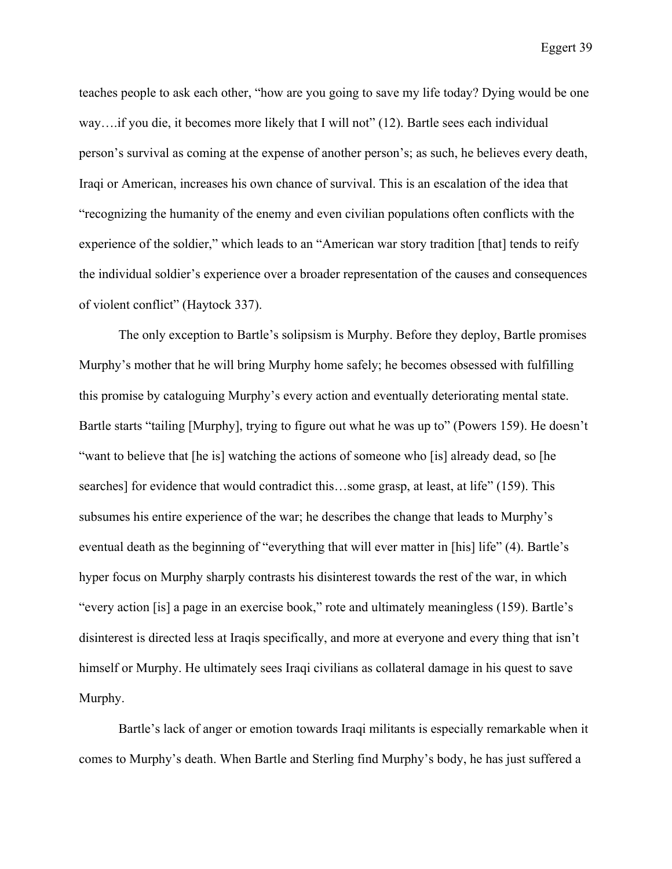teaches people to ask each other, "how are you going to save my life today? Dying would be one way...if you die, it becomes more likely that I will not" (12). Bartle sees each individual person's survival as coming at the expense of another person's; as such, he believes every death, Iraqi or American, increases his own chance of survival. This is an escalation of the idea that "recognizing the humanity of the enemy and even civilian populations often conflicts with the experience of the soldier," which leads to an "American war story tradition [that] tends to reify the individual soldier's experience over a broader representation of the causes and consequences of violent conflict" (Haytock 337).

The only exception to Bartle's solipsism is Murphy. Before they deploy, Bartle promises Murphy's mother that he will bring Murphy home safely; he becomes obsessed with fulfilling this promise by cataloguing Murphy's every action and eventually deteriorating mental state. Bartle starts "tailing [Murphy], trying to figure out what he was up to" (Powers 159). He doesn't "want to believe that [he is] watching the actions of someone who [is] already dead, so [he searches] for evidence that would contradict this...some grasp, at least, at life" (159). This subsumes his entire experience of the war; he describes the change that leads to Murphy's eventual death as the beginning of "everything that will ever matter in [his] life" (4). Bartle's hyper focus on Murphy sharply contrasts his disinterest towards the rest of the war, in which "every action [is] a page in an exercise book," rote and ultimately meaningless (159). Bartle's disinterest is directed less at Iraqis specifically, and more at everyone and every thing that isn't himself or Murphy. He ultimately sees Iraqi civilians as collateral damage in his quest to save Murphy.

Bartle's lack of anger or emotion towards Iraqi militants is especially remarkable when it comes to Murphy's death. When Bartle and Sterling find Murphy's body, he has just suffered a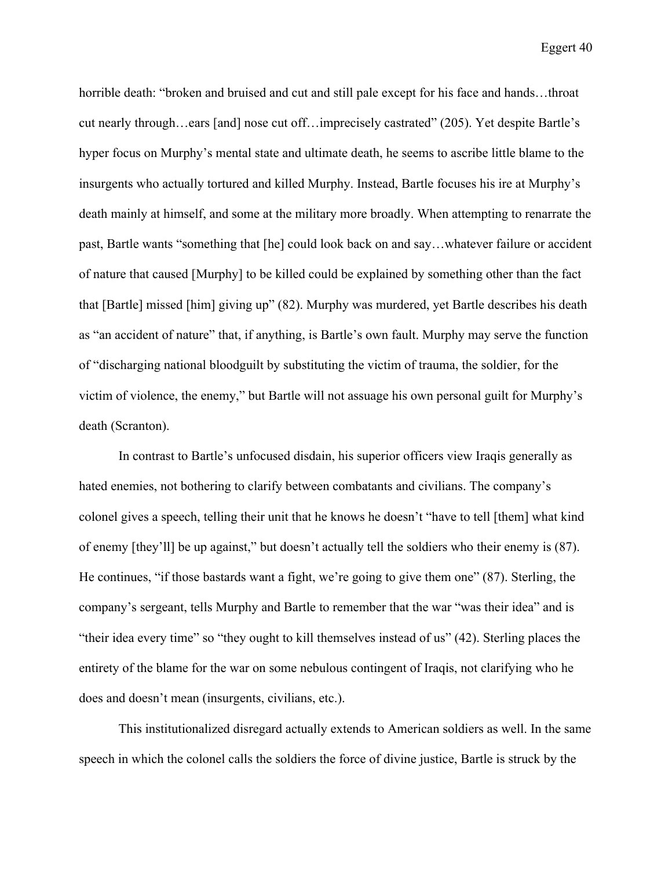horrible death: "broken and bruised and cut and still pale except for his face and hands...throat cut nearly through…ears [and] nose cut off…imprecisely castrated" (205). Yet despite Bartle's hyper focus on Murphy's mental state and ultimate death, he seems to ascribe little blame to the insurgents who actually tortured and killed Murphy. Instead, Bartle focuses his ire at Murphy's death mainly at himself, and some at the military more broadly. When attempting to renarrate the past, Bartle wants "something that [he] could look back on and say…whatever failure or accident of nature that caused [Murphy] to be killed could be explained by something other than the fact that [Bartle] missed [him] giving up" (82). Murphy was murdered, yet Bartle describes his death as "an accident of nature" that, if anything, is Bartle's own fault. Murphy may serve the function of "discharging national bloodguilt by substituting the victim of trauma, the soldier, for the victim of violence, the enemy," but Bartle will not assuage his own personal guilt for Murphy's death (Scranton).

In contrast to Bartle's unfocused disdain, his superior officers view Iraqis generally as hated enemies, not bothering to clarify between combatants and civilians. The company's colonel gives a speech, telling their unit that he knows he doesn't "have to tell [them] what kind of enemy [they'll] be up against," but doesn't actually tell the soldiers who their enemy is (87). He continues, "if those bastards want a fight, we're going to give them one" (87). Sterling, the company's sergeant, tells Murphy and Bartle to remember that the war "was their idea" and is "their idea every time" so "they ought to kill themselves instead of us" (42). Sterling places the entirety of the blame for the war on some nebulous contingent of Iraqis, not clarifying who he does and doesn't mean (insurgents, civilians, etc.).

This institutionalized disregard actually extends to American soldiers as well. In the same speech in which the colonel calls the soldiers the force of divine justice, Bartle is struck by the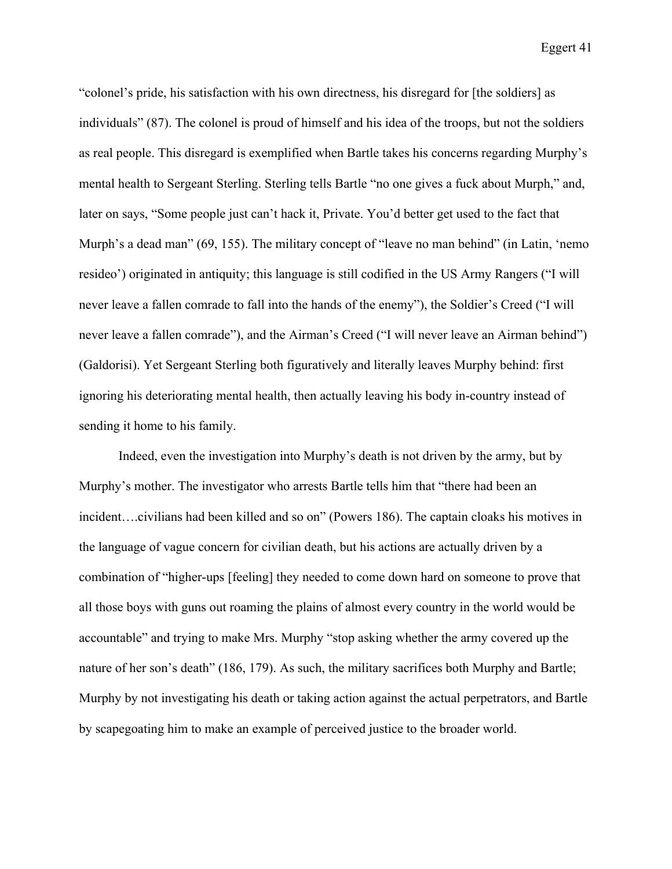"colonel's pride, his satisfaction with his own directness, his disregard for [the soldiers] as individuals" (87). The colonel is proud of himself and his idea of the troops, but not the soldiers as real people. This disregard is exemplified when Bartle takes his concerns regarding Murphy's mental health to Sergeant Sterling. Sterling tells Bartle "no one gives a fuck about Murph," and, later on says, "Some people just can't hack it, Private. You'd better get used to the fact that Murph's a dead man" (69, 155). The military concept of "leave no man behind" (in Latin, 'nemo resideo') originated in antiquity; this language is still codified in the US Army Rangers ("I will never leave a fallen comrade to fall into the hands of the enemy"), the Soldier's Creed ("I will never leave a fallen comrade"), and the Airman's Creed ("I will never leave an Airman behind") (Galdorisi). Yet Sergeant Sterling both figuratively and literally leaves Murphy behind: first ignoring his deteriorating mental health, then actually leaving his body in-country instead of sending it home to his family.

Indeed, even the investigation into Murphy's death is not driven by the army, but by Murphy's mother. The investigator who arrests Bartle tells him that "there had been an incident….civilians had been killed and so on" (Powers 186). The captain cloaks his motives in the language of vague concern for civilian death, but his actions are actually driven by a combination of "higher-ups [feeling] they needed to come down hard on someone to prove that all those boys with guns out roaming the plains of almost every country in the world would be accountable" and trying to make Mrs. Murphy "stop asking whether the army covered up the nature of her son's death" (186, 179). As such, the military sacrifices both Murphy and Bartle; Murphy by not investigating his death or taking action against the actual perpetrators, and Bartle by scapegoating him to make an example of perceived justice to the broader world.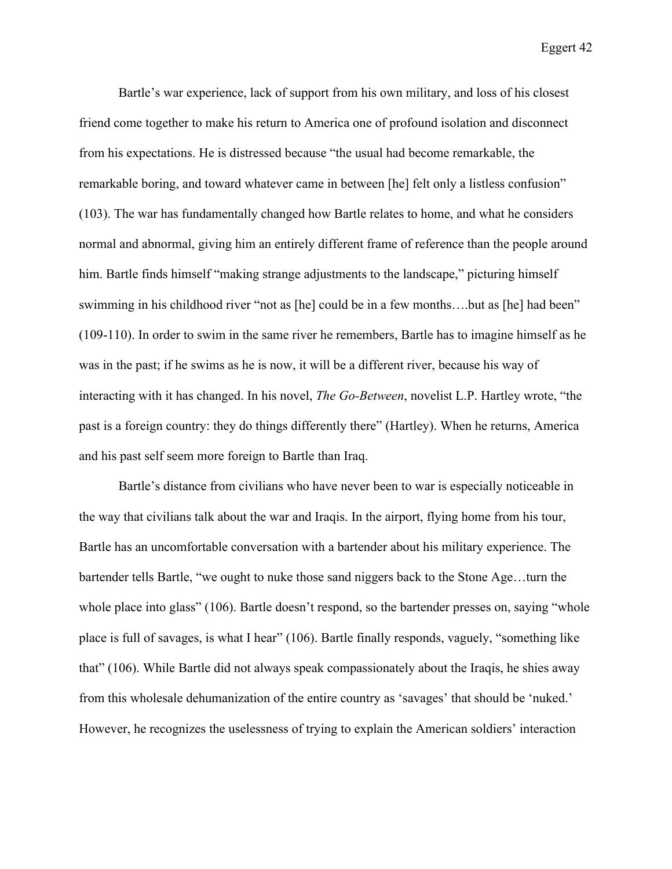Bartle's war experience, lack of support from his own military, and loss of his closest friend come together to make his return to America one of profound isolation and disconnect from his expectations. He is distressed because "the usual had become remarkable, the remarkable boring, and toward whatever came in between [he] felt only a listless confusion" (103). The war has fundamentally changed how Bartle relates to home, and what he considers normal and abnormal, giving him an entirely different frame of reference than the people around him. Bartle finds himself "making strange adjustments to the landscape," picturing himself swimming in his childhood river "not as [he] could be in a few months….but as [he] had been" (109-110). In order to swim in the same river he remembers, Bartle has to imagine himself as he was in the past; if he swims as he is now, it will be a different river, because his way of interacting with it has changed. In his novel, *The Go-Between*, novelist L.P. Hartley wrote, "the past is a foreign country: they do things differently there" (Hartley). When he returns, America and his past self seem more foreign to Bartle than Iraq.

Bartle's distance from civilians who have never been to war is especially noticeable in the way that civilians talk about the war and Iraqis. In the airport, flying home from his tour, Bartle has an uncomfortable conversation with a bartender about his military experience. The bartender tells Bartle, "we ought to nuke those sand niggers back to the Stone Age…turn the whole place into glass" (106). Bartle doesn't respond, so the bartender presses on, saying "whole place is full of savages, is what I hear" (106). Bartle finally responds, vaguely, "something like that" (106). While Bartle did not always speak compassionately about the Iraqis, he shies away from this wholesale dehumanization of the entire country as 'savages' that should be 'nuked.' However, he recognizes the uselessness of trying to explain the American soldiers' interaction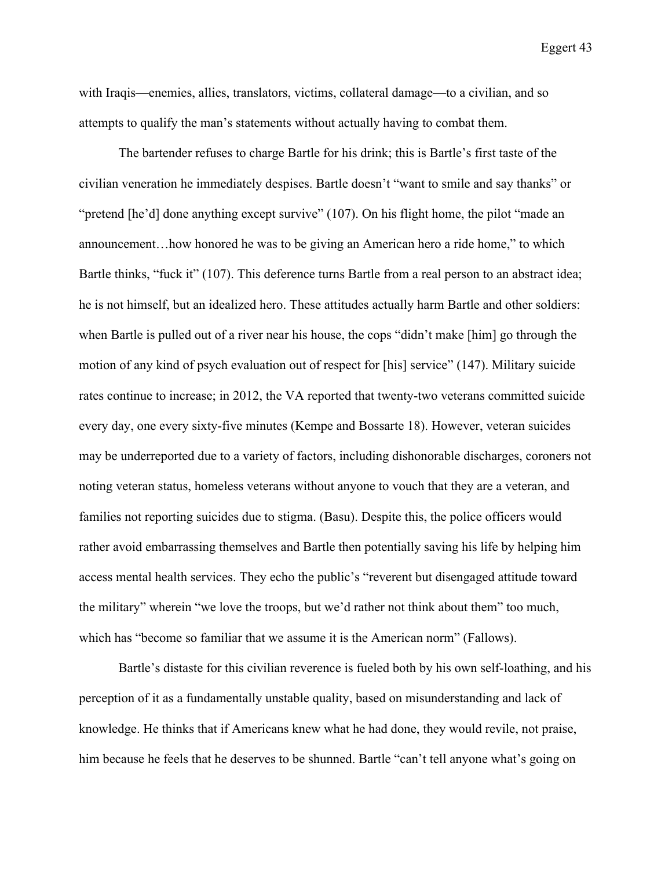with Iraqis—enemies, allies, translators, victims, collateral damage—to a civilian, and so attempts to qualify the man's statements without actually having to combat them.

The bartender refuses to charge Bartle for his drink; this is Bartle's first taste of the civilian veneration he immediately despises. Bartle doesn't "want to smile and say thanks" or "pretend [he'd] done anything except survive" (107). On his flight home, the pilot "made an announcement…how honored he was to be giving an American hero a ride home," to which Bartle thinks, "fuck it" (107). This deference turns Bartle from a real person to an abstract idea; he is not himself, but an idealized hero. These attitudes actually harm Bartle and other soldiers: when Bartle is pulled out of a river near his house, the cops "didn't make [him] go through the motion of any kind of psych evaluation out of respect for [his] service" (147). Military suicide rates continue to increase; in 2012, the VA reported that twenty-two veterans committed suicide every day, one every sixty-five minutes (Kempe and Bossarte 18). However, veteran suicides may be underreported due to a variety of factors, including dishonorable discharges, coroners not noting veteran status, homeless veterans without anyone to vouch that they are a veteran, and families not reporting suicides due to stigma. (Basu). Despite this, the police officers would rather avoid embarrassing themselves and Bartle then potentially saving his life by helping him access mental health services. They echo the public's "reverent but disengaged attitude toward the military" wherein "we love the troops, but we'd rather not think about them" too much, which has "become so familiar that we assume it is the American norm" (Fallows).

Bartle's distaste for this civilian reverence is fueled both by his own self-loathing, and his perception of it as a fundamentally unstable quality, based on misunderstanding and lack of knowledge. He thinks that if Americans knew what he had done, they would revile, not praise, him because he feels that he deserves to be shunned. Bartle "can't tell anyone what's going on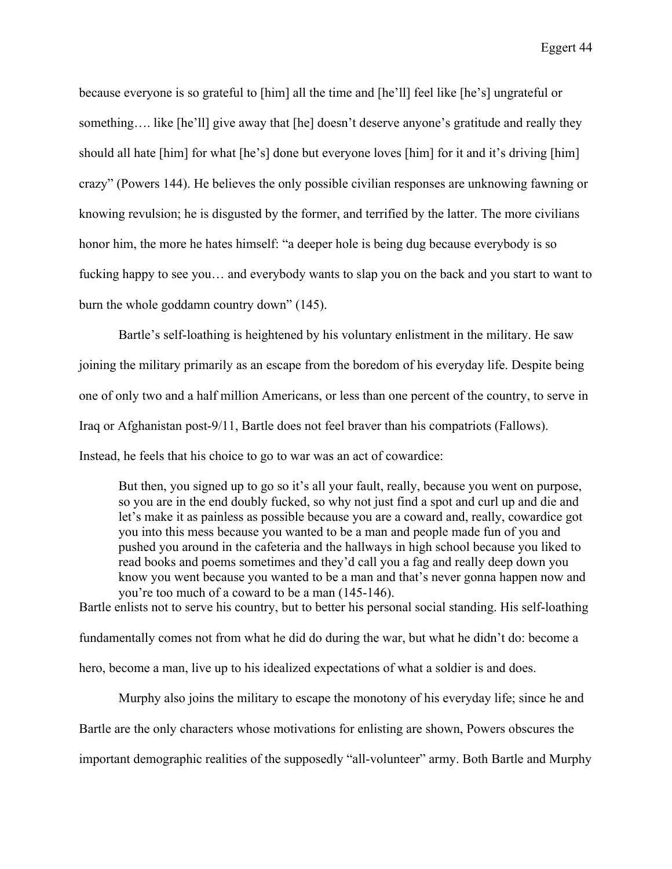because everyone is so grateful to [him] all the time and [he'll] feel like [he's] ungrateful or something.... like [he'll] give away that [he] doesn't deserve anyone's gratitude and really they should all hate [him] for what [he's] done but everyone loves [him] for it and it's driving [him] crazy" (Powers 144). He believes the only possible civilian responses are unknowing fawning or knowing revulsion; he is disgusted by the former, and terrified by the latter. The more civilians honor him, the more he hates himself: "a deeper hole is being dug because everybody is so fucking happy to see you… and everybody wants to slap you on the back and you start to want to burn the whole goddamn country down" (145).

Bartle's self-loathing is heightened by his voluntary enlistment in the military. He saw joining the military primarily as an escape from the boredom of his everyday life. Despite being one of only two and a half million Americans, or less than one percent of the country, to serve in Iraq or Afghanistan post-9/11, Bartle does not feel braver than his compatriots (Fallows). Instead, he feels that his choice to go to war was an act of cowardice:

But then, you signed up to go so it's all your fault, really, because you went on purpose, so you are in the end doubly fucked, so why not just find a spot and curl up and die and let's make it as painless as possible because you are a coward and, really, cowardice got you into this mess because you wanted to be a man and people made fun of you and pushed you around in the cafeteria and the hallways in high school because you liked to read books and poems sometimes and they'd call you a fag and really deep down you know you went because you wanted to be a man and that's never gonna happen now and you're too much of a coward to be a man (145-146).

Bartle enlists not to serve his country, but to better his personal social standing. His self-loathing fundamentally comes not from what he did do during the war, but what he didn't do: become a hero, become a man, live up to his idealized expectations of what a soldier is and does.

Murphy also joins the military to escape the monotony of his everyday life; since he and Bartle are the only characters whose motivations for enlisting are shown, Powers obscures the important demographic realities of the supposedly "all-volunteer" army. Both Bartle and Murphy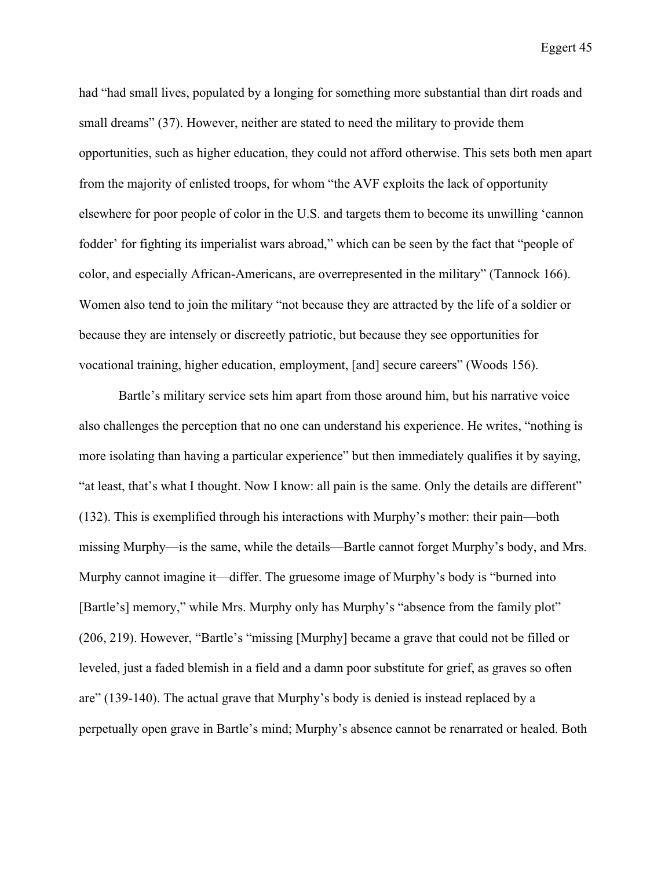had "had small lives, populated by a longing for something more substantial than dirt roads and small dreams" (37). However, neither are stated to need the military to provide them opportunities, such as higher education, they could not afford otherwise. This sets both men apart from the majority of enlisted troops, for whom "the AVF exploits the lack of opportunity elsewhere for poor people of color in the U.S. and targets them to become its unwilling 'cannon fodder' for fighting its imperialist wars abroad," which can be seen by the fact that "people of color, and especially African-Americans, are overrepresented in the military" (Tannock 166). Women also tend to join the military "not because they are attracted by the life of a soldier or because they are intensely or discreetly patriotic, but because they see opportunities for vocational training, higher education, employment, [and] secure careers" (Woods 156).

Bartle's military service sets him apart from those around him, but his narrative voice also challenges the perception that no one can understand his experience. He writes, "nothing is more isolating than having a particular experience" but then immediately qualifies it by saying, "at least, that's what I thought. Now I know: all pain is the same. Only the details are different" (132). This is exemplified through his interactions with Murphy's mother: their pain—both missing Murphy—is the same, while the details—Bartle cannot forget Murphy's body, and Mrs. Murphy cannot imagine it—differ. The gruesome image of Murphy's body is "burned into [Bartle's] memory," while Mrs. Murphy only has Murphy's "absence from the family plot" (206, 219). However, "Bartle's "missing [Murphy] became a grave that could not be filled or leveled, just a faded blemish in a field and a damn poor substitute for grief, as graves so often are" (139-140). The actual grave that Murphy's body is denied is instead replaced by a perpetually open grave in Bartle's mind; Murphy's absence cannot be renarrated or healed. Both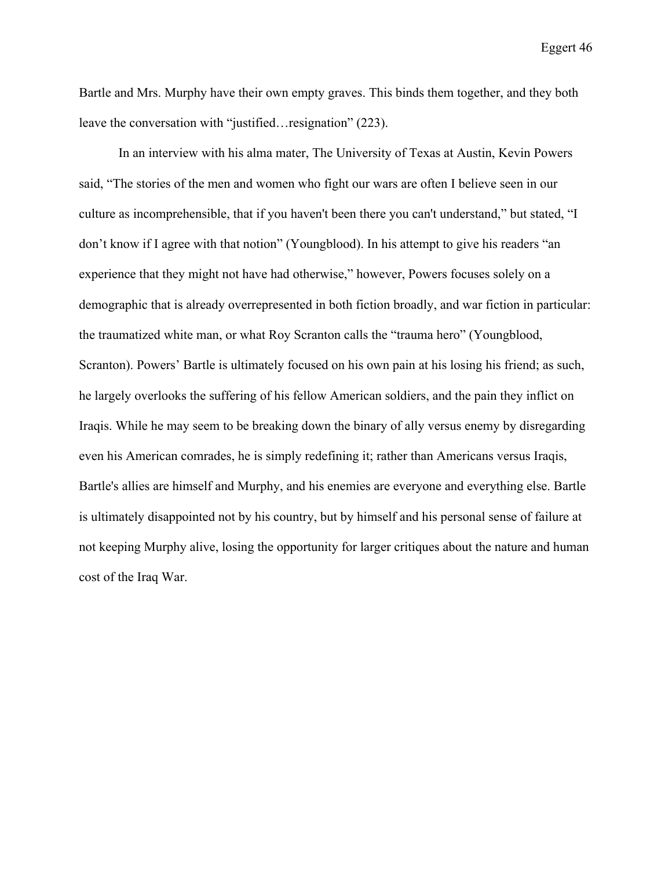Bartle and Mrs. Murphy have their own empty graves. This binds them together, and they both leave the conversation with "justified…resignation" (223).

In an interview with his alma mater, The University of Texas at Austin, Kevin Powers said, "The stories of the men and women who fight our wars are often I believe seen in our culture as incomprehensible, that if you haven't been there you can't understand," but stated, "I don't know if I agree with that notion" (Youngblood). In his attempt to give his readers "an experience that they might not have had otherwise," however, Powers focuses solely on a demographic that is already overrepresented in both fiction broadly, and war fiction in particular: the traumatized white man, or what Roy Scranton calls the "trauma hero" (Youngblood, Scranton). Powers' Bartle is ultimately focused on his own pain at his losing his friend; as such, he largely overlooks the suffering of his fellow American soldiers, and the pain they inflict on Iraqis. While he may seem to be breaking down the binary of ally versus enemy by disregarding even his American comrades, he is simply redefining it; rather than Americans versus Iraqis, Bartle's allies are himself and Murphy, and his enemies are everyone and everything else. Bartle is ultimately disappointed not by his country, but by himself and his personal sense of failure at not keeping Murphy alive, losing the opportunity for larger critiques about the nature and human cost of the Iraq War.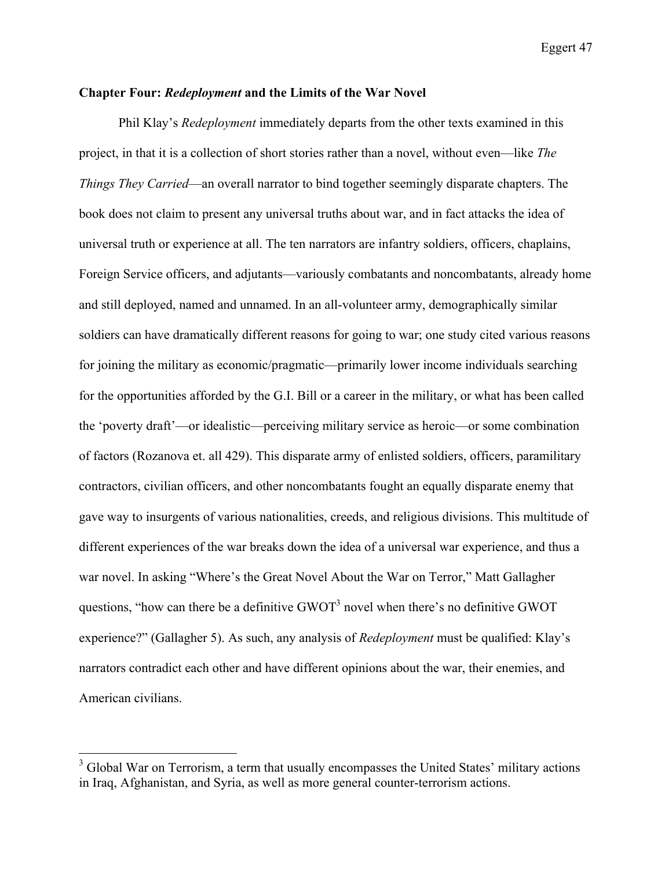## **Chapter Four:** *Redeployment* **and the Limits of the War Novel**

Phil Klay's *Redeployment* immediately departs from the other texts examined in this project, in that it is a collection of short stories rather than a novel, without even—like *The Things They Carried*—an overall narrator to bind together seemingly disparate chapters. The book does not claim to present any universal truths about war, and in fact attacks the idea of universal truth or experience at all. The ten narrators are infantry soldiers, officers, chaplains, Foreign Service officers, and adjutants—variously combatants and noncombatants, already home and still deployed, named and unnamed. In an all-volunteer army, demographically similar soldiers can have dramatically different reasons for going to war; one study cited various reasons for joining the military as economic/pragmatic—primarily lower income individuals searching for the opportunities afforded by the G.I. Bill or a career in the military, or what has been called the 'poverty draft'—or idealistic—perceiving military service as heroic—or some combination of factors (Rozanova et. all 429). This disparate army of enlisted soldiers, officers, paramilitary contractors, civilian officers, and other noncombatants fought an equally disparate enemy that gave way to insurgents of various nationalities, creeds, and religious divisions. This multitude of different experiences of the war breaks down the idea of a universal war experience, and thus a war novel. In asking "Where's the Great Novel About the War on Terror," Matt Gallagher questions, "how can there be a definitive  $GWOT<sup>3</sup>$  novel when there's no definitive  $GWOT$ experience?" (Gallagher 5). As such, any analysis of *Redeployment* must be qualified: Klay's narrators contradict each other and have different opinions about the war, their enemies, and American civilians.

 $3$  Global War on Terrorism, a term that usually encompasses the United States' military actions in Iraq, Afghanistan, and Syria, as well as more general counter-terrorism actions.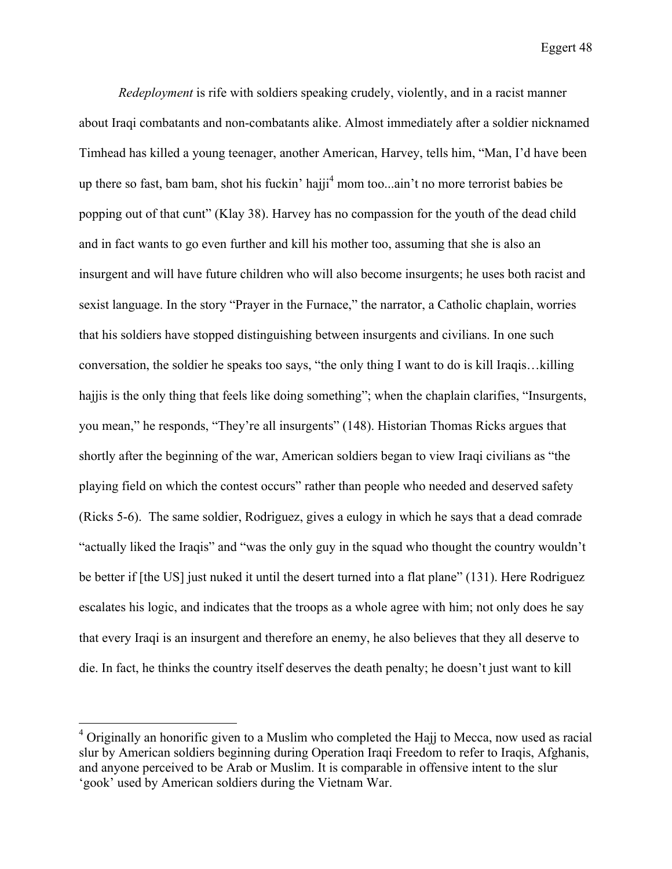*Redeployment* is rife with soldiers speaking crudely, violently, and in a racist manner about Iraqi combatants and non-combatants alike. Almost immediately after a soldier nicknamed Timhead has killed a young teenager, another American, Harvey, tells him, "Man, I'd have been up there so fast, bam bam, shot his fuckin' hajji<sup>4</sup> mom too...ain't no more terrorist babies be popping out of that cunt" (Klay 38). Harvey has no compassion for the youth of the dead child and in fact wants to go even further and kill his mother too, assuming that she is also an insurgent and will have future children who will also become insurgents; he uses both racist and sexist language. In the story "Prayer in the Furnace," the narrator, a Catholic chaplain, worries that his soldiers have stopped distinguishing between insurgents and civilians. In one such conversation, the soldier he speaks too says, "the only thing I want to do is kill Iraqis…killing hajjis is the only thing that feels like doing something"; when the chaplain clarifies, "Insurgents, you mean," he responds, "They're all insurgents" (148). Historian Thomas Ricks argues that shortly after the beginning of the war, American soldiers began to view Iraqi civilians as "the playing field on which the contest occurs" rather than people who needed and deserved safety (Ricks 5-6). The same soldier, Rodriguez, gives a eulogy in which he says that a dead comrade "actually liked the Iraqis" and "was the only guy in the squad who thought the country wouldn't be better if [the US] just nuked it until the desert turned into a flat plane" (131). Here Rodriguez escalates his logic, and indicates that the troops as a whole agree with him; not only does he say that every Iraqi is an insurgent and therefore an enemy, he also believes that they all deserve to die. In fact, he thinks the country itself deserves the death penalty; he doesn't just want to kill

 $4$  Originally an honorific given to a Muslim who completed the Hajj to Mecca, now used as racial slur by American soldiers beginning during Operation Iraqi Freedom to refer to Iraqis, Afghanis, and anyone perceived to be Arab or Muslim. It is comparable in offensive intent to the slur 'gook' used by American soldiers during the Vietnam War.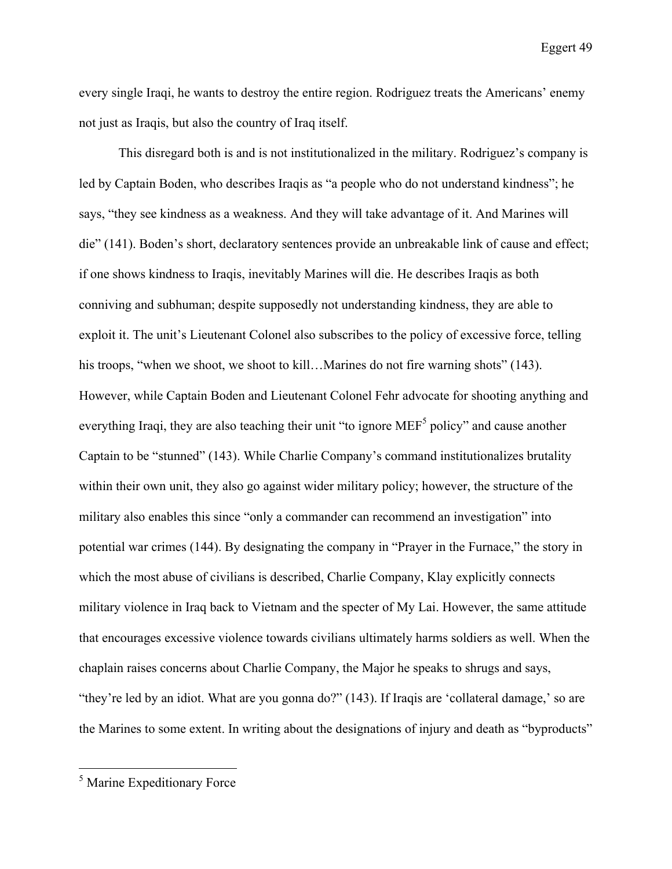every single Iraqi, he wants to destroy the entire region. Rodriguez treats the Americans' enemy not just as Iraqis, but also the country of Iraq itself.

This disregard both is and is not institutionalized in the military. Rodriguez's company is led by Captain Boden, who describes Iraqis as "a people who do not understand kindness"; he says, "they see kindness as a weakness. And they will take advantage of it. And Marines will die" (141). Boden's short, declaratory sentences provide an unbreakable link of cause and effect; if one shows kindness to Iraqis, inevitably Marines will die. He describes Iraqis as both conniving and subhuman; despite supposedly not understanding kindness, they are able to exploit it. The unit's Lieutenant Colonel also subscribes to the policy of excessive force, telling his troops, "when we shoot, we shoot to kill...Marines do not fire warning shots" (143). However, while Captain Boden and Lieutenant Colonel Fehr advocate for shooting anything and everything Iraqi, they are also teaching their unit "to ignore MEF<sup>5</sup> policy" and cause another Captain to be "stunned" (143). While Charlie Company's command institutionalizes brutality within their own unit, they also go against wider military policy; however, the structure of the military also enables this since "only a commander can recommend an investigation" into potential war crimes (144). By designating the company in "Prayer in the Furnace," the story in which the most abuse of civilians is described, Charlie Company, Klay explicitly connects military violence in Iraq back to Vietnam and the specter of My Lai. However, the same attitude that encourages excessive violence towards civilians ultimately harms soldiers as well. When the chaplain raises concerns about Charlie Company, the Major he speaks to shrugs and says, "they're led by an idiot. What are you gonna do?" (143). If Iraqis are 'collateral damage,' so are the Marines to some extent. In writing about the designations of injury and death as "byproducts"

 <sup>5</sup> Marine Expeditionary Force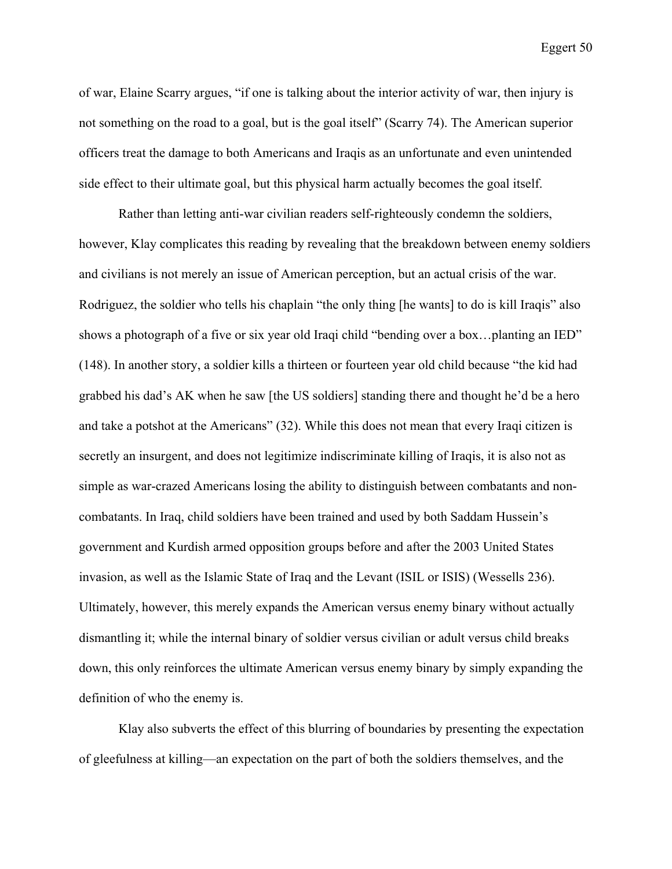of war, Elaine Scarry argues, "if one is talking about the interior activity of war, then injury is not something on the road to a goal, but is the goal itself" (Scarry 74). The American superior officers treat the damage to both Americans and Iraqis as an unfortunate and even unintended side effect to their ultimate goal, but this physical harm actually becomes the goal itself.

Rather than letting anti-war civilian readers self-righteously condemn the soldiers, however, Klay complicates this reading by revealing that the breakdown between enemy soldiers and civilians is not merely an issue of American perception, but an actual crisis of the war. Rodriguez, the soldier who tells his chaplain "the only thing [he wants] to do is kill Iraqis" also shows a photograph of a five or six year old Iraqi child "bending over a box…planting an IED" (148). In another story, a soldier kills a thirteen or fourteen year old child because "the kid had grabbed his dad's AK when he saw [the US soldiers] standing there and thought he'd be a hero and take a potshot at the Americans" (32). While this does not mean that every Iraqi citizen is secretly an insurgent, and does not legitimize indiscriminate killing of Iraqis, it is also not as simple as war-crazed Americans losing the ability to distinguish between combatants and noncombatants. In Iraq, child soldiers have been trained and used by both Saddam Hussein's government and Kurdish armed opposition groups before and after the 2003 United States invasion, as well as the Islamic State of Iraq and the Levant (ISIL or ISIS) (Wessells 236). Ultimately, however, this merely expands the American versus enemy binary without actually dismantling it; while the internal binary of soldier versus civilian or adult versus child breaks down, this only reinforces the ultimate American versus enemy binary by simply expanding the definition of who the enemy is.

Klay also subverts the effect of this blurring of boundaries by presenting the expectation of gleefulness at killing—an expectation on the part of both the soldiers themselves, and the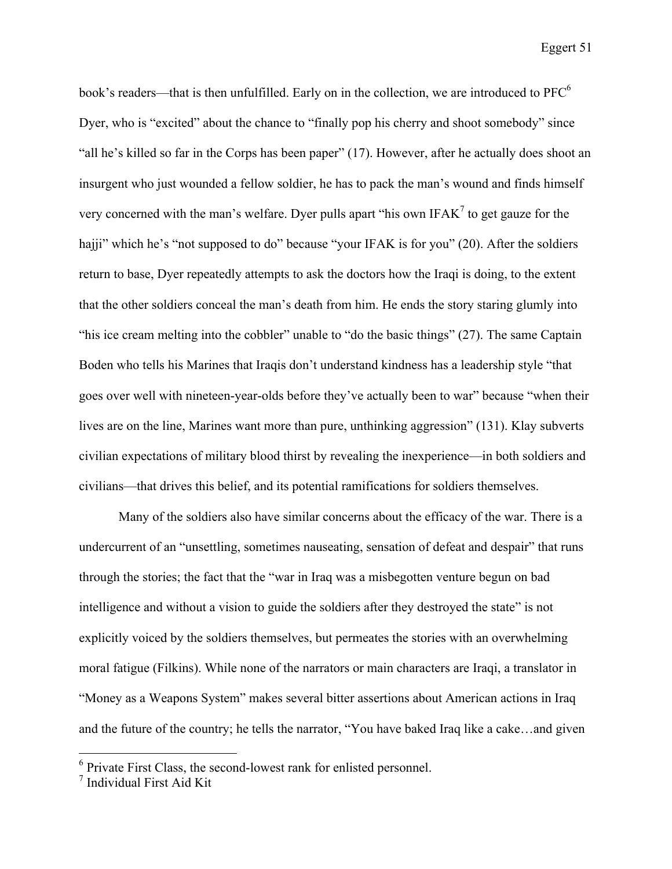book's readers—that is then unfulfilled. Early on in the collection, we are introduced to PFC<sup>6</sup> Dyer, who is "excited" about the chance to "finally pop his cherry and shoot somebody" since "all he's killed so far in the Corps has been paper" (17). However, after he actually does shoot an insurgent who just wounded a fellow soldier, he has to pack the man's wound and finds himself very concerned with the man's welfare. Dyer pulls apart "his own IFA $K^7$  to get gauze for the hajji" which he's "not supposed to do" because "your IFAK is for you" (20). After the soldiers return to base, Dyer repeatedly attempts to ask the doctors how the Iraqi is doing, to the extent that the other soldiers conceal the man's death from him. He ends the story staring glumly into "his ice cream melting into the cobbler" unable to "do the basic things" (27). The same Captain Boden who tells his Marines that Iraqis don't understand kindness has a leadership style "that goes over well with nineteen-year-olds before they've actually been to war" because "when their lives are on the line, Marines want more than pure, unthinking aggression" (131). Klay subverts civilian expectations of military blood thirst by revealing the inexperience—in both soldiers and civilians—that drives this belief, and its potential ramifications for soldiers themselves.

Many of the soldiers also have similar concerns about the efficacy of the war. There is a undercurrent of an "unsettling, sometimes nauseating, sensation of defeat and despair" that runs through the stories; the fact that the "war in Iraq was a misbegotten venture begun on bad intelligence and without a vision to guide the soldiers after they destroyed the state" is not explicitly voiced by the soldiers themselves, but permeates the stories with an overwhelming moral fatigue (Filkins). While none of the narrators or main characters are Iraqi, a translator in "Money as a Weapons System" makes several bitter assertions about American actions in Iraq and the future of the country; he tells the narrator, "You have baked Iraq like a cake…and given

 $6$  Private First Class, the second-lowest rank for enlisted personnel.

 $<sup>7</sup>$  Individual First Aid Kit</sup>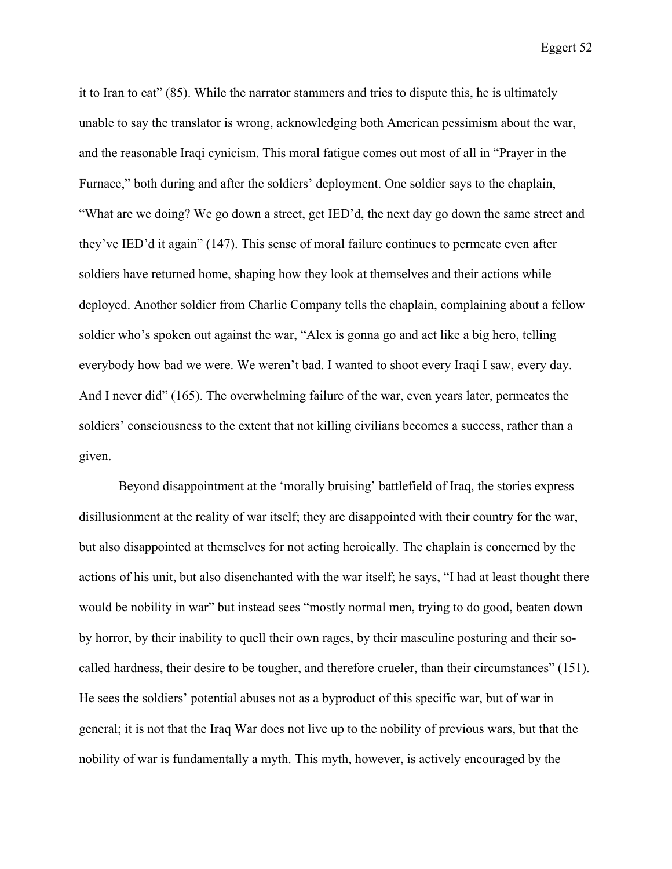it to Iran to eat" (85). While the narrator stammers and tries to dispute this, he is ultimately unable to say the translator is wrong, acknowledging both American pessimism about the war, and the reasonable Iraqi cynicism. This moral fatigue comes out most of all in "Prayer in the Furnace," both during and after the soldiers' deployment. One soldier says to the chaplain, "What are we doing? We go down a street, get IED'd, the next day go down the same street and they've IED'd it again" (147). This sense of moral failure continues to permeate even after soldiers have returned home, shaping how they look at themselves and their actions while deployed. Another soldier from Charlie Company tells the chaplain, complaining about a fellow soldier who's spoken out against the war, "Alex is gonna go and act like a big hero, telling everybody how bad we were. We weren't bad. I wanted to shoot every Iraqi I saw, every day. And I never did" (165). The overwhelming failure of the war, even years later, permeates the soldiers' consciousness to the extent that not killing civilians becomes a success, rather than a given.

Beyond disappointment at the 'morally bruising' battlefield of Iraq, the stories express disillusionment at the reality of war itself; they are disappointed with their country for the war, but also disappointed at themselves for not acting heroically. The chaplain is concerned by the actions of his unit, but also disenchanted with the war itself; he says, "I had at least thought there would be nobility in war" but instead sees "mostly normal men, trying to do good, beaten down by horror, by their inability to quell their own rages, by their masculine posturing and their socalled hardness, their desire to be tougher, and therefore crueler, than their circumstances" (151). He sees the soldiers' potential abuses not as a byproduct of this specific war, but of war in general; it is not that the Iraq War does not live up to the nobility of previous wars, but that the nobility of war is fundamentally a myth. This myth, however, is actively encouraged by the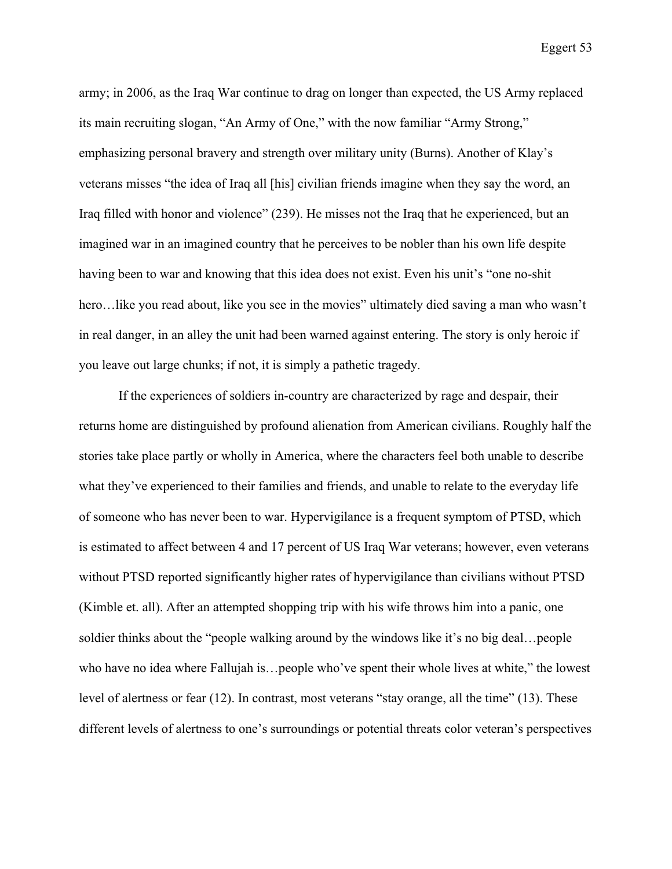army; in 2006, as the Iraq War continue to drag on longer than expected, the US Army replaced its main recruiting slogan, "An Army of One," with the now familiar "Army Strong," emphasizing personal bravery and strength over military unity (Burns). Another of Klay's veterans misses "the idea of Iraq all [his] civilian friends imagine when they say the word, an Iraq filled with honor and violence" (239). He misses not the Iraq that he experienced, but an imagined war in an imagined country that he perceives to be nobler than his own life despite having been to war and knowing that this idea does not exist. Even his unit's "one no-shit hero...like you read about, like you see in the movies" ultimately died saving a man who wasn't in real danger, in an alley the unit had been warned against entering. The story is only heroic if you leave out large chunks; if not, it is simply a pathetic tragedy.

If the experiences of soldiers in-country are characterized by rage and despair, their returns home are distinguished by profound alienation from American civilians. Roughly half the stories take place partly or wholly in America, where the characters feel both unable to describe what they've experienced to their families and friends, and unable to relate to the everyday life of someone who has never been to war. Hypervigilance is a frequent symptom of PTSD, which is estimated to affect between 4 and 17 percent of US Iraq War veterans; however, even veterans without PTSD reported significantly higher rates of hypervigilance than civilians without PTSD (Kimble et. all). After an attempted shopping trip with his wife throws him into a panic, one soldier thinks about the "people walking around by the windows like it's no big deal…people who have no idea where Fallujah is…people who've spent their whole lives at white," the lowest level of alertness or fear (12). In contrast, most veterans "stay orange, all the time" (13). These different levels of alertness to one's surroundings or potential threats color veteran's perspectives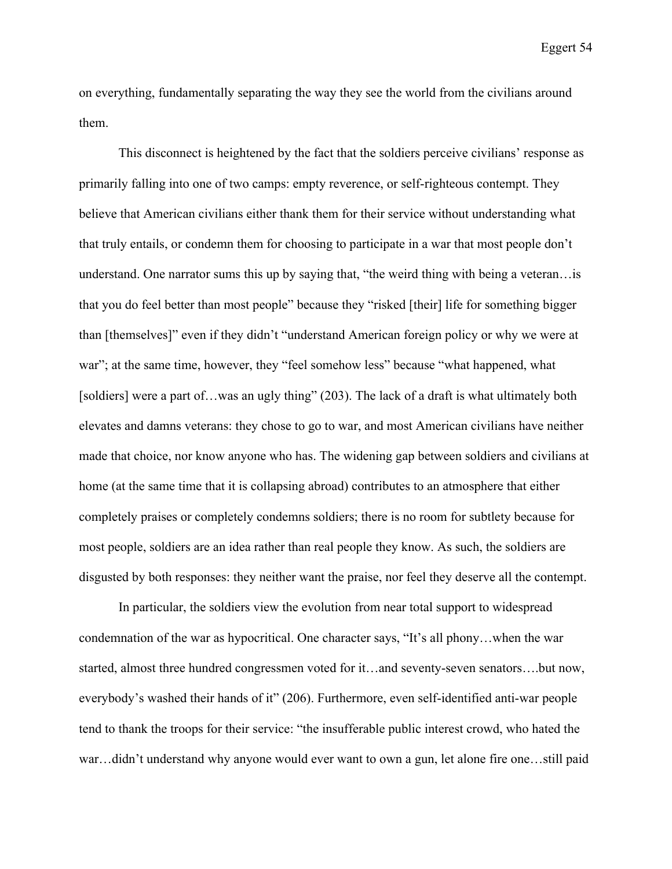on everything, fundamentally separating the way they see the world from the civilians around them.

This disconnect is heightened by the fact that the soldiers perceive civilians' response as primarily falling into one of two camps: empty reverence, or self-righteous contempt. They believe that American civilians either thank them for their service without understanding what that truly entails, or condemn them for choosing to participate in a war that most people don't understand. One narrator sums this up by saying that, "the weird thing with being a veteran…is that you do feel better than most people" because they "risked [their] life for something bigger than [themselves]" even if they didn't "understand American foreign policy or why we were at war"; at the same time, however, they "feel somehow less" because "what happened, what [soldiers] were a part of...was an ugly thing" (203). The lack of a draft is what ultimately both elevates and damns veterans: they chose to go to war, and most American civilians have neither made that choice, nor know anyone who has. The widening gap between soldiers and civilians at home (at the same time that it is collapsing abroad) contributes to an atmosphere that either completely praises or completely condemns soldiers; there is no room for subtlety because for most people, soldiers are an idea rather than real people they know. As such, the soldiers are disgusted by both responses: they neither want the praise, nor feel they deserve all the contempt.

In particular, the soldiers view the evolution from near total support to widespread condemnation of the war as hypocritical. One character says, "It's all phony…when the war started, almost three hundred congressmen voted for it…and seventy-seven senators….but now, everybody's washed their hands of it" (206). Furthermore, even self-identified anti-war people tend to thank the troops for their service: "the insufferable public interest crowd, who hated the war…didn't understand why anyone would ever want to own a gun, let alone fire one…still paid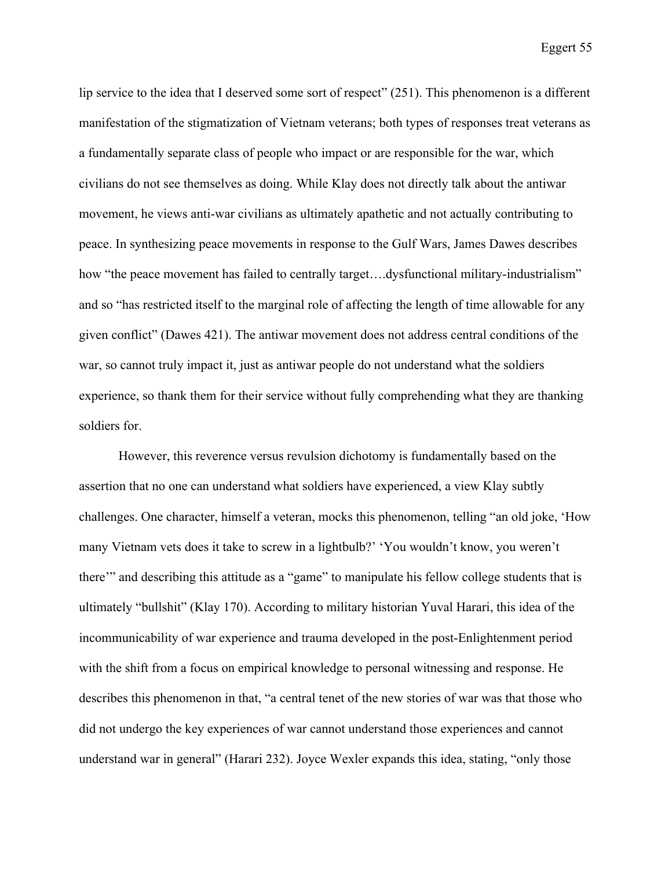lip service to the idea that I deserved some sort of respect" (251). This phenomenon is a different manifestation of the stigmatization of Vietnam veterans; both types of responses treat veterans as a fundamentally separate class of people who impact or are responsible for the war, which civilians do not see themselves as doing. While Klay does not directly talk about the antiwar movement, he views anti-war civilians as ultimately apathetic and not actually contributing to peace. In synthesizing peace movements in response to the Gulf Wars, James Dawes describes how "the peace movement has failed to centrally target....dysfunctional military-industrialism" and so "has restricted itself to the marginal role of affecting the length of time allowable for any given conflict" (Dawes 421). The antiwar movement does not address central conditions of the war, so cannot truly impact it, just as antiwar people do not understand what the soldiers experience, so thank them for their service without fully comprehending what they are thanking soldiers for.

However, this reverence versus revulsion dichotomy is fundamentally based on the assertion that no one can understand what soldiers have experienced, a view Klay subtly challenges. One character, himself a veteran, mocks this phenomenon, telling "an old joke, 'How many Vietnam vets does it take to screw in a lightbulb?' 'You wouldn't know, you weren't there'" and describing this attitude as a "game" to manipulate his fellow college students that is ultimately "bullshit" (Klay 170). According to military historian Yuval Harari, this idea of the incommunicability of war experience and trauma developed in the post-Enlightenment period with the shift from a focus on empirical knowledge to personal witnessing and response. He describes this phenomenon in that, "a central tenet of the new stories of war was that those who did not undergo the key experiences of war cannot understand those experiences and cannot understand war in general" (Harari 232). Joyce Wexler expands this idea, stating, "only those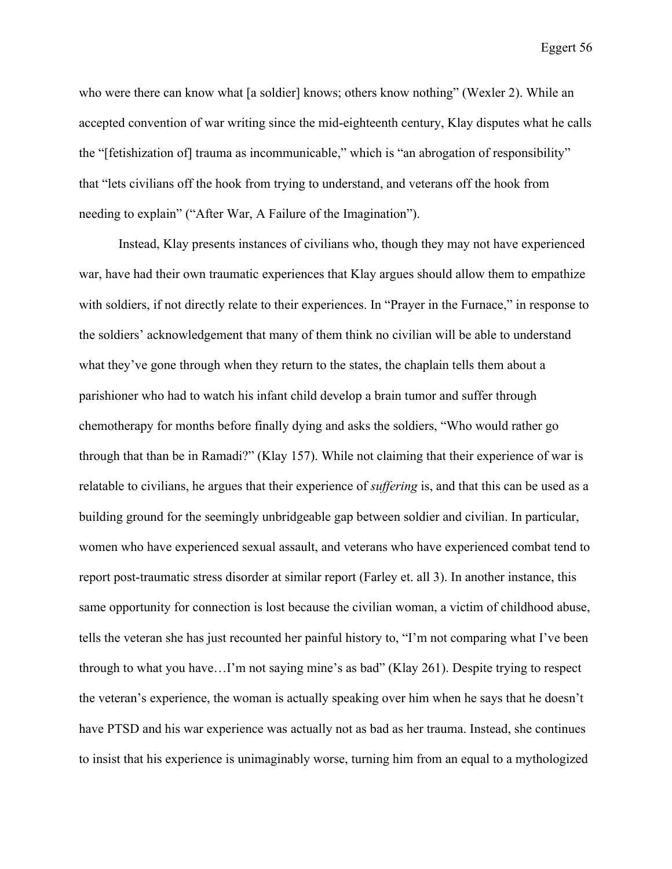who were there can know what [a soldier] knows; others know nothing" (Wexler 2). While an accepted convention of war writing since the mid-eighteenth century, Klay disputes what he calls the "[fetishization of] trauma as incommunicable," which is "an abrogation of responsibility" that "lets civilians off the hook from trying to understand, and veterans off the hook from needing to explain" ("After War, A Failure of the Imagination").

Instead, Klay presents instances of civilians who, though they may not have experienced war, have had their own traumatic experiences that Klay argues should allow them to empathize with soldiers, if not directly relate to their experiences. In "Prayer in the Furnace," in response to the soldiers' acknowledgement that many of them think no civilian will be able to understand what they've gone through when they return to the states, the chaplain tells them about a parishioner who had to watch his infant child develop a brain tumor and suffer through chemotherapy for months before finally dying and asks the soldiers, "Who would rather go through that than be in Ramadi?" (Klay 157). While not claiming that their experience of war is relatable to civilians, he argues that their experience of *suffering* is, and that this can be used as a building ground for the seemingly unbridgeable gap between soldier and civilian. In particular, women who have experienced sexual assault, and veterans who have experienced combat tend to report post-traumatic stress disorder at similar report (Farley et. all 3). In another instance, this same opportunity for connection is lost because the civilian woman, a victim of childhood abuse, tells the veteran she has just recounted her painful history to, "I'm not comparing what I've been through to what you have…I'm not saying mine's as bad" (Klay 261). Despite trying to respect the veteran's experience, the woman is actually speaking over him when he says that he doesn't have PTSD and his war experience was actually not as bad as her trauma. Instead, she continues to insist that his experience is unimaginably worse, turning him from an equal to a mythologized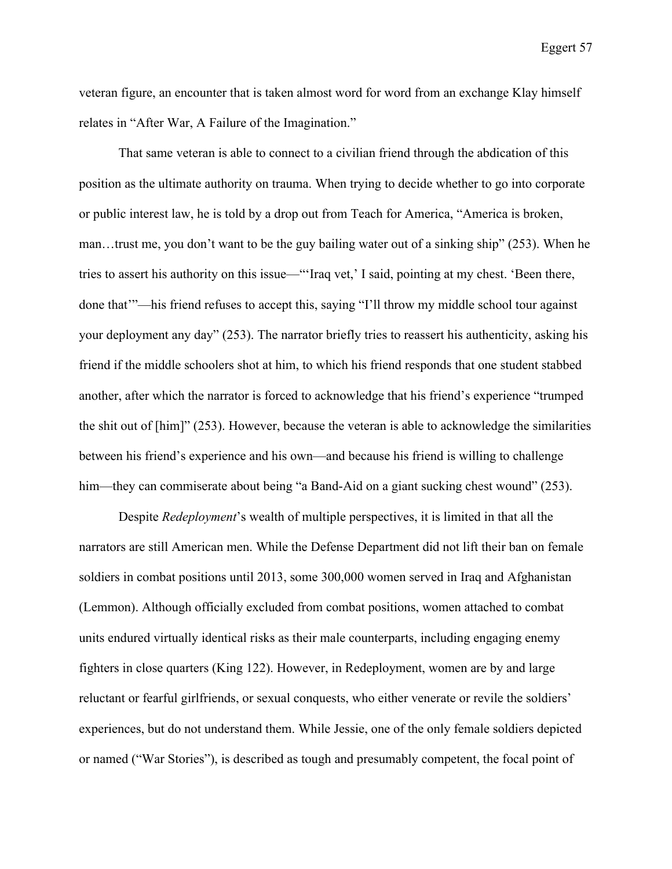veteran figure, an encounter that is taken almost word for word from an exchange Klay himself relates in "After War, A Failure of the Imagination."

That same veteran is able to connect to a civilian friend through the abdication of this position as the ultimate authority on trauma. When trying to decide whether to go into corporate or public interest law, he is told by a drop out from Teach for America, "America is broken, man…trust me, you don't want to be the guy bailing water out of a sinking ship" (253). When he tries to assert his authority on this issue—"'Iraq vet,' I said, pointing at my chest. 'Been there, done that'"—his friend refuses to accept this, saying "I'll throw my middle school tour against your deployment any day" (253). The narrator briefly tries to reassert his authenticity, asking his friend if the middle schoolers shot at him, to which his friend responds that one student stabbed another, after which the narrator is forced to acknowledge that his friend's experience "trumped the shit out of [him]" (253). However, because the veteran is able to acknowledge the similarities between his friend's experience and his own—and because his friend is willing to challenge him—they can commiserate about being "a Band-Aid on a giant sucking chest wound" (253).

Despite *Redeployment*'s wealth of multiple perspectives, it is limited in that all the narrators are still American men. While the Defense Department did not lift their ban on female soldiers in combat positions until 2013, some 300,000 women served in Iraq and Afghanistan (Lemmon). Although officially excluded from combat positions, women attached to combat units endured virtually identical risks as their male counterparts, including engaging enemy fighters in close quarters (King 122). However, in Redeployment, women are by and large reluctant or fearful girlfriends, or sexual conquests, who either venerate or revile the soldiers' experiences, but do not understand them. While Jessie, one of the only female soldiers depicted or named ("War Stories"), is described as tough and presumably competent, the focal point of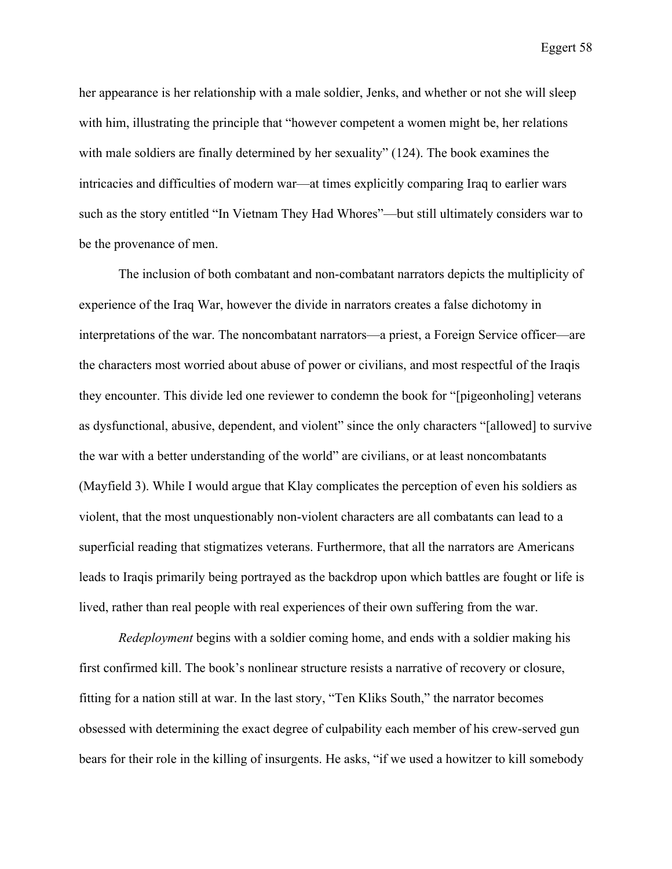her appearance is her relationship with a male soldier, Jenks, and whether or not she will sleep with him, illustrating the principle that "however competent a women might be, her relations with male soldiers are finally determined by her sexuality" (124). The book examines the intricacies and difficulties of modern war—at times explicitly comparing Iraq to earlier wars such as the story entitled "In Vietnam They Had Whores"—but still ultimately considers war to be the provenance of men.

The inclusion of both combatant and non-combatant narrators depicts the multiplicity of experience of the Iraq War, however the divide in narrators creates a false dichotomy in interpretations of the war. The noncombatant narrators—a priest, a Foreign Service officer—are the characters most worried about abuse of power or civilians, and most respectful of the Iraqis they encounter. This divide led one reviewer to condemn the book for "[pigeonholing] veterans as dysfunctional, abusive, dependent, and violent" since the only characters "[allowed] to survive the war with a better understanding of the world" are civilians, or at least noncombatants (Mayfield 3). While I would argue that Klay complicates the perception of even his soldiers as violent, that the most unquestionably non-violent characters are all combatants can lead to a superficial reading that stigmatizes veterans. Furthermore, that all the narrators are Americans leads to Iraqis primarily being portrayed as the backdrop upon which battles are fought or life is lived, rather than real people with real experiences of their own suffering from the war.

*Redeployment* begins with a soldier coming home, and ends with a soldier making his first confirmed kill. The book's nonlinear structure resists a narrative of recovery or closure, fitting for a nation still at war. In the last story, "Ten Kliks South," the narrator becomes obsessed with determining the exact degree of culpability each member of his crew-served gun bears for their role in the killing of insurgents. He asks, "if we used a howitzer to kill somebody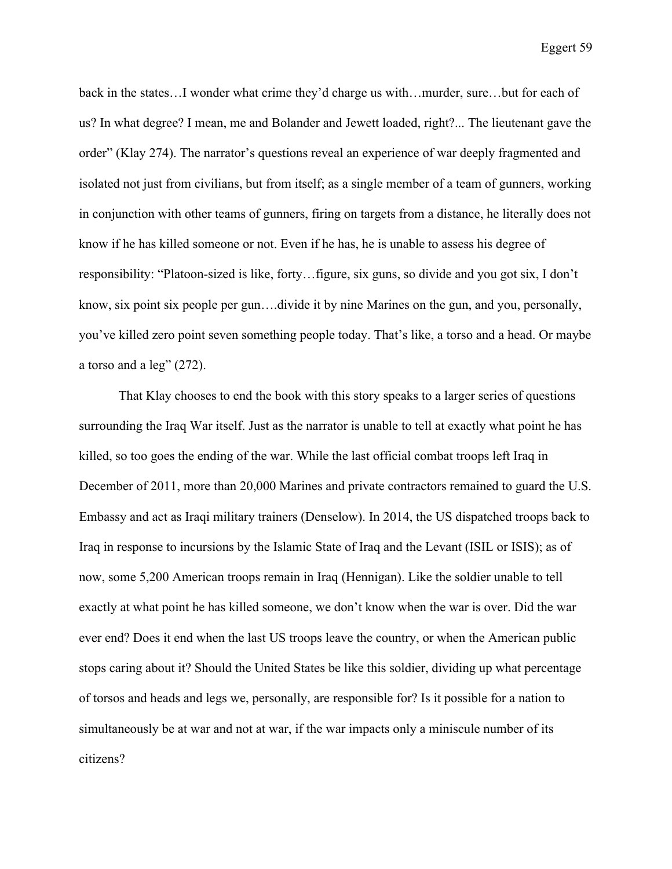back in the states…I wonder what crime they'd charge us with…murder, sure…but for each of us? In what degree? I mean, me and Bolander and Jewett loaded, right?... The lieutenant gave the order" (Klay 274). The narrator's questions reveal an experience of war deeply fragmented and isolated not just from civilians, but from itself; as a single member of a team of gunners, working in conjunction with other teams of gunners, firing on targets from a distance, he literally does not know if he has killed someone or not. Even if he has, he is unable to assess his degree of responsibility: "Platoon-sized is like, forty…figure, six guns, so divide and you got six, I don't know, six point six people per gun….divide it by nine Marines on the gun, and you, personally, you've killed zero point seven something people today. That's like, a torso and a head. Or maybe a torso and a leg" (272).

That Klay chooses to end the book with this story speaks to a larger series of questions surrounding the Iraq War itself. Just as the narrator is unable to tell at exactly what point he has killed, so too goes the ending of the war. While the last official combat troops left Iraq in December of 2011, more than 20,000 Marines and private contractors remained to guard the U.S. Embassy and act as Iraqi military trainers (Denselow). In 2014, the US dispatched troops back to Iraq in response to incursions by the Islamic State of Iraq and the Levant (ISIL or ISIS); as of now, some 5,200 American troops remain in Iraq (Hennigan). Like the soldier unable to tell exactly at what point he has killed someone, we don't know when the war is over. Did the war ever end? Does it end when the last US troops leave the country, or when the American public stops caring about it? Should the United States be like this soldier, dividing up what percentage of torsos and heads and legs we, personally, are responsible for? Is it possible for a nation to simultaneously be at war and not at war, if the war impacts only a miniscule number of its citizens?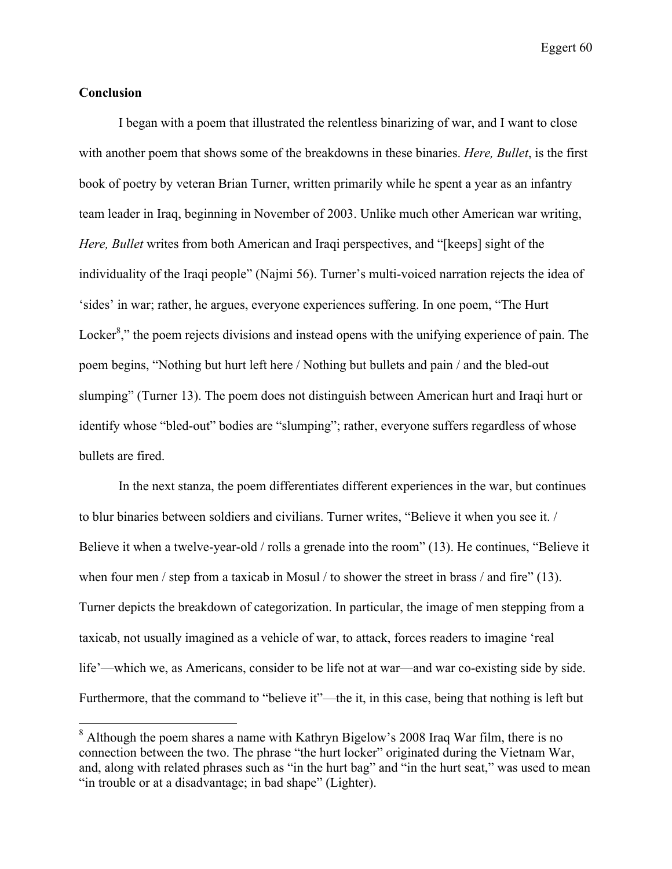## **Conclusion**

I began with a poem that illustrated the relentless binarizing of war, and I want to close with another poem that shows some of the breakdowns in these binaries. *Here, Bullet*, is the first book of poetry by veteran Brian Turner, written primarily while he spent a year as an infantry team leader in Iraq, beginning in November of 2003. Unlike much other American war writing, *Here, Bullet* writes from both American and Iraqi perspectives, and "[keeps] sight of the individuality of the Iraqi people" (Najmi 56). Turner's multi-voiced narration rejects the idea of 'sides' in war; rather, he argues, everyone experiences suffering. In one poem, "The Hurt Locker<sup>8</sup>," the poem rejects divisions and instead opens with the unifying experience of pain. The poem begins, "Nothing but hurt left here / Nothing but bullets and pain / and the bled-out slumping" (Turner 13). The poem does not distinguish between American hurt and Iraqi hurt or identify whose "bled-out" bodies are "slumping"; rather, everyone suffers regardless of whose bullets are fired.

In the next stanza, the poem differentiates different experiences in the war, but continues to blur binaries between soldiers and civilians. Turner writes, "Believe it when you see it. / Believe it when a twelve-year-old / rolls a grenade into the room" (13). He continues, "Believe it when four men / step from a taxicab in Mosul / to shower the street in brass / and fire" (13). Turner depicts the breakdown of categorization. In particular, the image of men stepping from a taxicab, not usually imagined as a vehicle of war, to attack, forces readers to imagine 'real life'—which we, as Americans, consider to be life not at war—and war co-existing side by side. Furthermore, that the command to "believe it"—the it, in this case, being that nothing is left but

<sup>&</sup>lt;sup>8</sup> Although the poem shares a name with Kathryn Bigelow's 2008 Iraq War film, there is no connection between the two. The phrase "the hurt locker" originated during the Vietnam War, and, along with related phrases such as "in the hurt bag" and "in the hurt seat," was used to mean "in trouble or at a disadvantage; in bad shape" (Lighter).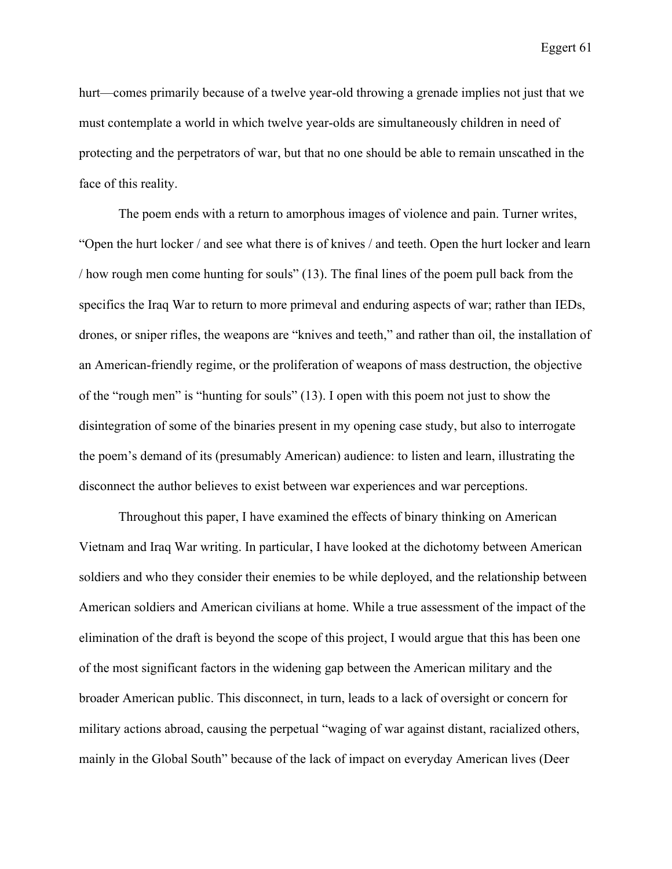hurt—comes primarily because of a twelve year-old throwing a grenade implies not just that we must contemplate a world in which twelve year-olds are simultaneously children in need of protecting and the perpetrators of war, but that no one should be able to remain unscathed in the face of this reality.

The poem ends with a return to amorphous images of violence and pain. Turner writes, "Open the hurt locker / and see what there is of knives / and teeth. Open the hurt locker and learn / how rough men come hunting for souls" (13). The final lines of the poem pull back from the specifics the Iraq War to return to more primeval and enduring aspects of war; rather than IEDs, drones, or sniper rifles, the weapons are "knives and teeth," and rather than oil, the installation of an American-friendly regime, or the proliferation of weapons of mass destruction, the objective of the "rough men" is "hunting for souls" (13). I open with this poem not just to show the disintegration of some of the binaries present in my opening case study, but also to interrogate the poem's demand of its (presumably American) audience: to listen and learn, illustrating the disconnect the author believes to exist between war experiences and war perceptions.

Throughout this paper, I have examined the effects of binary thinking on American Vietnam and Iraq War writing. In particular, I have looked at the dichotomy between American soldiers and who they consider their enemies to be while deployed, and the relationship between American soldiers and American civilians at home. While a true assessment of the impact of the elimination of the draft is beyond the scope of this project, I would argue that this has been one of the most significant factors in the widening gap between the American military and the broader American public. This disconnect, in turn, leads to a lack of oversight or concern for military actions abroad, causing the perpetual "waging of war against distant, racialized others, mainly in the Global South" because of the lack of impact on everyday American lives (Deer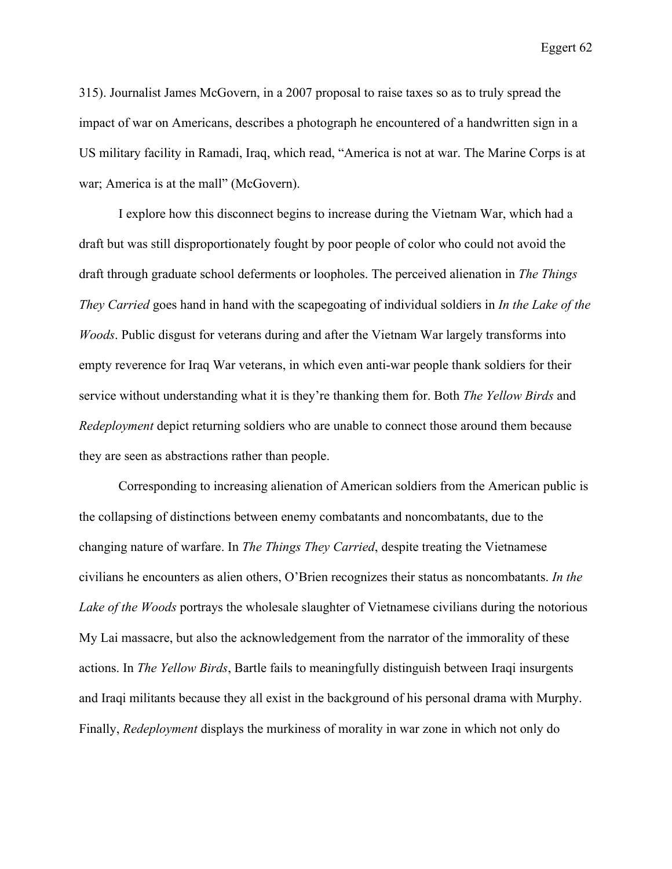315). Journalist James McGovern, in a 2007 proposal to raise taxes so as to truly spread the impact of war on Americans, describes a photograph he encountered of a handwritten sign in a US military facility in Ramadi, Iraq, which read, "America is not at war. The Marine Corps is at war; America is at the mall" (McGovern).

I explore how this disconnect begins to increase during the Vietnam War, which had a draft but was still disproportionately fought by poor people of color who could not avoid the draft through graduate school deferments or loopholes. The perceived alienation in *The Things They Carried* goes hand in hand with the scapegoating of individual soldiers in *In the Lake of the Woods*. Public disgust for veterans during and after the Vietnam War largely transforms into empty reverence for Iraq War veterans, in which even anti-war people thank soldiers for their service without understanding what it is they're thanking them for. Both *The Yellow Birds* and *Redeployment* depict returning soldiers who are unable to connect those around them because they are seen as abstractions rather than people.

Corresponding to increasing alienation of American soldiers from the American public is the collapsing of distinctions between enemy combatants and noncombatants, due to the changing nature of warfare. In *The Things They Carried*, despite treating the Vietnamese civilians he encounters as alien others, O'Brien recognizes their status as noncombatants. *In the Lake of the Woods* portrays the wholesale slaughter of Vietnamese civilians during the notorious My Lai massacre, but also the acknowledgement from the narrator of the immorality of these actions. In *The Yellow Birds*, Bartle fails to meaningfully distinguish between Iraqi insurgents and Iraqi militants because they all exist in the background of his personal drama with Murphy. Finally, *Redeployment* displays the murkiness of morality in war zone in which not only do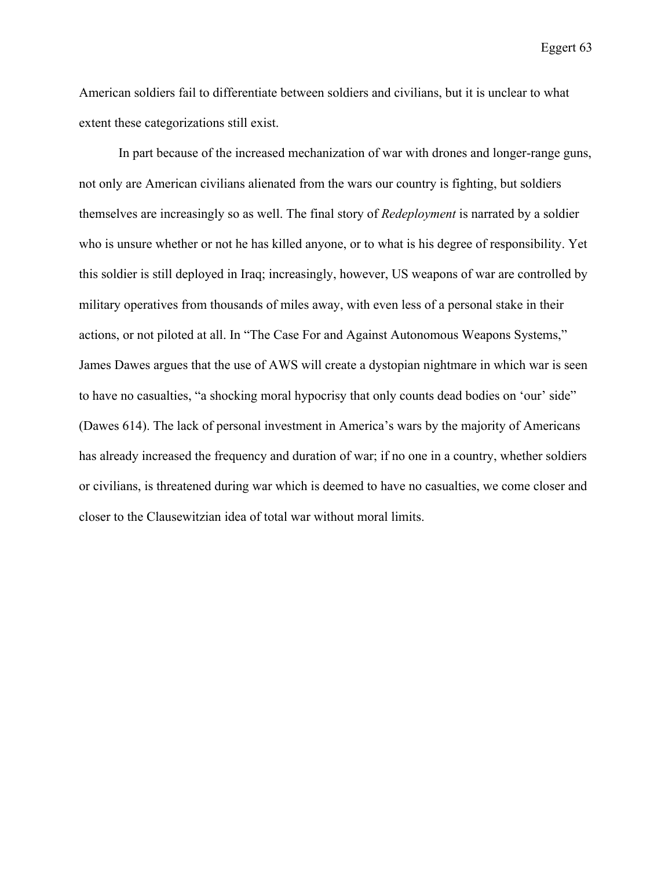American soldiers fail to differentiate between soldiers and civilians, but it is unclear to what extent these categorizations still exist.

In part because of the increased mechanization of war with drones and longer-range guns, not only are American civilians alienated from the wars our country is fighting, but soldiers themselves are increasingly so as well. The final story of *Redeployment* is narrated by a soldier who is unsure whether or not he has killed anyone, or to what is his degree of responsibility. Yet this soldier is still deployed in Iraq; increasingly, however, US weapons of war are controlled by military operatives from thousands of miles away, with even less of a personal stake in their actions, or not piloted at all. In "The Case For and Against Autonomous Weapons Systems," James Dawes argues that the use of AWS will create a dystopian nightmare in which war is seen to have no casualties, "a shocking moral hypocrisy that only counts dead bodies on 'our' side" (Dawes 614). The lack of personal investment in America's wars by the majority of Americans has already increased the frequency and duration of war; if no one in a country, whether soldiers or civilians, is threatened during war which is deemed to have no casualties, we come closer and closer to the Clausewitzian idea of total war without moral limits.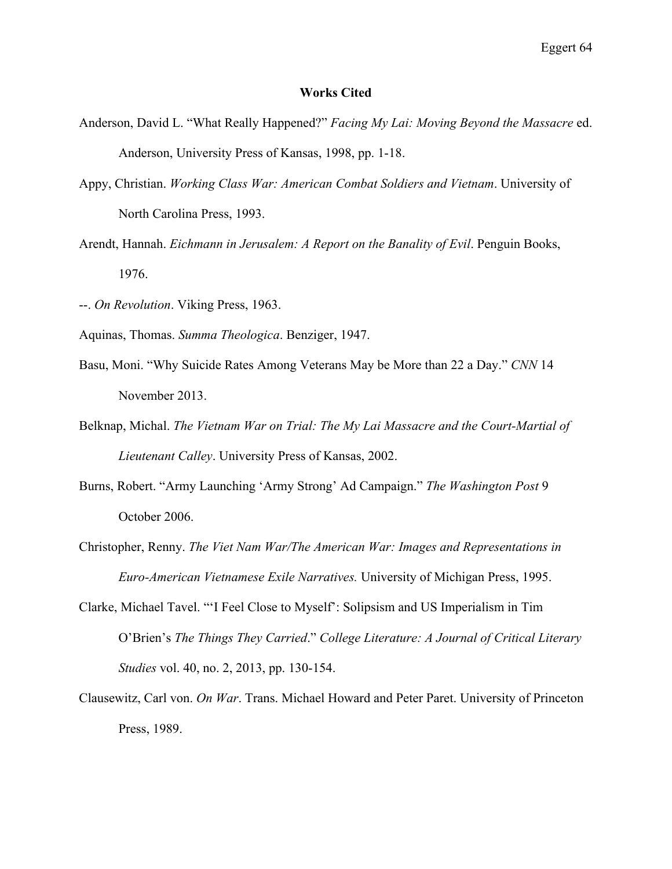## **Works Cited**

- Anderson, David L. "What Really Happened?" *Facing My Lai: Moving Beyond the Massacre* ed. Anderson, University Press of Kansas, 1998, pp. 1-18.
- Appy, Christian. *Working Class War: American Combat Soldiers and Vietnam*. University of North Carolina Press, 1993.
- Arendt, Hannah. *Eichmann in Jerusalem: A Report on the Banality of Evil*. Penguin Books, 1976.
- --. *On Revolution*. Viking Press, 1963.
- Aquinas, Thomas. *Summa Theologica*. Benziger, 1947.
- Basu, Moni. "Why Suicide Rates Among Veterans May be More than 22 a Day." *CNN* 14 November 2013.
- Belknap, Michal. *The Vietnam War on Trial: The My Lai Massacre and the Court-Martial of Lieutenant Calley*. University Press of Kansas, 2002.
- Burns, Robert. "Army Launching 'Army Strong' Ad Campaign." *The Washington Post* 9 October 2006.
- Christopher, Renny. *The Viet Nam War/The American War: Images and Representations in Euro-American Vietnamese Exile Narratives.* University of Michigan Press, 1995.
- Clarke, Michael Tavel. "'I Feel Close to Myself': Solipsism and US Imperialism in Tim O'Brien's *The Things They Carried*." *College Literature: A Journal of Critical Literary Studies* vol. 40, no. 2, 2013, pp. 130-154.
- Clausewitz, Carl von. *On War*. Trans. Michael Howard and Peter Paret. University of Princeton Press, 1989.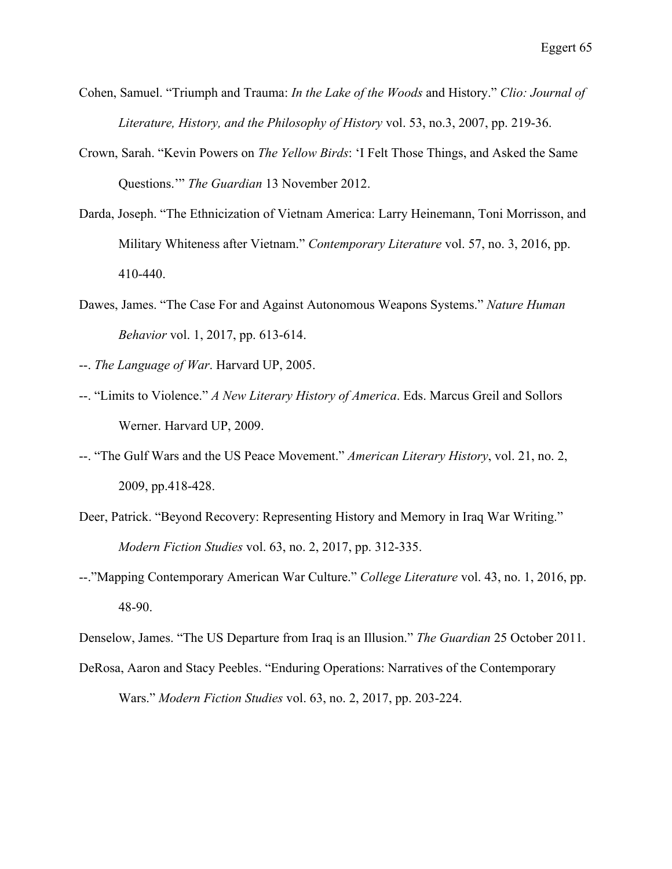- Cohen, Samuel. "Triumph and Trauma: *In the Lake of the Woods* and History." *Clio: Journal of Literature, History, and the Philosophy of History* vol. 53, no.3, 2007, pp. 219-36.
- Crown, Sarah. "Kevin Powers on *The Yellow Birds*: 'I Felt Those Things, and Asked the Same Questions.'" *The Guardian* 13 November 2012.
- Darda, Joseph. "The Ethnicization of Vietnam America: Larry Heinemann, Toni Morrisson, and Military Whiteness after Vietnam." *Contemporary Literature* vol. 57, no. 3, 2016, pp. 410-440.
- Dawes, James. "The Case For and Against Autonomous Weapons Systems." *Nature Human Behavior* vol. 1, 2017, pp. 613-614.
- --. *The Language of War*. Harvard UP, 2005.
- --. "Limits to Violence." *A New Literary History of America*. Eds. Marcus Greil and Sollors Werner. Harvard UP, 2009.
- --. "The Gulf Wars and the US Peace Movement." *American Literary History*, vol. 21, no. 2, 2009, pp.418-428.
- Deer, Patrick. "Beyond Recovery: Representing History and Memory in Iraq War Writing." *Modern Fiction Studies* vol. 63, no. 2, 2017, pp. 312-335.
- --."Mapping Contemporary American War Culture." *College Literature* vol. 43, no. 1, 2016, pp. 48-90.

Denselow, James. "The US Departure from Iraq is an Illusion." *The Guardian* 25 October 2011.

DeRosa, Aaron and Stacy Peebles. "Enduring Operations: Narratives of the Contemporary Wars." *Modern Fiction Studies* vol. 63, no. 2, 2017, pp. 203-224.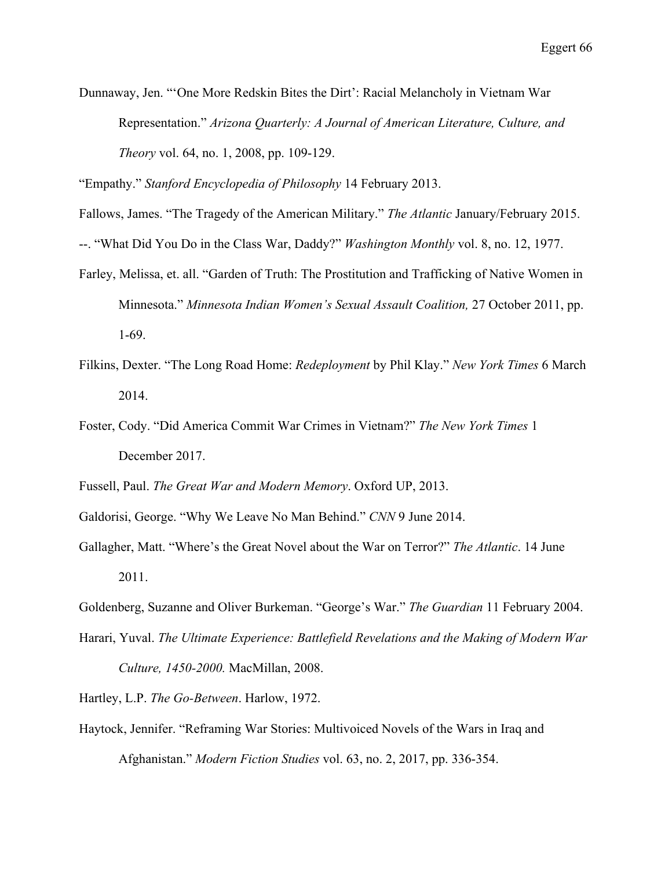Dunnaway, Jen. "'One More Redskin Bites the Dirt': Racial Melancholy in Vietnam War Representation." *Arizona Quarterly: A Journal of American Literature, Culture, and Theory* vol. 64, no. 1, 2008, pp. 109-129.

"Empathy." *Stanford Encyclopedia of Philosophy* 14 February 2013.

Fallows, James. "The Tragedy of the American Military." *The Atlantic* January/February 2015.

--. "What Did You Do in the Class War, Daddy?" *Washington Monthly* vol. 8, no. 12, 1977.

- Farley, Melissa, et. all. "Garden of Truth: The Prostitution and Trafficking of Native Women in Minnesota." *Minnesota Indian Women's Sexual Assault Coalition,* 27 October 2011, pp. 1-69.
- Filkins, Dexter. "The Long Road Home: *Redeployment* by Phil Klay." *New York Times* 6 March 2014.
- Foster, Cody. "Did America Commit War Crimes in Vietnam?" *The New York Times* 1 December 2017.

Fussell, Paul. *The Great War and Modern Memory*. Oxford UP, 2013.

Galdorisi, George. "Why We Leave No Man Behind." *CNN* 9 June 2014.

Gallagher, Matt. "Where's the Great Novel about the War on Terror?" *The Atlantic*. 14 June 2011.

Goldenberg, Suzanne and Oliver Burkeman. "George's War." *The Guardian* 11 February 2004.

Harari, Yuval. *The Ultimate Experience: Battlefield Revelations and the Making of Modern War Culture, 1450-2000.* MacMillan, 2008.

Hartley, L.P. *The Go-Between*. Harlow, 1972.

Haytock, Jennifer. "Reframing War Stories: Multivoiced Novels of the Wars in Iraq and Afghanistan." *Modern Fiction Studies* vol. 63, no. 2, 2017, pp. 336-354.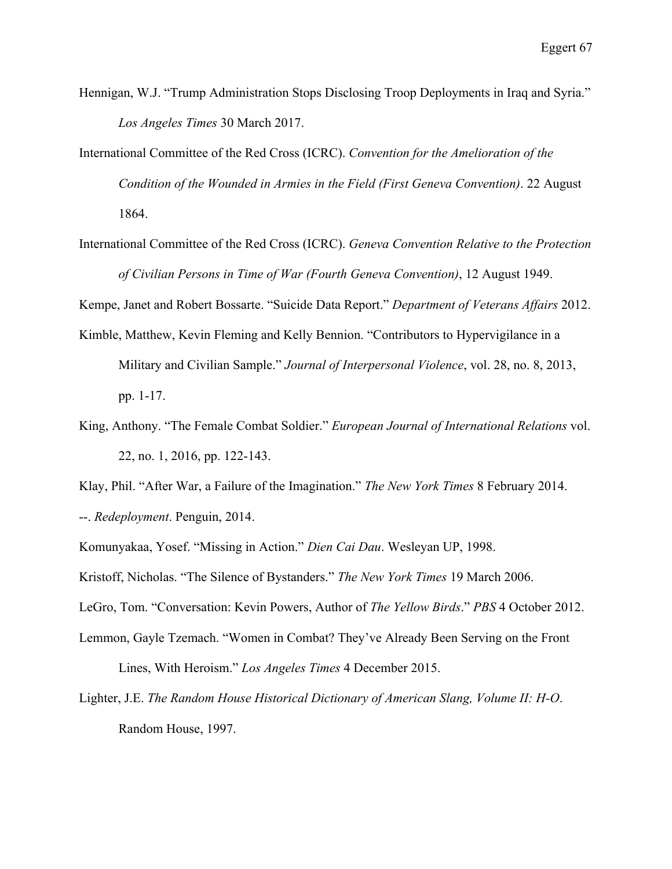- Hennigan, W.J. "Trump Administration Stops Disclosing Troop Deployments in Iraq and Syria." *Los Angeles Times* 30 March 2017.
- International Committee of the Red Cross (ICRC). *Convention for the Amelioration of the Condition of the Wounded in Armies in the Field (First Geneva Convention)*. 22 August 1864.
- International Committee of the Red Cross (ICRC). *Geneva Convention Relative to the Protection of Civilian Persons in Time of War (Fourth Geneva Convention)*, 12 August 1949.

Kempe, Janet and Robert Bossarte. "Suicide Data Report." *Department of Veterans Affairs* 2012.

- Kimble, Matthew, Kevin Fleming and Kelly Bennion. "Contributors to Hypervigilance in a Military and Civilian Sample." *Journal of Interpersonal Violence*, vol. 28, no. 8, 2013, pp. 1-17.
- King, Anthony. "The Female Combat Soldier." *European Journal of International Relations* vol. 22, no. 1, 2016, pp. 122-143.

Klay, Phil. "After War, a Failure of the Imagination." *The New York Times* 8 February 2014. --. *Redeployment*. Penguin, 2014.

Komunyakaa, Yosef. "Missing in Action." *Dien Cai Dau*. Wesleyan UP, 1998.

Kristoff, Nicholas. "The Silence of Bystanders." *The New York Times* 19 March 2006.

LeGro, Tom. "Conversation: Kevin Powers, Author of *The Yellow Birds*." *PBS* 4 October 2012.

- Lemmon, Gayle Tzemach. "Women in Combat? They've Already Been Serving on the Front Lines, With Heroism." *Los Angeles Times* 4 December 2015.
- Lighter, J.E. *The Random House Historical Dictionary of American Slang, Volume II: H-O*. Random House, 1997.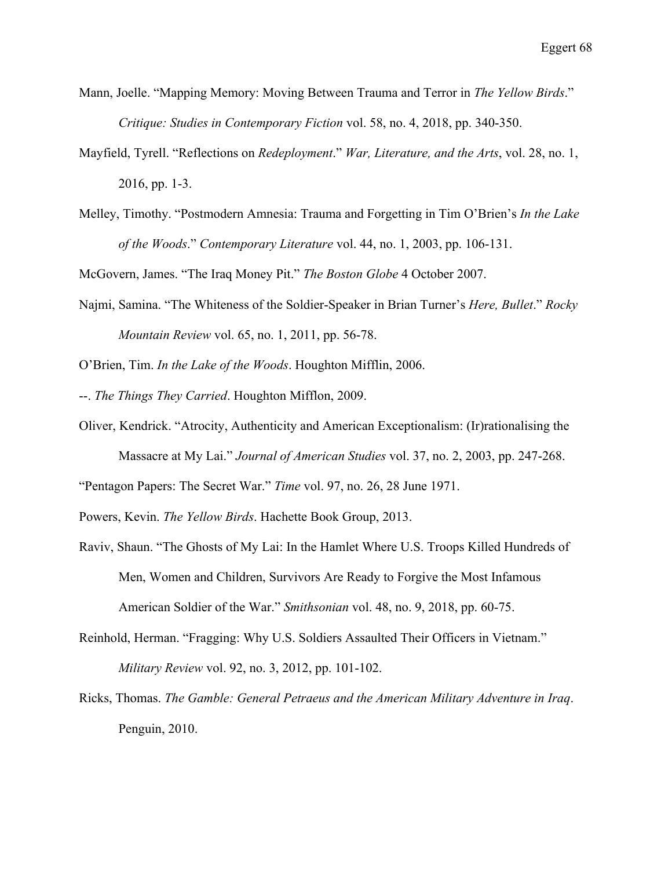- Mann, Joelle. "Mapping Memory: Moving Between Trauma and Terror in *The Yellow Birds*." *Critique: Studies in Contemporary Fiction* vol. 58, no. 4, 2018, pp. 340-350.
- Mayfield, Tyrell. "Reflections on *Redeployment*." *War, Literature, and the Arts*, vol. 28, no. 1, 2016, pp. 1-3.
- Melley, Timothy. "Postmodern Amnesia: Trauma and Forgetting in Tim O'Brien's *In the Lake of the Woods*." *Contemporary Literature* vol. 44, no. 1, 2003, pp. 106-131.

McGovern, James. "The Iraq Money Pit." *The Boston Globe* 4 October 2007.

Najmi, Samina. "The Whiteness of the Soldier-Speaker in Brian Turner's *Here, Bullet*." *Rocky Mountain Review* vol. 65, no. 1, 2011, pp. 56-78.

O'Brien, Tim. *In the Lake of the Woods*. Houghton Mifflin, 2006.

--. *The Things They Carried*. Houghton Mifflon, 2009.

Oliver, Kendrick. "Atrocity, Authenticity and American Exceptionalism: (Ir)rationalising the Massacre at My Lai." *Journal of American Studies* vol. 37, no. 2, 2003, pp. 247-268.

"Pentagon Papers: The Secret War." *Time* vol. 97, no. 26, 28 June 1971.

Powers, Kevin. *The Yellow Birds*. Hachette Book Group, 2013.

- Raviv, Shaun. "The Ghosts of My Lai: In the Hamlet Where U.S. Troops Killed Hundreds of Men, Women and Children, Survivors Are Ready to Forgive the Most Infamous American Soldier of the War." *Smithsonian* vol. 48, no. 9, 2018, pp. 60-75.
- Reinhold, Herman. "Fragging: Why U.S. Soldiers Assaulted Their Officers in Vietnam." *Military Review* vol. 92, no. 3, 2012, pp. 101-102.
- Ricks, Thomas. *The Gamble: General Petraeus and the American Military Adventure in Iraq*. Penguin, 2010.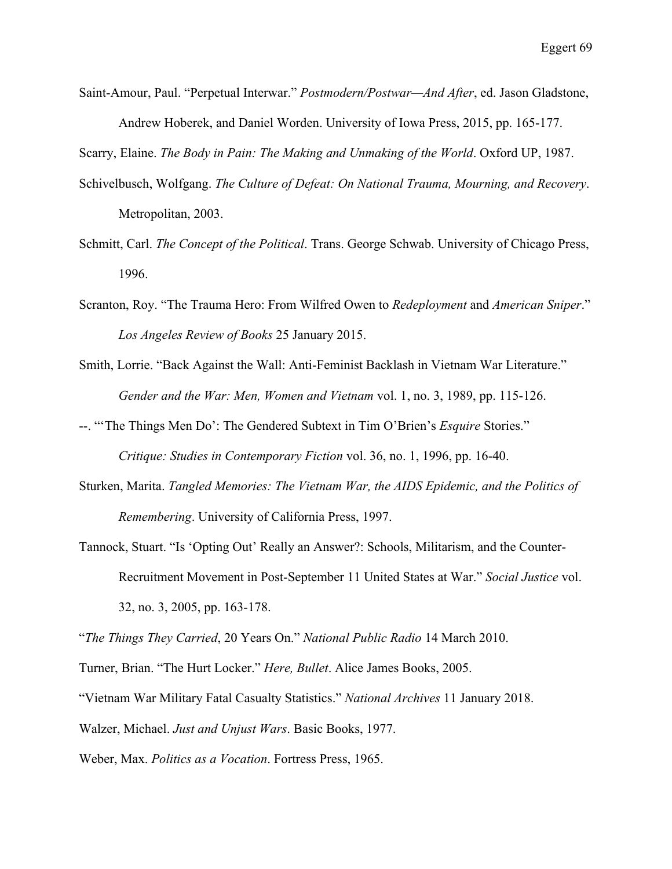Saint-Amour, Paul. "Perpetual Interwar." *Postmodern/Postwar—And After*, ed. Jason Gladstone, Andrew Hoberek, and Daniel Worden. University of Iowa Press, 2015, pp. 165-177.

Scarry, Elaine. *The Body in Pain: The Making and Unmaking of the World*. Oxford UP, 1987.

- Schivelbusch, Wolfgang. *The Culture of Defeat: On National Trauma, Mourning, and Recovery*. Metropolitan, 2003.
- Schmitt, Carl. *The Concept of the Political*. Trans. George Schwab. University of Chicago Press, 1996.
- Scranton, Roy. "The Trauma Hero: From Wilfred Owen to *Redeployment* and *American Sniper*." *Los Angeles Review of Books* 25 January 2015.
- Smith, Lorrie. "Back Against the Wall: Anti-Feminist Backlash in Vietnam War Literature." *Gender and the War: Men, Women and Vietnam* vol. 1, no. 3, 1989, pp. 115-126.
- --. "'The Things Men Do': The Gendered Subtext in Tim O'Brien's *Esquire* Stories." *Critique: Studies in Contemporary Fiction* vol. 36, no. 1, 1996, pp. 16-40.
- Sturken, Marita. *Tangled Memories: The Vietnam War, the AIDS Epidemic, and the Politics of Remembering*. University of California Press, 1997.
- Tannock, Stuart. "Is 'Opting Out' Really an Answer?: Schools, Militarism, and the Counter-Recruitment Movement in Post-September 11 United States at War." *Social Justice* vol. 32, no. 3, 2005, pp. 163-178.

"*The Things They Carried*, 20 Years On." *National Public Radio* 14 March 2010.

- Turner, Brian. "The Hurt Locker." *Here, Bullet*. Alice James Books, 2005.
- "Vietnam War Military Fatal Casualty Statistics." *National Archives* 11 January 2018.

Walzer, Michael. *Just and Unjust Wars*. Basic Books, 1977.

Weber, Max. *Politics as a Vocation*. Fortress Press, 1965.